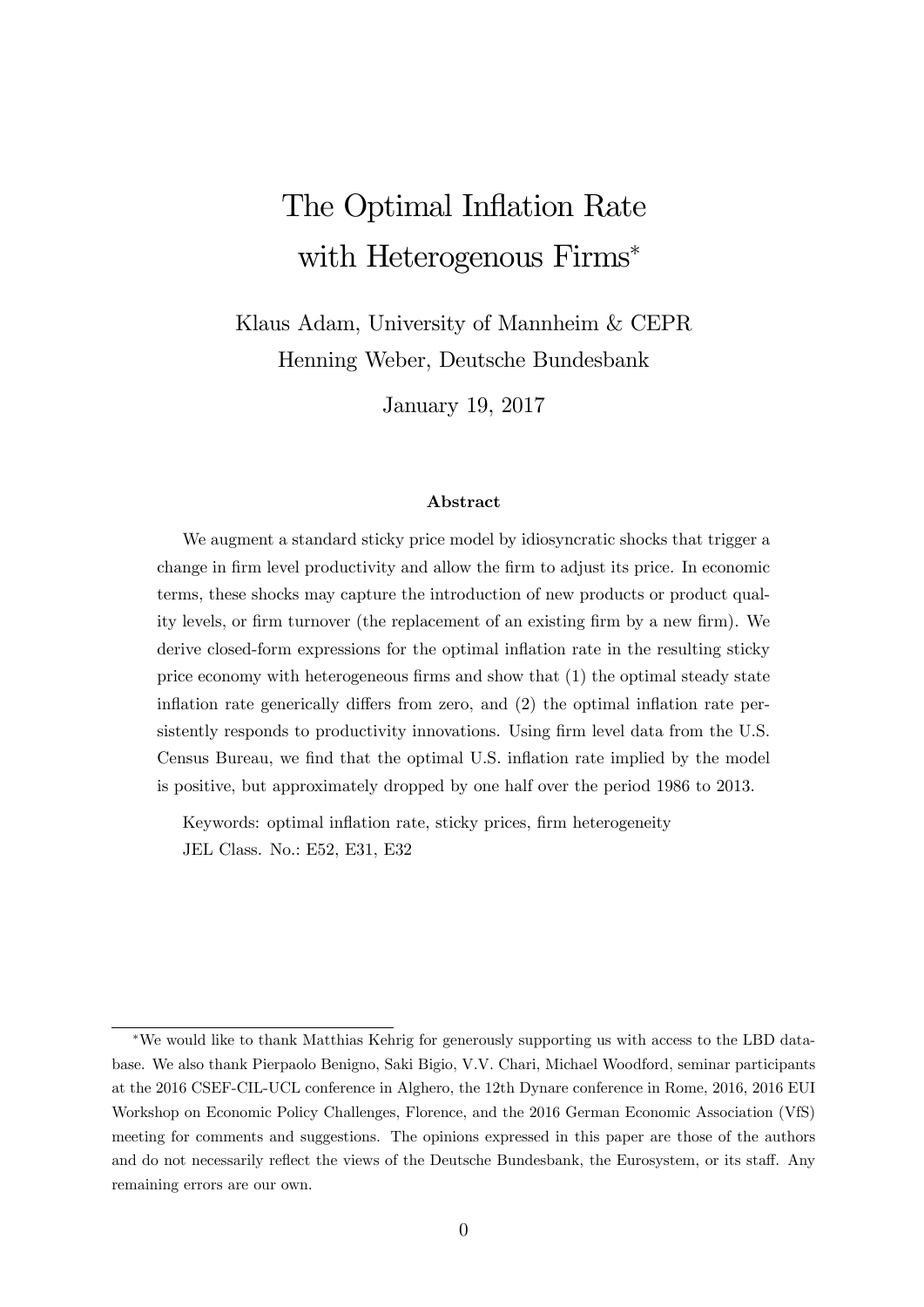# The Optimal Inflation Rate with Heterogenous Firms\*

Klaus Adam, University of Mannheim & CEPR Henning Weber, Deutsche Bundesbank

January 19, 2017

#### Abstract

We augment a standard sticky price model by idiosyncratic shocks that trigger a change in firm level productivity and allow the firm to adjust its price. In economic terms, these shocks may capture the introduction of new products or product quality levels, or firm turnover (the replacement of an existing firm by a new firm). We derive closed-form expressions for the optimal inflation rate in the resulting sticky price economy with heterogeneous firms and show that  $(1)$  the optimal steady state inflation rate generically differs from zero, and  $(2)$  the optimal inflation rate persistently responds to productivity innovations. Using firm level data from the U.S. Census Bureau, we find that the optimal U.S. inflation rate implied by the model is positive, but approximately dropped by one half over the period 1986 to 2013.

Keywords: optimal inflation rate, sticky prices, firm heterogeneity JEL Class. No.: E52, E31, E32

We would like to thank Matthias Kehrig for generously supporting us with access to the LBD database. We also thank Pierpaolo Benigno, Saki Bigio, V.V. Chari, Michael Woodford, seminar participants at the 2016 CSEF-CIL-UCL conference in Alghero, the 12th Dynare conference in Rome, 2016, 2016 EUI Workshop on Economic Policy Challenges, Florence, and the 2016 German Economic Association (VfS) meeting for comments and suggestions. The opinions expressed in this paper are those of the authors and do not necessarily reflect the views of the Deutsche Bundesbank, the Eurosystem, or its staff. Any remaining errors are our own.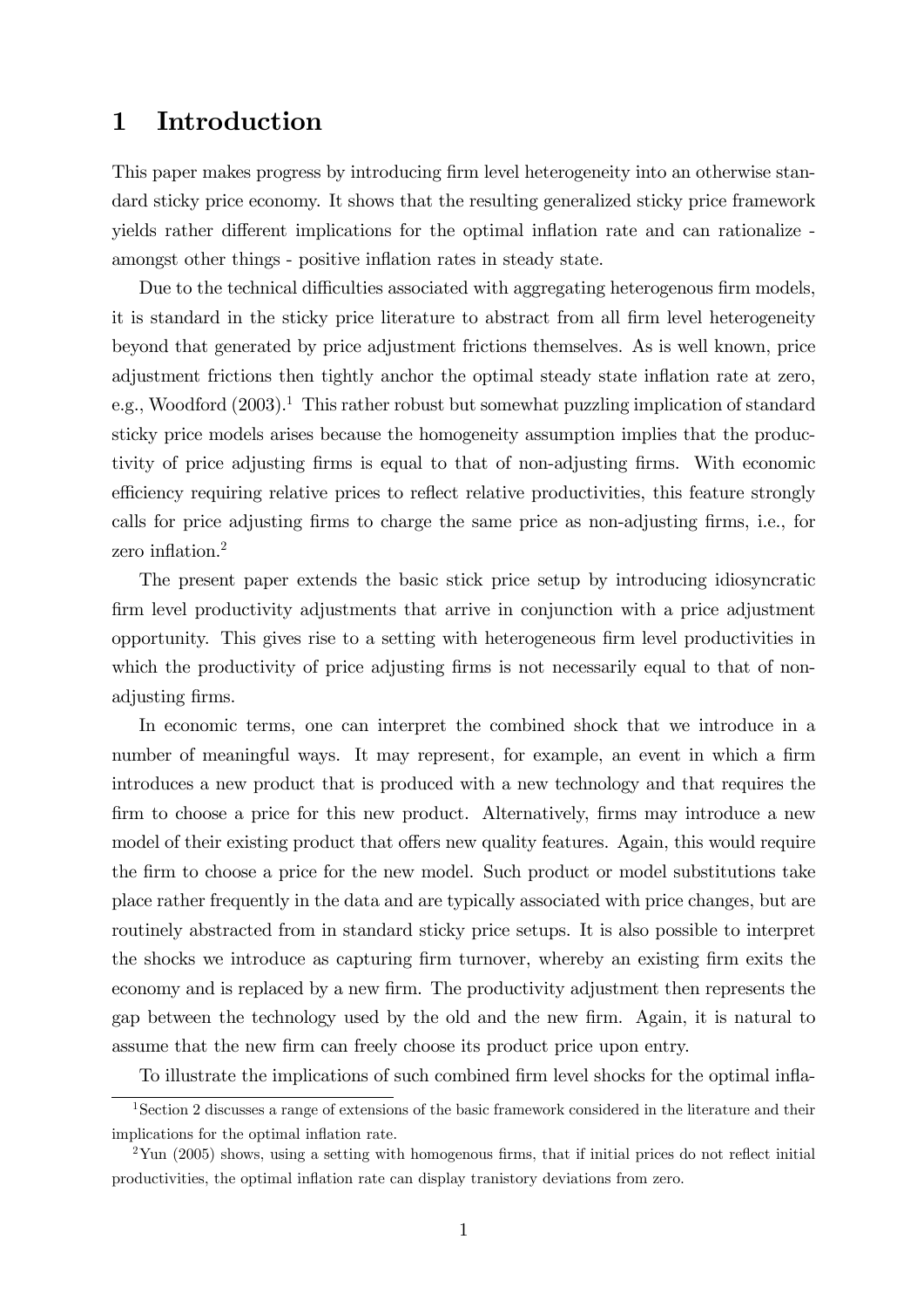### 1 Introduction

This paper makes progress by introducing firm level heterogeneity into an otherwise standard sticky price economy. It shows that the resulting generalized sticky price framework yields rather different implications for the optimal inflation rate and can rationalize amongst other things - positive inflation rates in steady state.

Due to the technical difficulties associated with aggregating heterogenous firm models, it is standard in the sticky price literature to abstract from all firm level heterogeneity beyond that generated by price adjustment frictions themselves. As is well known, price adjustment frictions then tightly anchor the optimal steady state inflation rate at zero, e.g., Woodford  $(2003)^{1}$ . This rather robust but somewhat puzzling implication of standard sticky price models arises because the homogeneity assumption implies that the productivity of price adjusting Örms is equal to that of non-adjusting Örms. With economic efficiency requiring relative prices to reflect relative productivities, this feature strongly calls for price adjusting firms to charge the same price as non-adjusting firms, i.e., for zero inflation. $<sup>2</sup>$ </sup>

The present paper extends the basic stick price setup by introducing idiosyncratic firm level productivity adjustments that arrive in conjunction with a price adjustment opportunity. This gives rise to a setting with heterogeneous Örm level productivities in which the productivity of price adjusting firms is not necessarily equal to that of nonadjusting firms.

In economic terms, one can interpret the combined shock that we introduce in a number of meaningful ways. It may represent, for example, an event in which a firm introduces a new product that is produced with a new technology and that requires the firm to choose a price for this new product. Alternatively, firms may introduce a new model of their existing product that offers new quality features. Again, this would require the firm to choose a price for the new model. Such product or model substitutions take place rather frequently in the data and are typically associated with price changes, but are routinely abstracted from in standard sticky price setups. It is also possible to interpret the shocks we introduce as capturing firm turnover, whereby an existing firm exits the economy and is replaced by a new firm. The productivity adjustment then represents the gap between the technology used by the old and the new Örm. Again, it is natural to assume that the new firm can freely choose its product price upon entry.

To illustrate the implications of such combined firm level shocks for the optimal infla-

<sup>1</sup>Section 2 discusses a range of extensions of the basic framework considered in the literature and their implications for the optimal inflation rate.

 $2$ Yun (2005) shows, using a setting with homogenous firms, that if initial prices do not reflect initial productivities, the optimal ináation rate can display tranistory deviations from zero.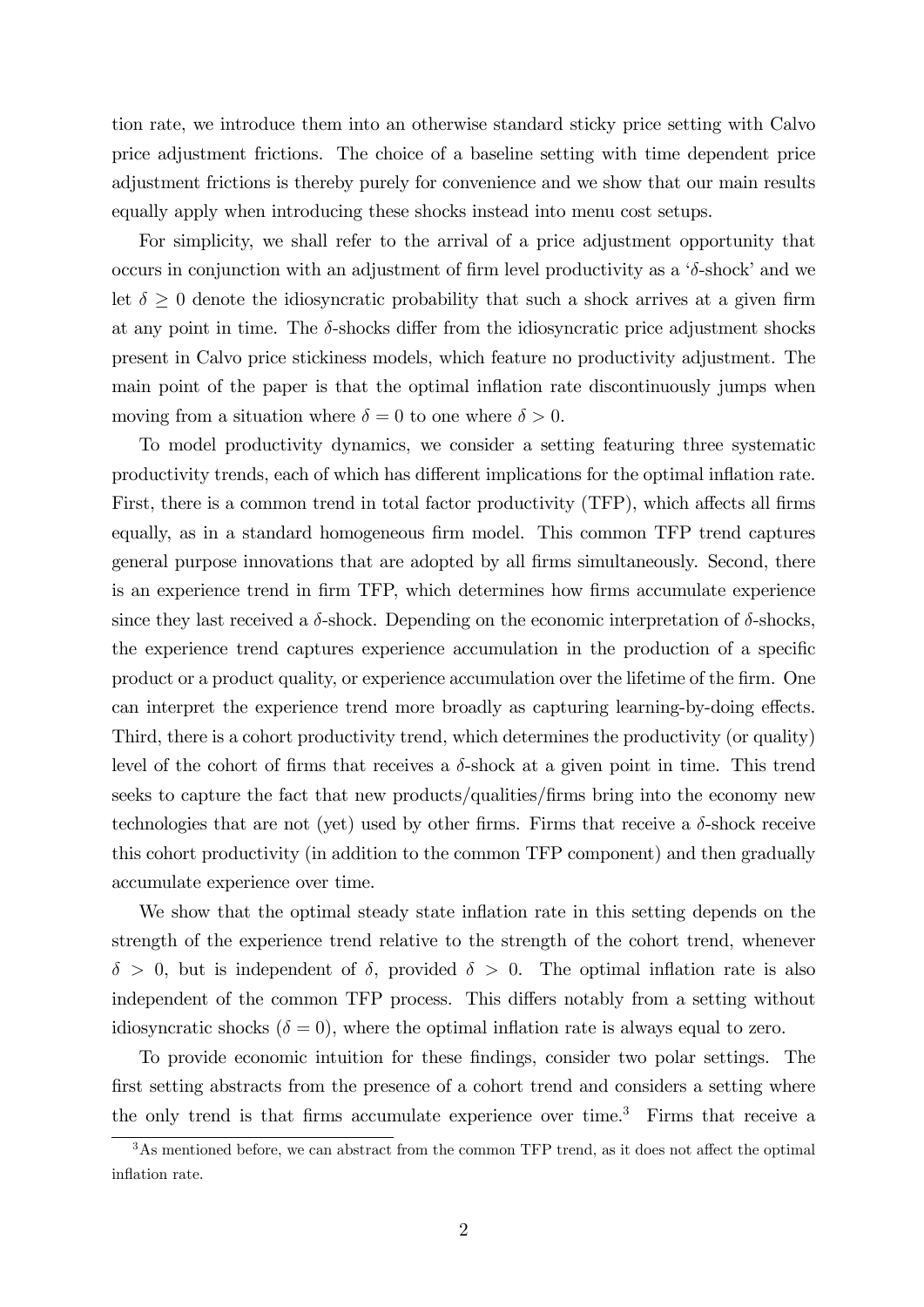tion rate, we introduce them into an otherwise standard sticky price setting with Calvo price adjustment frictions. The choice of a baseline setting with time dependent price adjustment frictions is thereby purely for convenience and we show that our main results equally apply when introducing these shocks instead into menu cost setups.

For simplicity, we shall refer to the arrival of a price adjustment opportunity that occurs in conjunction with an adjustment of firm level productivity as a  $\delta$ -shock' and we let  $\delta > 0$  denote the idiosyncratic probability that such a shock arrives at a given firm at any point in time. The  $\delta$ -shocks differ from the idiosyncratic price adjustment shocks present in Calvo price stickiness models, which feature no productivity adjustment. The main point of the paper is that the optimal inflation rate discontinuously jumps when moving from a situation where  $\delta = 0$  to one where  $\delta > 0$ .

To model productivity dynamics, we consider a setting featuring three systematic productivity trends, each of which has different implications for the optimal inflation rate. First, there is a common trend in total factor productivity (TFP), which affects all firms equally, as in a standard homogeneous firm model. This common TFP trend captures general purpose innovations that are adopted by all firms simultaneously. Second, there is an experience trend in firm TFP, which determines how firms accumulate experience since they last received a  $\delta$ -shock. Depending on the economic interpretation of  $\delta$ -shocks, the experience trend captures experience accumulation in the production of a specific product or a product quality, or experience accumulation over the lifetime of the Örm. One can interpret the experience trend more broadly as capturing learning-by-doing effects. Third, there is a cohort productivity trend, which determines the productivity (or quality) level of the cohort of firms that receives a  $\delta$ -shock at a given point in time. This trend seeks to capture the fact that new products/qualities/Örms bring into the economy new technologies that are not (yet) used by other firms. Firms that receive a  $\delta$ -shock receive this cohort productivity (in addition to the common TFP component) and then gradually accumulate experience over time.

We show that the optimal steady state inflation rate in this setting depends on the strength of the experience trend relative to the strength of the cohort trend, whenever  $\delta > 0$ , but is independent of  $\delta$ , provided  $\delta > 0$ . The optimal inflation rate is also independent of the common TFP process. This differs notably from a setting without idiosyncratic shocks ( $\delta = 0$ ), where the optimal inflation rate is always equal to zero.

To provide economic intuition for these findings, consider two polar settings. The first setting abstracts from the presence of a cohort trend and considers a setting where the only trend is that firms accumulate experience over time.<sup>3</sup> Firms that receive a

 $3<sup>3</sup>$ As mentioned before, we can abstract from the common TFP trend, as it does not affect the optimal inflation rate.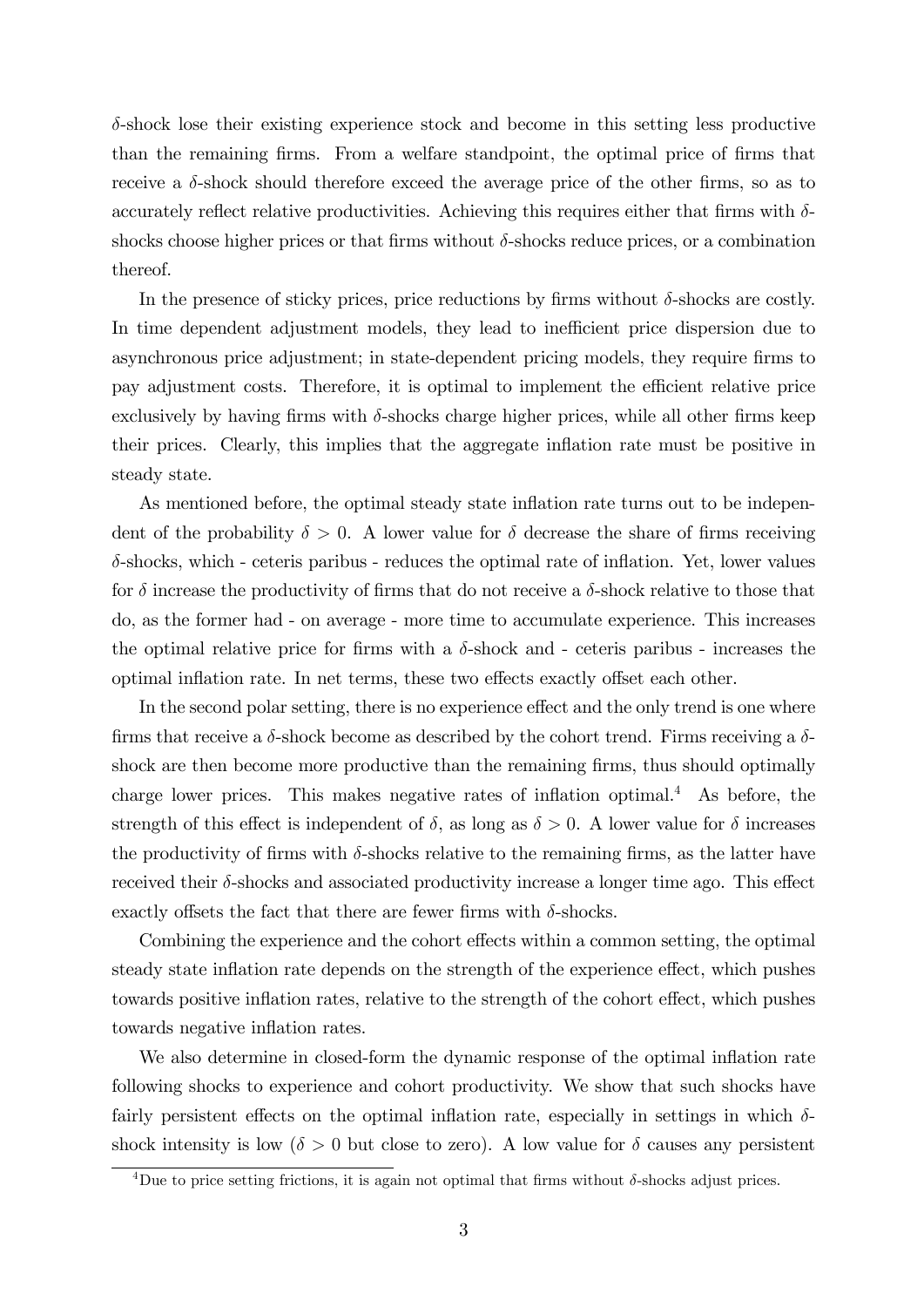$\delta$ -shock lose their existing experience stock and become in this setting less productive than the remaining firms. From a welfare standpoint, the optimal price of firms that receive a  $\delta$ -shock should therefore exceed the average price of the other firms, so as to accurately reflect relative productivities. Achieving this requires either that firms with  $\delta$ shocks choose higher prices or that firms without  $\delta$ -shocks reduce prices, or a combination thereof.

In the presence of sticky prices, price reductions by firms without  $\delta$ -shocks are costly. In time dependent adjustment models, they lead to inefficient price dispersion due to asynchronous price adjustment; in state-dependent pricing models, they require Örms to pay adjustment costs. Therefore, it is optimal to implement the efficient relative price exclusively by having firms with  $\delta$ -shocks charge higher prices, while all other firms keep their prices. Clearly, this implies that the aggregate inflation rate must be positive in steady state.

As mentioned before, the optimal steady state inflation rate turns out to be independent of the probability  $\delta > 0$ . A lower value for  $\delta$  decrease the share of firms receiving  $\delta$ -shocks, which - ceteris paribus - reduces the optimal rate of inflation. Yet, lower values for  $\delta$  increase the productivity of firms that do not receive a  $\delta$ -shock relative to those that do, as the former had - on average - more time to accumulate experience. This increases the optimal relative price for firms with a  $\delta$ -shock and - ceteris paribus - increases the optimal inflation rate. In net terms, these two effects exactly offset each other.

In the second polar setting, there is no experience effect and the only trend is one where firms that receive a  $\delta$ -shock become as described by the cohort trend. Firms receiving a  $\delta$ shock are then become more productive than the remaining firms, thus should optimally charge lower prices. This makes negative rates of inflation optimal.<sup>4</sup> As before, the strength of this effect is independent of  $\delta$ , as long as  $\delta > 0$ . A lower value for  $\delta$  increases the productivity of firms with  $\delta$ -shocks relative to the remaining firms, as the latter have received their  $\delta$ -shocks and associated productivity increase a longer time ago. This effect exactly offsets the fact that there are fewer firms with  $\delta$ -shocks.

Combining the experience and the cohort effects within a common setting, the optimal steady state inflation rate depends on the strength of the experience effect, which pushes towards positive inflation rates, relative to the strength of the cohort effect, which pushes towards negative inflation rates.

We also determine in closed-form the dynamic response of the optimal inflation rate following shocks to experience and cohort productivity. We show that such shocks have fairly persistent effects on the optimal inflation rate, especially in settings in which  $\delta$ shock intensity is low ( $\delta > 0$  but close to zero). A low value for  $\delta$  causes any persistent

<sup>&</sup>lt;sup>4</sup>Due to price setting frictions, it is again not optimal that firms without  $\delta$ -shocks adjust prices.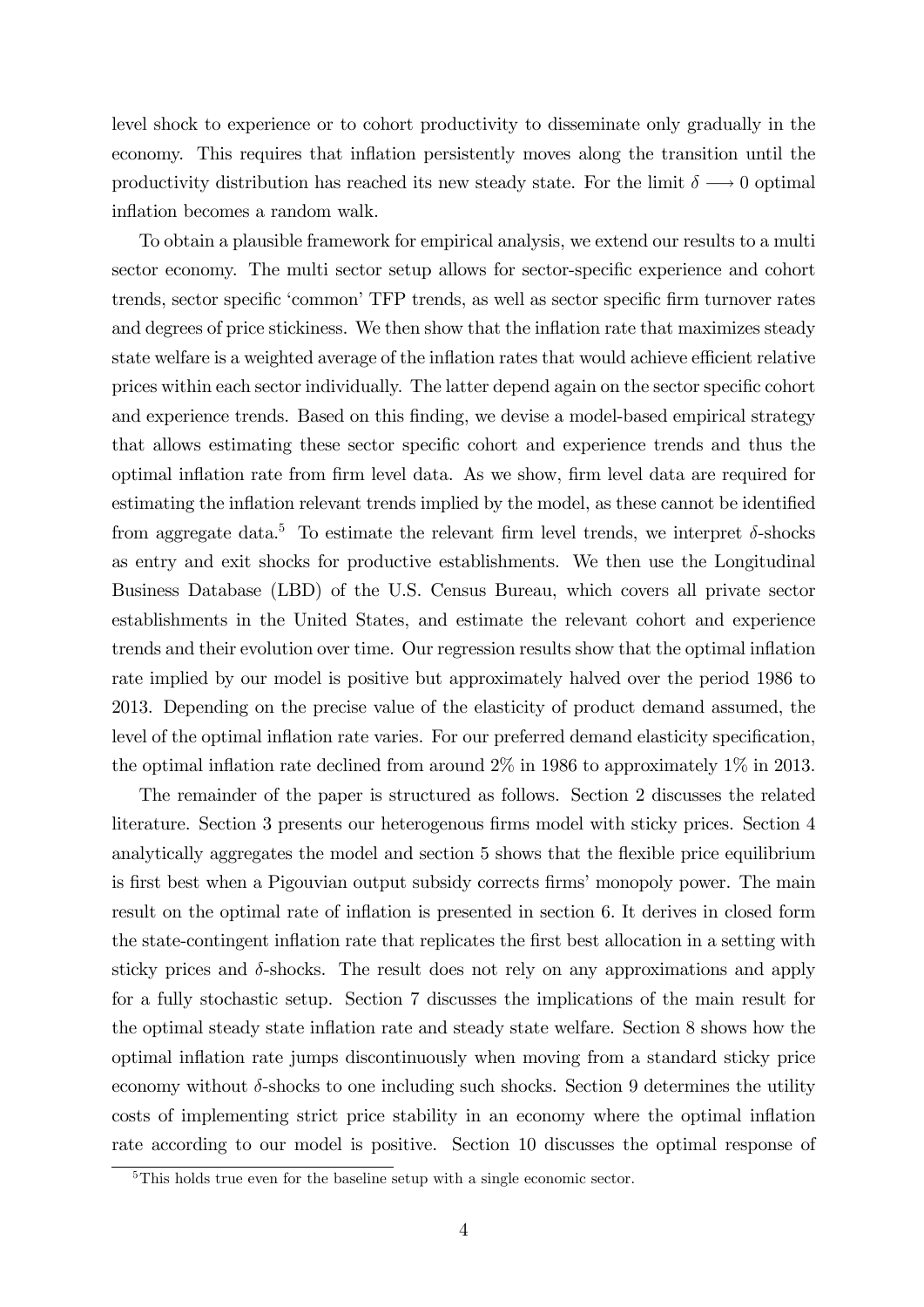level shock to experience or to cohort productivity to disseminate only gradually in the economy. This requires that inflation persistently moves along the transition until the productivity distribution has reached its new steady state. For the limit  $\delta \longrightarrow 0$  optimal inflation becomes a random walk.

To obtain a plausible framework for empirical analysis, we extend our results to a multi sector economy. The multi sector setup allows for sector-specific experience and cohort trends, sector specific 'common' TFP trends, as well as sector specific firm turnover rates and degrees of price stickiness. We then show that the inflation rate that maximizes steady state welfare is a weighted average of the inflation rates that would achieve efficient relative prices within each sector individually. The latter depend again on the sector specific cohort and experience trends. Based on this finding, we devise a model-based empirical strategy that allows estimating these sector specific cohort and experience trends and thus the optimal inflation rate from firm level data. As we show, firm level data are required for estimating the inflation relevant trends implied by the model, as these cannot be identified from aggregate data.<sup>5</sup> To estimate the relevant firm level trends, we interpret  $\delta$ -shocks as entry and exit shocks for productive establishments. We then use the Longitudinal Business Database (LBD) of the U.S. Census Bureau, which covers all private sector establishments in the United States, and estimate the relevant cohort and experience trends and their evolution over time. Our regression results show that the optimal ináation rate implied by our model is positive but approximately halved over the period 1986 to 2013. Depending on the precise value of the elasticity of product demand assumed, the level of the optimal inflation rate varies. For our preferred demand elasticity specification, the optimal inflation rate declined from around  $2\%$  in 1986 to approximately 1% in 2013.

The remainder of the paper is structured as follows. Section 2 discusses the related literature. Section 3 presents our heterogenous firms model with sticky prices. Section 4 analytically aggregates the model and section 5 shows that the flexible price equilibrium is first best when a Pigouvian output subsidy corrects firms' monopoly power. The main result on the optimal rate of ináation is presented in section 6. It derives in closed form the state-contingent inflation rate that replicates the first best allocation in a setting with sticky prices and  $\delta$ -shocks. The result does not rely on any approximations and apply for a fully stochastic setup. Section 7 discusses the implications of the main result for the optimal steady state inflation rate and steady state welfare. Section 8 shows how the optimal ináation rate jumps discontinuously when moving from a standard sticky price economy without  $\delta$ -shocks to one including such shocks. Section 9 determines the utility costs of implementing strict price stability in an economy where the optimal ináation rate according to our model is positive. Section 10 discusses the optimal response of

<sup>&</sup>lt;sup>5</sup>This holds true even for the baseline setup with a single economic sector.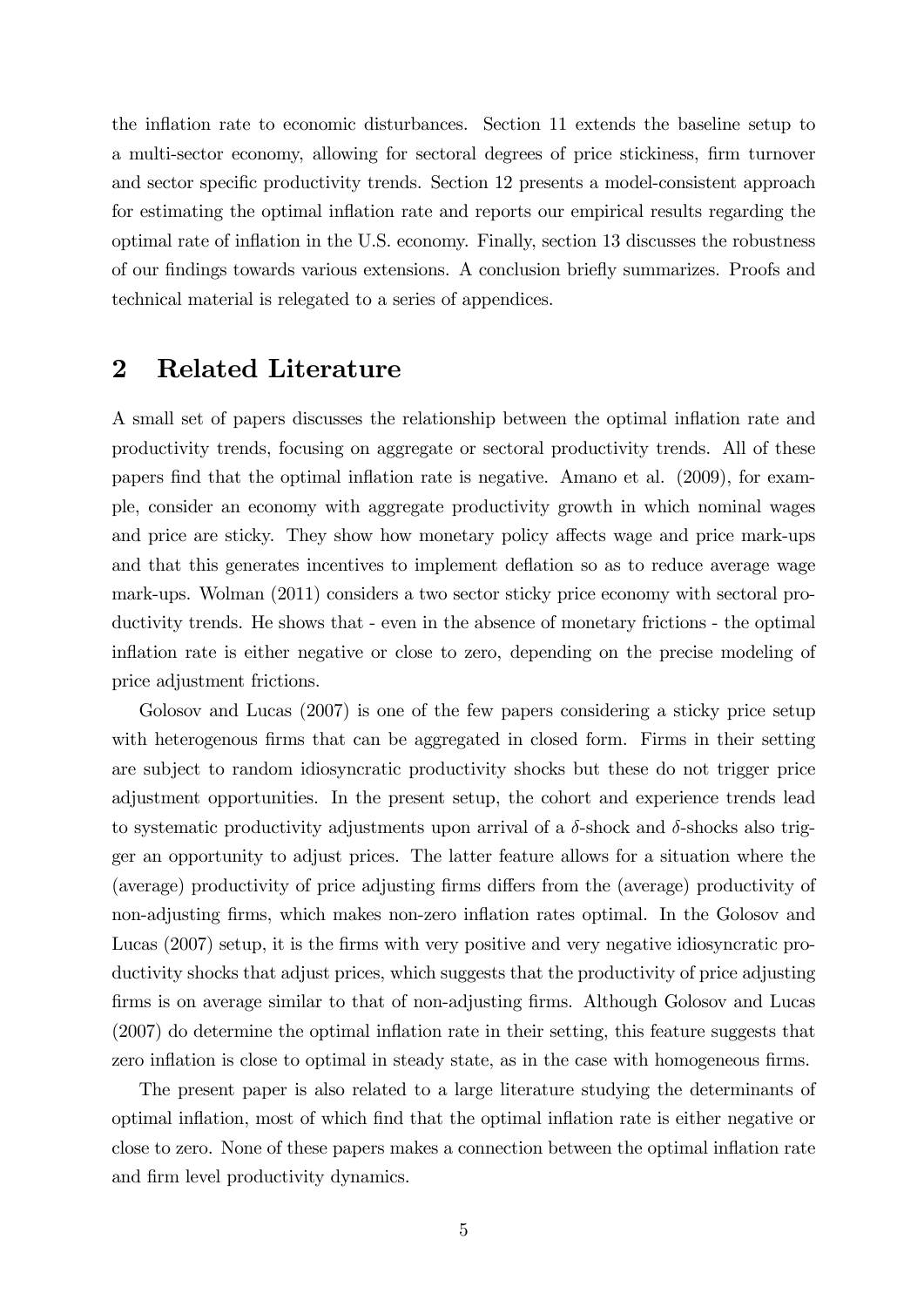the inflation rate to economic disturbances. Section 11 extends the baseline setup to a multi-sector economy, allowing for sectoral degrees of price stickiness, firm turnover and sector specific productivity trends. Section 12 presents a model-consistent approach for estimating the optimal ináation rate and reports our empirical results regarding the optimal rate of ináation in the U.S. economy. Finally, section 13 discusses the robustness of our Öndings towards various extensions. A conclusion brieáy summarizes. Proofs and technical material is relegated to a series of appendices.

### 2 Related Literature

A small set of papers discusses the relationship between the optimal inflation rate and productivity trends, focusing on aggregate or sectoral productivity trends. All of these papers find that the optimal inflation rate is negative. Amano et al. (2009), for example, consider an economy with aggregate productivity growth in which nominal wages and price are sticky. They show how monetary policy affects wage and price mark-ups and that this generates incentives to implement deflation so as to reduce average wage mark-ups. Wolman (2011) considers a two sector sticky price economy with sectoral productivity trends. He shows that - even in the absence of monetary frictions - the optimal inflation rate is either negative or close to zero, depending on the precise modeling of price adjustment frictions.

Golosov and Lucas (2007) is one of the few papers considering a sticky price setup with heterogenous firms that can be aggregated in closed form. Firms in their setting are subject to random idiosyncratic productivity shocks but these do not trigger price adjustment opportunities. In the present setup, the cohort and experience trends lead to systematic productivity adjustments upon arrival of a  $\delta$ -shock and  $\delta$ -shocks also trigger an opportunity to adjust prices. The latter feature allows for a situation where the (average) productivity of price adjusting firms differs from the (average) productivity of non-adjusting firms, which makes non-zero inflation rates optimal. In the Golosov and Lucas (2007) setup, it is the Örms with very positive and very negative idiosyncratic productivity shocks that adjust prices, which suggests that the productivity of price adjusting firms is on average similar to that of non-adjusting firms. Although Golosov and Lucas  $(2007)$  do determine the optimal inflation rate in their setting, this feature suggests that zero inflation is close to optimal in steady state, as in the case with homogeneous firms.

The present paper is also related to a large literature studying the determinants of optimal inflation, most of which find that the optimal inflation rate is either negative or close to zero. None of these papers makes a connection between the optimal inflation rate and firm level productivity dynamics.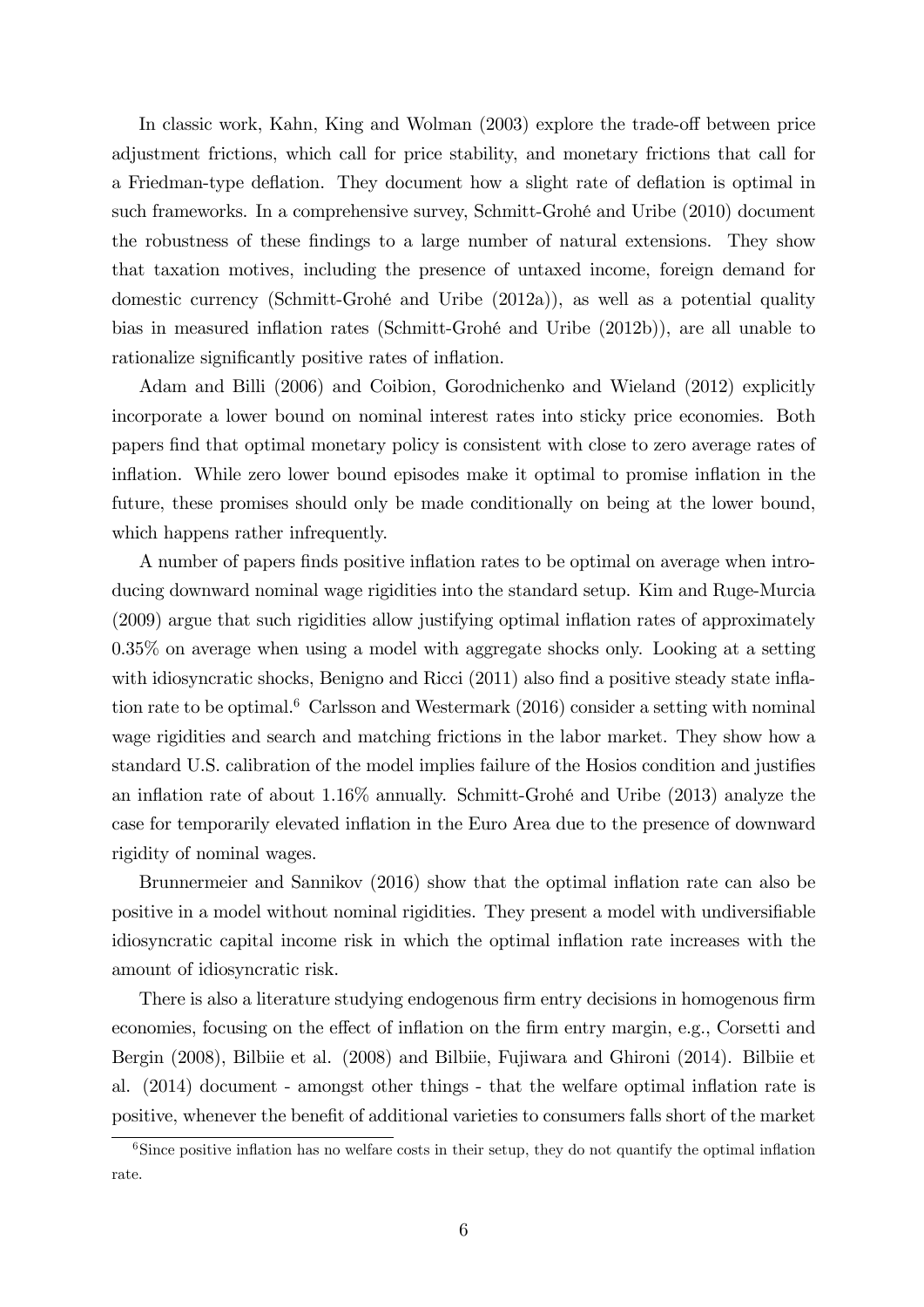In classic work, Kahn, King and Wolman (2003) explore the trade-off between price adjustment frictions, which call for price stability, and monetary frictions that call for a Friedman-type deflation. They document how a slight rate of deflation is optimal in such frameworks. In a comprehensive survey, Schmitt-Grohé and Uribe (2010) document the robustness of these findings to a large number of natural extensions. They show that taxation motives, including the presence of untaxed income, foreign demand for domestic currency (Schmitt-GrohÈ and Uribe (2012a)), as well as a potential quality bias in measured inflation rates (Schmitt-Grohé and Uribe (2012b)), are all unable to rationalize significantly positive rates of inflation.

Adam and Billi (2006) and Coibion, Gorodnichenko and Wieland (2012) explicitly incorporate a lower bound on nominal interest rates into sticky price economies. Both papers Önd that optimal monetary policy is consistent with close to zero average rates of inflation. While zero lower bound episodes make it optimal to promise inflation in the future, these promises should only be made conditionally on being at the lower bound, which happens rather infrequently.

A number of papers finds positive inflation rates to be optimal on average when introducing downward nominal wage rigidities into the standard setup. Kim and Ruge-Murcia (2009) argue that such rigidities allow justifying optimal inflation rates of approximately 0.35% on average when using a model with aggregate shocks only. Looking at a setting with idiosyncratic shocks, Benigno and Ricci  $(2011)$  also find a positive steady state inflation rate to be optimal.<sup>6</sup> Carlsson and Westermark (2016) consider a setting with nominal wage rigidities and search and matching frictions in the labor market. They show how a standard U.S. calibration of the model implies failure of the Hosios condition and justifies an inflation rate of about  $1.16\%$  annually. Schmitt-Grohé and Uribe (2013) analyze the case for temporarily elevated ináation in the Euro Area due to the presence of downward rigidity of nominal wages.

Brunnermeier and Sannikov (2016) show that the optimal inflation rate can also be positive in a model without nominal rigidities. They present a model with undiversifiable idiosyncratic capital income risk in which the optimal inflation rate increases with the amount of idiosyncratic risk.

There is also a literature studying endogenous firm entry decisions in homogenous firm economies, focusing on the effect of inflation on the firm entry margin, e.g., Corsetti and Bergin (2008), Bilbiie et al. (2008) and Bilbiie, Fujiwara and Ghironi (2014). Bilbiie et al. (2014) document - amongst other things - that the welfare optimal inflation rate is positive, whenever the benefit of additional varieties to consumers falls short of the market

 $6\,\mathrm{Since}$  positive inflation has no welfare costs in their setup, they do not quantify the optimal inflation rate.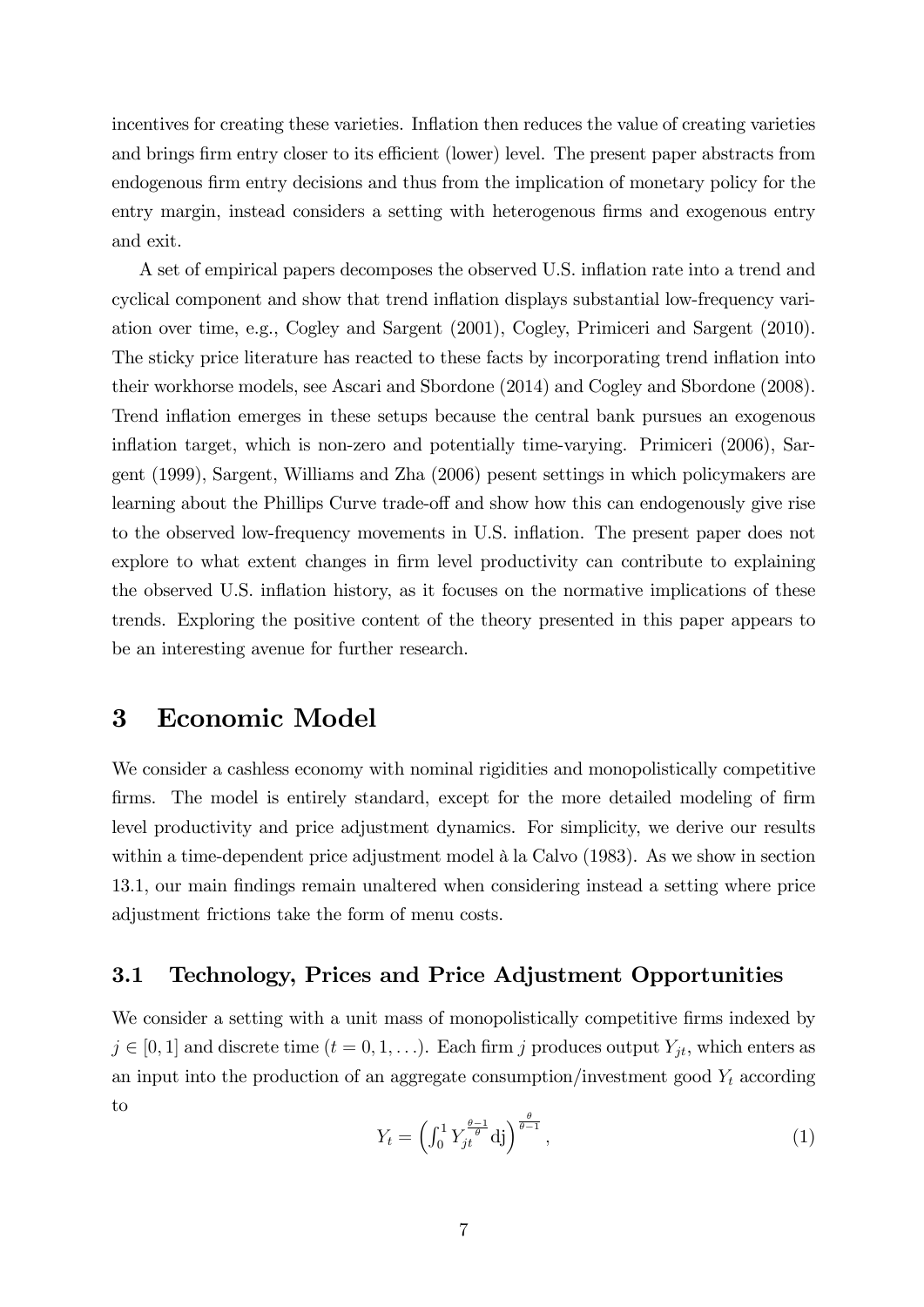incentives for creating these varieties. Inflation then reduces the value of creating varieties and brings firm entry closer to its efficient (lower) level. The present paper abstracts from endogenous firm entry decisions and thus from the implication of monetary policy for the entry margin, instead considers a setting with heterogenous firms and exogenous entry and exit.

A set of empirical papers decomposes the observed U.S. ináation rate into a trend and cyclical component and show that trend inflation displays substantial low-frequency variation over time, e.g., Cogley and Sargent (2001), Cogley, Primiceri and Sargent (2010). The sticky price literature has reacted to these facts by incorporating trend inflation into their workhorse models, see Ascari and Sbordone (2014) and Cogley and Sbordone (2008). Trend inflation emerges in these setups because the central bank pursues an exogenous inflation target, which is non-zero and potentially time-varying. Primiceri (2006), Sargent (1999), Sargent, Williams and Zha (2006) pesent settings in which policymakers are learning about the Phillips Curve trade-off and show how this can endogenously give rise to the observed low-frequency movements in U.S. inflation. The present paper does not explore to what extent changes in firm level productivity can contribute to explaining the observed U.S. inflation history, as it focuses on the normative implications of these trends. Exploring the positive content of the theory presented in this paper appears to be an interesting avenue for further research.

### 3 Economic Model

We consider a cashless economy with nominal rigidities and monopolistically competitive firms. The model is entirely standard, except for the more detailed modeling of firm level productivity and price adjustment dynamics. For simplicity, we derive our results within a time-dependent price adjustment model  $\hat{a}$  la Calvo (1983). As we show in section 13.1, our main Öndings remain unaltered when considering instead a setting where price adjustment frictions take the form of menu costs.

### 3.1 Technology, Prices and Price Adjustment Opportunities

We consider a setting with a unit mass of monopolistically competitive firms indexed by  $j \in [0, 1]$  and discrete time  $(t = 0, 1, \ldots)$ . Each firm j produces output  $Y_{jt}$ , which enters as an input into the production of an aggregate consumption/investment good  $Y_t$  according to

$$
Y_t = \left(\int_0^1 Y_{jt}^{\frac{\theta - 1}{\theta}} \mathrm{d}j\right)^{\frac{\theta}{\theta - 1}},\tag{1}
$$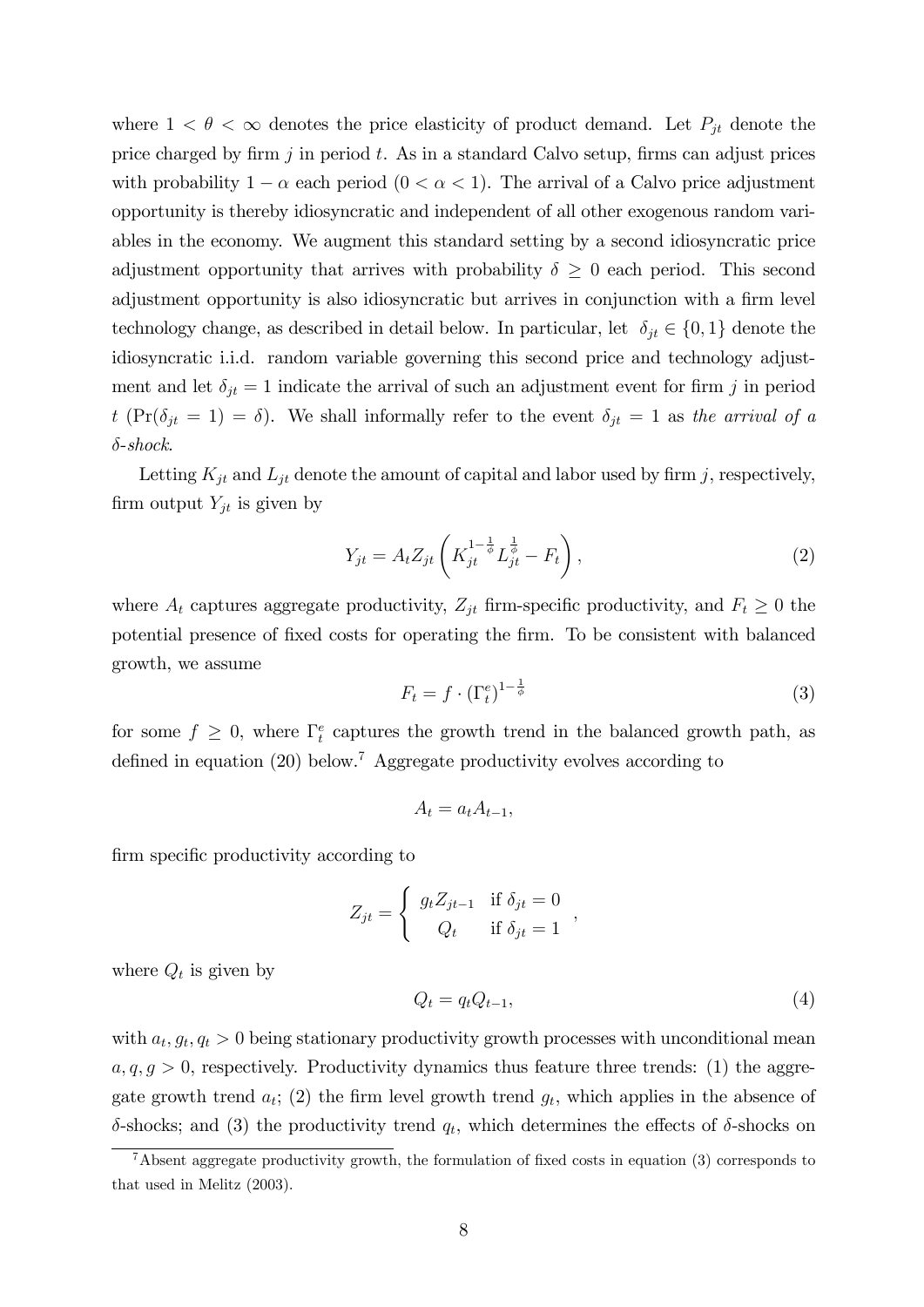where  $1 < \theta < \infty$  denotes the price elasticity of product demand. Let  $P_{jt}$  denote the price charged by firm  $j$  in period  $t$ . As in a standard Calvo setup, firms can adjust prices with probability  $1 - \alpha$  each period  $(0 < \alpha < 1)$ . The arrival of a Calvo price adjustment opportunity is thereby idiosyncratic and independent of all other exogenous random variables in the economy. We augment this standard setting by a second idiosyncratic price adjustment opportunity that arrives with probability  $\delta \geq 0$  each period. This second adjustment opportunity is also idiosyncratic but arrives in conjunction with a firm level technology change, as described in detail below. In particular, let  $\delta_{it} \in \{0, 1\}$  denote the idiosyncratic i.i.d. random variable governing this second price and technology adjustment and let  $\delta_{it} = 1$  indicate the arrival of such an adjustment event for firm j in period t (Pr( $\delta_{jt} = 1$ ) =  $\delta$ ). We shall informally refer to the event  $\delta_{jt} = 1$  as the arrival of a  $\delta$ -shock.

Letting  $K_{jt}$  and  $L_{jt}$  denote the amount of capital and labor used by firm j, respectively, firm output  $Y_{jt}$  is given by

$$
Y_{jt} = A_t Z_{jt} \left( K_{jt}^{1 - \frac{1}{\phi}} L_{jt}^{\frac{1}{\phi}} - F_t \right),
$$
\n(2)

where  $A_t$  captures aggregate productivity,  $Z_{jt}$  firm-specific productivity, and  $F_t \geq 0$  the potential presence of fixed costs for operating the firm. To be consistent with balanced growth, we assume

$$
F_t = f \cdot (\Gamma_t^e)^{1 - \frac{1}{\phi}} \tag{3}
$$

for some  $f \geq 0$ , where  $\Gamma_t^e$  captures the growth trend in the balanced growth path, as defined in equation  $(20)$  below.<sup>7</sup> Aggregate productivity evolves according to

$$
A_t = a_t A_{t-1},
$$

firm specific productivity according to

$$
Z_{jt} = \begin{cases} g_t Z_{jt-1} & \text{if } \delta_{jt} = 0\\ Q_t & \text{if } \delta_{jt} = 1 \end{cases}
$$

where  $Q_t$  is given by

$$
Q_t = q_t Q_{t-1},\tag{4}
$$

;

with  $a_t, g_t, q_t > 0$  being stationary productivity growth processes with unconditional mean  $a, q, g > 0$ , respectively. Productivity dynamics thus feature three trends: (1) the aggregate growth trend  $a_t$ ; (2) the firm level growth trend  $g_t$ , which applies in the absence of  $\delta$ -shocks; and (3) the productivity trend  $q_t$ , which determines the effects of  $\delta$ -shocks on

 $7A$ bsent aggregate productivity growth, the formulation of fixed costs in equation (3) corresponds to that used in Melitz (2003).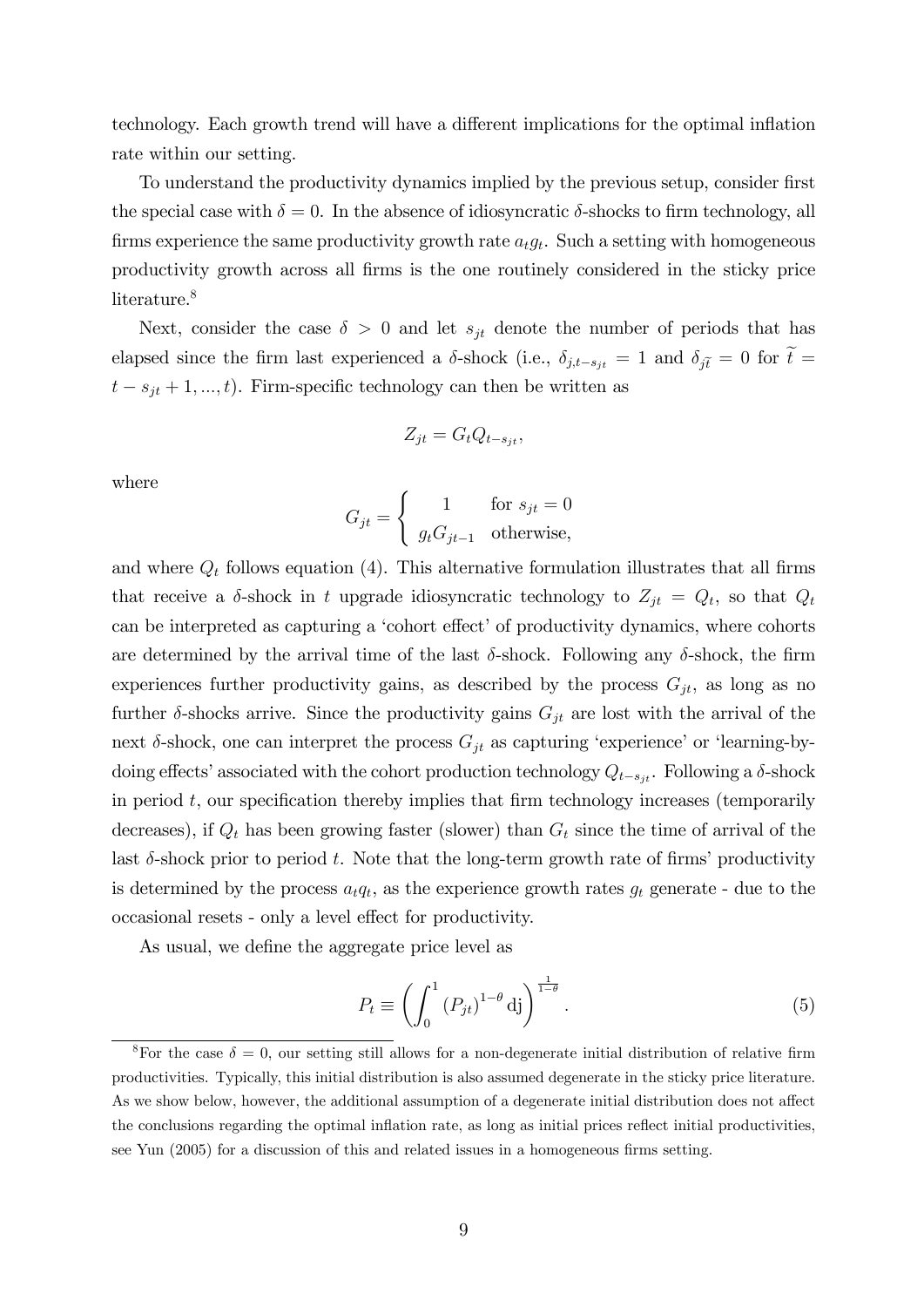technology. Each growth trend will have a different implications for the optimal inflation rate within our setting.

To understand the productivity dynamics implied by the previous setup, consider first the special case with  $\delta = 0$ . In the absence of idiosyncratic  $\delta$ -shocks to firm technology, all firms experience the same productivity growth rate  $a_t g_t$ . Such a setting with homogeneous productivity growth across all Örms is the one routinely considered in the sticky price literature.<sup>8</sup>

Next, consider the case  $\delta > 0$  and let  $s_{jt}$  denote the number of periods that has elapsed since the firm last experienced a  $\delta$ -shock (i.e.,  $\delta_{j,t-s_{jt}} = 1$  and  $\delta_{j\tilde{t}} = 0$  for  $\tilde{t} =$  $t - s_{it} + 1, ..., t$ ). Firm-specific technology can then be written as

$$
Z_{jt} = G_t Q_{t-s_{jt}},
$$

where

$$
G_{jt} = \begin{cases} 1 & \text{for } s_{jt} = 0\\ g_t G_{jt-1} & \text{otherwise,} \end{cases}
$$

and where  $Q_t$  follows equation (4). This alternative formulation illustrates that all firms that receive a  $\delta$ -shock in t upgrade idiosyncratic technology to  $Z_{jt} = Q_t$ , so that  $Q_t$ can be interpreted as capturing a 'cohort effect' of productivity dynamics, where cohorts are determined by the arrival time of the last  $\delta$ -shock. Following any  $\delta$ -shock, the firm experiences further productivity gains, as described by the process  $G_{jt}$ , as long as no further  $\delta$ -shocks arrive. Since the productivity gains  $G_{jt}$  are lost with the arrival of the next  $\delta$ -shock, one can interpret the process  $G_{jt}$  as capturing 'experience' or 'learning-bydoing effects' associated with the cohort production technology  $Q_{t-s_{it}}$ . Following a  $\delta$ -shock in period  $t$ , our specification thereby implies that firm technology increases (temporarily decreases), if  $Q_t$  has been growing faster (slower) than  $G_t$  since the time of arrival of the last  $\delta$ -shock prior to period t. Note that the long-term growth rate of firms' productivity is determined by the process  $a_t q_t$ , as the experience growth rates  $g_t$  generate - due to the occasional resets - only a level effect for productivity.

As usual, we define the aggregate price level as

$$
P_t \equiv \left(\int_0^1 \left(P_{jt}\right)^{1-\theta} \mathrm{d}j\right)^{\frac{1}{1-\theta}}.\tag{5}
$$

<sup>&</sup>lt;sup>8</sup>For the case  $\delta = 0$ , our setting still allows for a non-degenerate initial distribution of relative firm productivities. Typically, this initial distribution is also assumed degenerate in the sticky price literature. As we show below, however, the additional assumption of a degenerate initial distribution does not affect the conclusions regarding the optimal inflation rate, as long as initial prices reflect initial productivities, see Yun  $(2005)$  for a discussion of this and related issues in a homogeneous firms setting.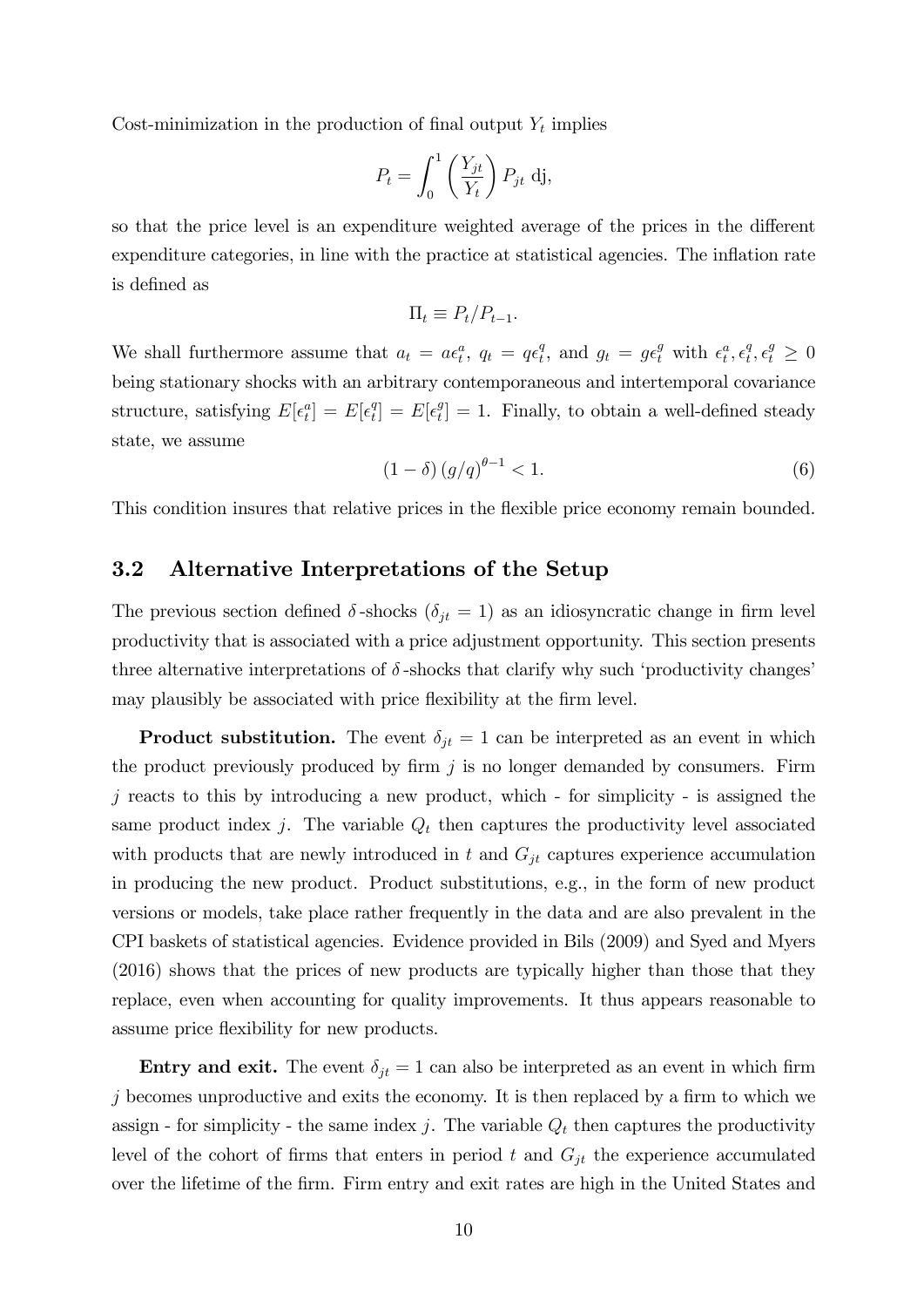Cost-minimization in the production of final output  $Y_t$  implies

$$
P_t = \int_0^1 \left(\frac{Y_{jt}}{Y_t}\right) P_{jt} \, \mathrm{d} \mathbf{j},
$$

so that the price level is an expenditure weighted average of the prices in the different expenditure categories, in line with the practice at statistical agencies. The inflation rate is defined as

$$
\Pi_t \equiv P_t/P_{t-1}.
$$

We shall furthermore assume that  $a_t = a\epsilon_t^a$ ,  $q_t = q\epsilon_t^a$  $t_t^q$ , and  $g_t = g \epsilon_t^g$  with  $\epsilon_t^a, \epsilon_t^q$  $t^q, \epsilon^g_t \geq 0$ being stationary shocks with an arbitrary contemporaneous and intertemporal covariance structure, satisfying  $E[\epsilon_t^a] = E[\epsilon_t^a]$  $\mathcal{E}[t] = E[\epsilon_t^g]$  $t_i^g$  = 1. Finally, to obtain a well-defined steady state, we assume

$$
(1 - \delta) (g/q)^{\theta - 1} < 1. \tag{6}
$$

This condition insures that relative prices in the flexible price economy remain bounded.

### 3.2 Alternative Interpretations of the Setup

The previous section defined  $\delta$ -shocks  $(\delta_{jt} = 1)$  as an idiosyncratic change in firm level productivity that is associated with a price adjustment opportunity. This section presents three alternative interpretations of  $\delta$ -shocks that clarify why such 'productivity changes' may plausibly be associated with price flexibility at the firm level.

**Product substitution.** The event  $\delta_{jt} = 1$  can be interpreted as an event in which the product previously produced by firm  $j$  is no longer demanded by consumers. Firm  $j$  reacts to this by introducing a new product, which - for simplicity - is assigned the same product index j. The variable  $Q_t$  then captures the productivity level associated with products that are newly introduced in t and  $G_{jt}$  captures experience accumulation in producing the new product. Product substitutions, e.g., in the form of new product versions or models, take place rather frequently in the data and are also prevalent in the CPI baskets of statistical agencies. Evidence provided in Bils (2009) and Syed and Myers (2016) shows that the prices of new products are typically higher than those that they replace, even when accounting for quality improvements. It thus appears reasonable to assume price áexibility for new products.

**Entry and exit.** The event  $\delta_{jt} = 1$  can also be interpreted as an event in which firm  $j$  becomes unproductive and exits the economy. It is then replaced by a firm to which we assign - for simplicity - the same index j. The variable  $Q_t$  then captures the productivity level of the cohort of firms that enters in period t and  $G_{it}$  the experience accumulated over the lifetime of the Örm. Firm entry and exit rates are high in the United States and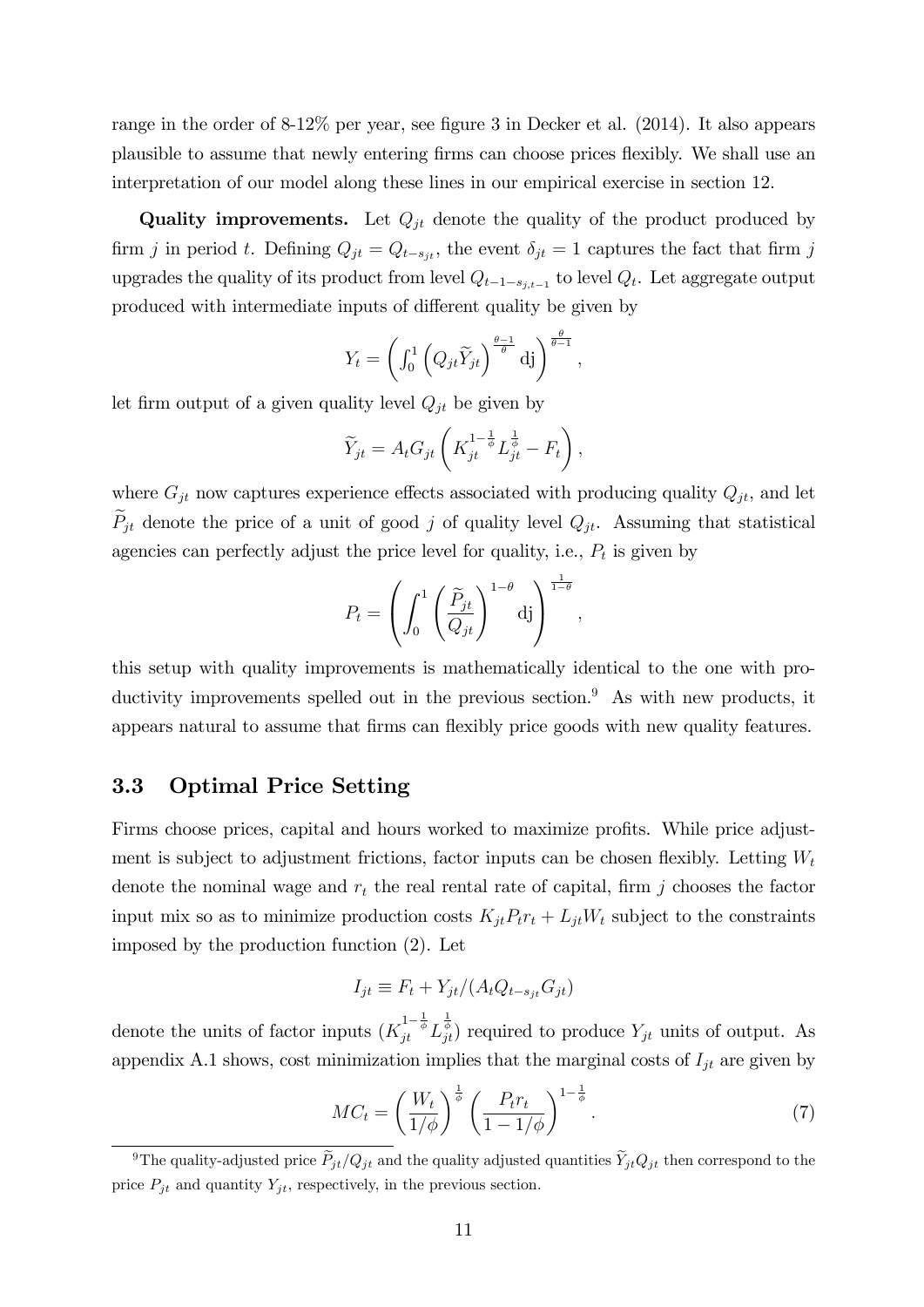range in the order of  $8-12\%$  per year, see figure 3 in Decker et al. (2014). It also appears plausible to assume that newly entering Örms can choose prices áexibly. We shall use an interpretation of our model along these lines in our empirical exercise in section 12.

**Quality improvements.** Let  $Q_{jt}$  denote the quality of the product produced by firm j in period t. Defining  $Q_{jt} = Q_{t-s_{jt}}$ , the event  $\delta_{jt} = 1$  captures the fact that firm j upgrades the quality of its product from level  $Q_{t-1-s_{j,t-1}}$  to level  $Q_t$ . Let aggregate output produced with intermediate inputs of different quality be given by

$$
Y_t = \left(\int_0^1 \left(Q_{jt} \widetilde{Y}_{jt}\right)^{\frac{\theta-1}{\theta}} \mathrm{d}j\right)^{\frac{\theta}{\theta-1}},
$$

let firm output of a given quality level  $Q_{jt}$  be given by

$$
\widetilde{Y}_{jt} = A_t G_{jt} \left( K_{jt}^{1-\frac{1}{\phi}} L_{jt}^{\frac{1}{\phi}} - F_t \right),
$$

where  $G_{jt}$  now captures experience effects associated with producing quality  $Q_{jt}$ , and let  $P_{jt}$  denote the price of a unit of good j of quality level  $Q_{jt}$ . Assuming that statistical agencies can perfectly adjust the price level for quality, i.e.,  $P_t$  is given by

$$
P_t = \left(\int_0^1 \left(\frac{\widetilde{P}_{jt}}{Q_{jt}}\right)^{1-\theta} d\mathrm{j}\right)^{\frac{1}{1-\theta}},
$$

this setup with quality improvements is mathematically identical to the one with productivity improvements spelled out in the previous section.<sup>9</sup> As with new products, it appears natural to assume that firms can flexibly price goods with new quality features.

#### 3.3 Optimal Price Setting

Firms choose prices, capital and hours worked to maximize profits. While price adjustment is subject to adjustment frictions, factor inputs can be chosen flexibly. Letting  $W_t$ denote the nominal wage and  $r_t$  the real rental rate of capital, firm j chooses the factor input mix so as to minimize production costs  $K_{jt}P_tr_t + L_{jt}W_t$  subject to the constraints imposed by the production function (2). Let

$$
I_{jt} \equiv F_t + Y_{jt} / (A_t Q_{t - s_{jt}} G_{jt})
$$

denote the units of factor inputs  $(K_{jt}^{1-\frac{1}{\phi}} L_{jt}^{\frac{1}{\phi}})$  required to produce  $Y_{jt}$  units of output. As appendix A.1 shows, cost minimization implies that the marginal costs of  $I_{jt}$  are given by

$$
MC_t = \left(\frac{W_t}{1/\phi}\right)^{\frac{1}{\phi}} \left(\frac{P_t r_t}{1 - 1/\phi}\right)^{1 - \frac{1}{\phi}}.\tag{7}
$$

<sup>&</sup>lt;sup>9</sup>The quality-adjusted price  $\tilde{P}_{jt}/Q_{jt}$  and the quality adjusted quantities  $\tilde{Y}_{jt}Q_{jt}$  then correspond to the price  $P_{jt}$  and quantity  $Y_{jt}$ , respectively, in the previous section.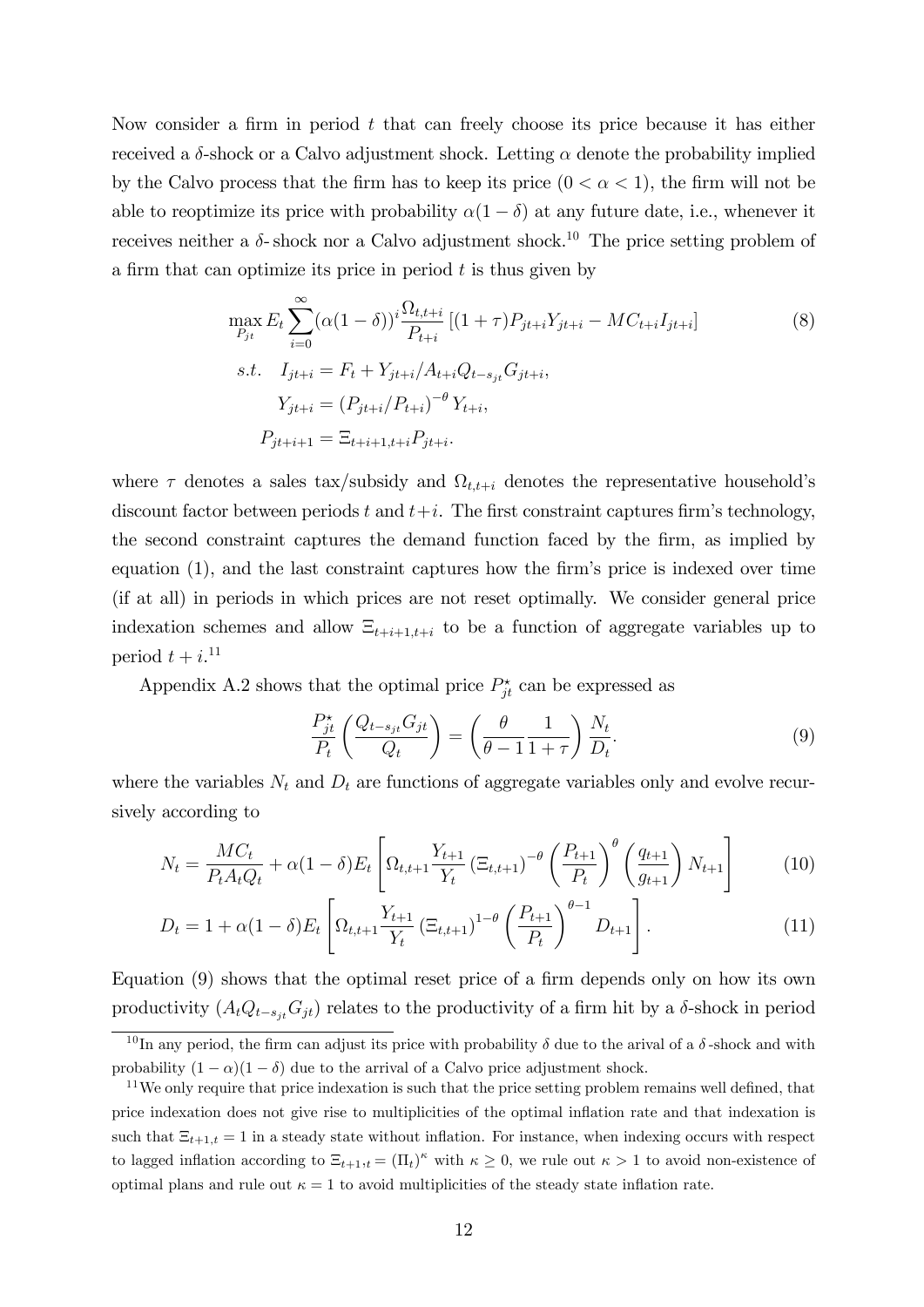Now consider a firm in period  $t$  that can freely choose its price because it has either received a  $\delta$ -shock or a Calvo adjustment shock. Letting  $\alpha$  denote the probability implied by the Calvo process that the firm has to keep its price  $(0 < \alpha < 1)$ , the firm will not be able to reoptimize its price with probability  $\alpha(1 - \delta)$  at any future date, i.e., whenever it receives neither a  $\delta$ - shock nor a Calvo adjustment shock.<sup>10</sup> The price setting problem of a firm that can optimize its price in period  $t$  is thus given by

$$
\max_{P_{jt}} E_t \sum_{i=0}^{\infty} (\alpha (1 - \delta))^i \frac{\Omega_{t,t+i}}{P_{t+i}} [(1 + \tau) P_{jt+i} Y_{jt+i} - MC_{t+i} I_{jt+i}]
$$
\n
$$
s.t. \quad I_{jt+i} = F_t + Y_{jt+i} / A_{t+i} Q_{t-s_{jt}} G_{jt+i},
$$
\n
$$
Y_{jt+i} = (P_{jt+i} / P_{t+i})^{-\theta} Y_{t+i},
$$
\n
$$
P_{jt+i+1} = \Xi_{t+i+1,t+i} P_{jt+i}.
$$
\n(8)

where  $\tau$  denotes a sales tax/subsidy and  $\Omega_{t,t+i}$  denotes the representative household's discount factor between periods t and  $t+i$ . The first constraint captures firm's technology, the second constraint captures the demand function faced by the firm, as implied by equation  $(1)$ , and the last constraint captures how the firm's price is indexed over time (if at all) in periods in which prices are not reset optimally. We consider general price indexation schemes and allow  $\Xi_{t+i+1,t+i}$  to be a function of aggregate variables up to period  $t + i$ <sup>11</sup>

Appendix A.2 shows that the optimal price  $P_{jt}^{\star}$  can be expressed as

$$
\frac{P_{jt}^*}{P_t} \left( \frac{Q_{t-s_{jt}} G_{jt}}{Q_t} \right) = \left( \frac{\theta}{\theta - 1} \frac{1}{1 + \tau} \right) \frac{N_t}{D_t}.
$$
\n(9)

where the variables  $N_t$  and  $D_t$  are functions of aggregate variables only and evolve recursively according to

$$
N_t = \frac{MC_t}{P_t A_t Q_t} + \alpha (1 - \delta) E_t \left[ \Omega_{t, t+1} \frac{Y_{t+1}}{Y_t} \left( \Xi_{t, t+1} \right)^{-\theta} \left( \frac{P_{t+1}}{P_t} \right)^{\theta} \left( \frac{q_{t+1}}{g_{t+1}} \right) N_{t+1} \right]
$$
(10)

$$
D_t = 1 + \alpha (1 - \delta) E_t \left[ \Omega_{t, t+1} \frac{Y_{t+1}}{Y_t} \left( \Xi_{t, t+1} \right)^{1-\theta} \left( \frac{P_{t+1}}{P_t} \right)^{\theta-1} D_{t+1} \right]. \tag{11}
$$

Equation  $(9)$  shows that the optimal reset price of a firm depends only on how its own productivity  $(A_tQ_{t-s_{jt}}G_{jt})$  relates to the productivity of a firm hit by a  $\delta$ -shock in period

<sup>&</sup>lt;sup>10</sup> In any period, the firm can adjust its price with probability  $\delta$  due to the arival of a  $\delta$ -shock and with probability  $(1 - \alpha)(1 - \delta)$  due to the arrival of a Calvo price adjustment shock.

<sup>&</sup>lt;sup>11</sup>We only require that price indexation is such that the price setting problem remains well defined, that price indexation does not give rise to multiplicities of the optimal ináation rate and that indexation is such that  $\Xi_{t+1,t} = 1$  in a steady state without inflation. For instance, when indexing occurs with respect to lagged inflation according to  $\Xi_{t+1,t} = (\Pi_t)^{\kappa}$  with  $\kappa \geq 0$ , we rule out  $\kappa > 1$  to avoid non-existence of optimal plans and rule out  $\kappa = 1$  to avoid multiplicities of the steady state inflation rate.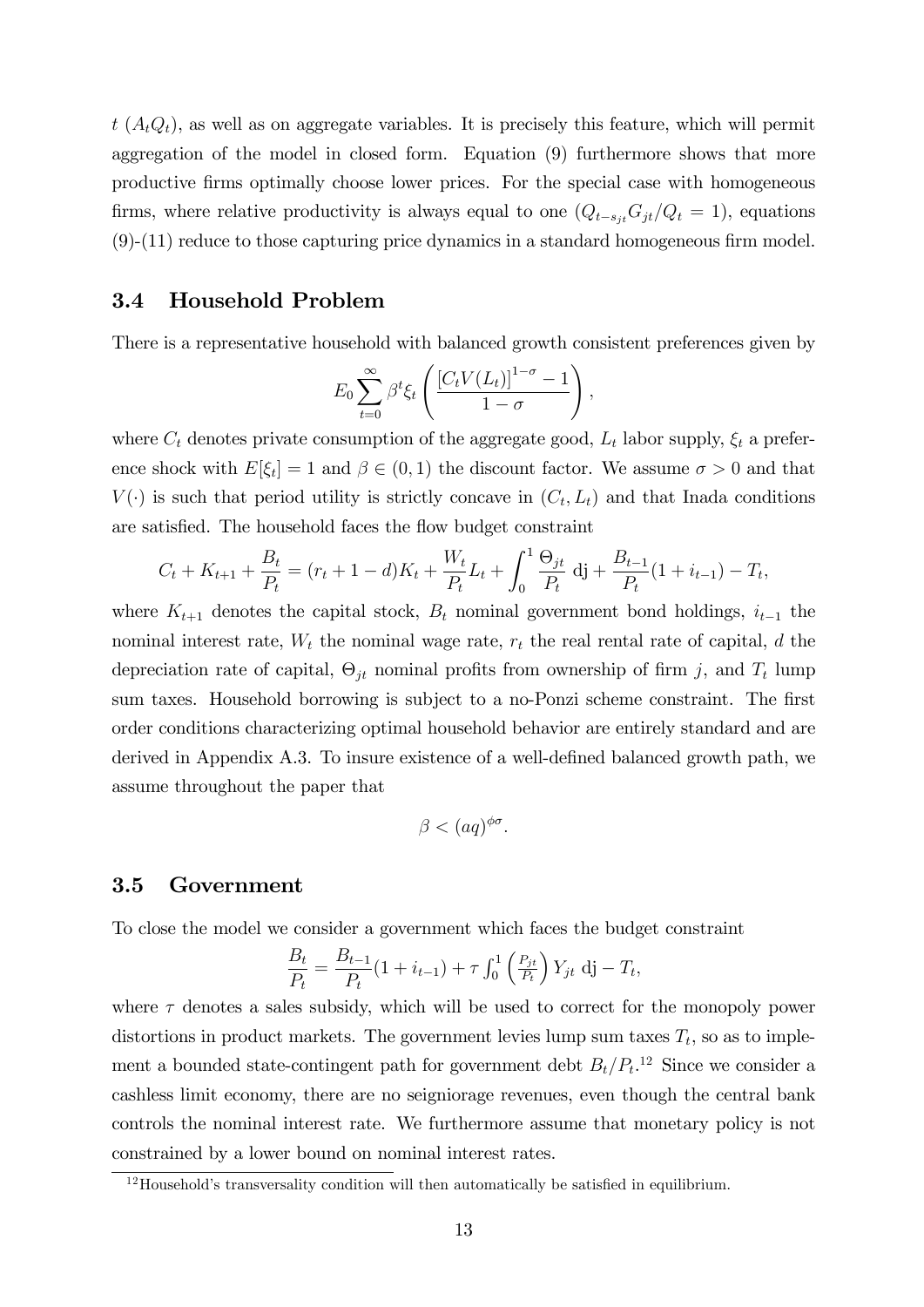$t (A_t Q_t)$ , as well as on aggregate variables. It is precisely this feature, which will permit aggregation of the model in closed form. Equation (9) furthermore shows that more productive Örms optimally choose lower prices. For the special case with homogeneous firms, where relative productivity is always equal to one  $(Q_{t-s_{it}}G_{jt}/Q_t = 1)$ , equations  $(9)-(11)$  reduce to those capturing price dynamics in a standard homogeneous firm model.

#### 3.4 Household Problem

There is a representative household with balanced growth consistent preferences given by

$$
E_0 \sum_{t=0}^{\infty} \beta^t \xi_t \left( \frac{\left[ C_t V(L_t) \right]^{1-\sigma} - 1}{1-\sigma} \right),
$$

where  $C_t$  denotes private consumption of the aggregate good,  $L_t$  labor supply,  $\xi_t$  a preference shock with  $E[\xi_t] = 1$  and  $\beta \in (0, 1)$  the discount factor. We assume  $\sigma > 0$  and that  $V(\cdot)$  is such that period utility is strictly concave in  $(C_t, L_t)$  and that Inada conditions are satisfied. The household faces the flow budget constraint

$$
C_t + K_{t+1} + \frac{B_t}{P_t} = (r_t + 1 - d)K_t + \frac{W_t}{P_t}L_t + \int_0^1 \frac{\Theta_{jt}}{P_t} \, \mathrm{d}j + \frac{B_{t-1}}{P_t} (1 + i_{t-1}) - T_t,
$$

where  $K_{t+1}$  denotes the capital stock,  $B_t$  nominal government bond holdings,  $i_{t-1}$  the nominal interest rate,  $W_t$  the nominal wage rate,  $r_t$  the real rental rate of capital, d the depreciation rate of capital,  $\Theta_{jt}$  nominal profits from ownership of firm j, and  $T_t$  lump sum taxes. Household borrowing is subject to a no-Ponzi scheme constraint. The first order conditions characterizing optimal household behavior are entirely standard and are derived in Appendix A.3. To insure existence of a well-defined balanced growth path, we assume throughout the paper that

$$
\beta < (aq)^{\phi\sigma}.
$$

#### 3.5 Government

To close the model we consider a government which faces the budget constraint

$$
\frac{B_t}{P_t} = \frac{B_{t-1}}{P_t} (1 + i_{t-1}) + \tau \int_0^1 \left( \frac{P_{jt}}{P_t} \right) Y_{jt} \, \mathrm{d}j - T_t,
$$

where  $\tau$  denotes a sales subsidy, which will be used to correct for the monopoly power distortions in product markets. The government levies lump sum taxes  $T_t$ , so as to implement a bounded state-contingent path for government debt  $B_t/P_t$ <sup>12</sup> Since we consider a cashless limit economy, there are no seigniorage revenues, even though the central bank controls the nominal interest rate. We furthermore assume that monetary policy is not constrained by a lower bound on nominal interest rates.

 $12$ Household's transversality condition will then automatically be satisfied in equilibrium.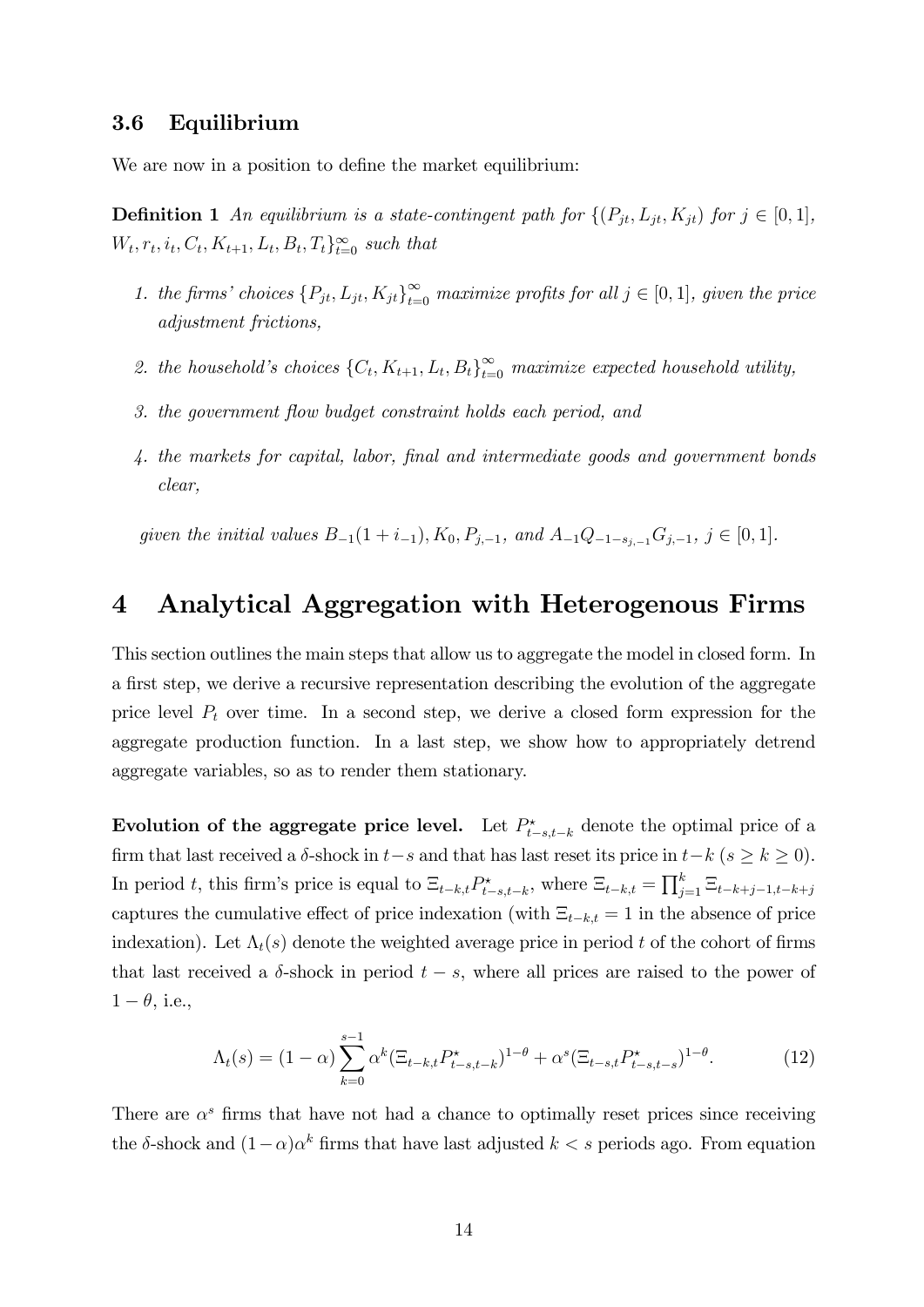#### 3.6 Equilibrium

We are now in a position to define the market equilibrium:

**Definition 1** An equilibrium is a state-contingent path for  $\{(P_{jt}, L_{jt}, K_{jt})$  for  $j \in [0, 1],$  $W_t, r_t, i_t, C_t, K_{t+1}, L_t, B_t, T_t\}_{t=0}^{\infty}$  such that

- 1. the firms' choices  $\{P_{jt}, L_{jt}, K_{jt}\}_{t=0}^{\infty}$  maximize profits for all  $j \in [0, 1]$ , given the price adjustment frictions,
- 2. the household's choices  $\{C_t, K_{t+1}, L_t, B_t\}_{t=0}^{\infty}$  maximize expected household utility,
- 3. the government flow budget constraint holds each period, and
- 4. the markets for capital, labor, final and intermediate goods and government bonds clear,

given the initial values  $B_{-1}(1 + i_{-1}), K_0, P_{j,-1},$  and  $A_{-1}Q_{-1-s_{i-1}}G_{j,-1}, j \in [0, 1].$ 

### 4 Analytical Aggregation with Heterogenous Firms

This section outlines the main steps that allow us to aggregate the model in closed form. In a first step, we derive a recursive representation describing the evolution of the aggregate price level  $P_t$  over time. In a second step, we derive a closed form expression for the aggregate production function. In a last step, we show how to appropriately detrend aggregate variables, so as to render them stationary.

Evolution of the aggregate price level. Let  $P_{t-s,t-k}^{\star}$  denote the optimal price of a firm that last received a  $\delta$ -shock in  $t-s$  and that has last reset its price in  $t-k$  ( $s \ge k \ge 0$ ). In period t, this firm's price is equal to  $\Xi_{t-k,t} P_{t-s,t-k}^*$ , where  $\Xi_{t-k,t} = \prod_{j=1}^k \Xi_{t-k+j-1,t-k+j}$ captures the cumulative effect of price indexation (with  $\Xi_{t-k,t} = 1$  in the absence of price indexation). Let  $\Lambda_t(s)$  denote the weighted average price in period t of the cohort of firms that last received a  $\delta$ -shock in period  $t - s$ , where all prices are raised to the power of  $1 - \theta$ , i.e.,

$$
\Lambda_t(s) = (1 - \alpha) \sum_{k=0}^{s-1} \alpha^k (\Xi_{t-k,t} P_{t-s,t-k}^*)^{1-\theta} + \alpha^s (\Xi_{t-s,t} P_{t-s,t-s}^*)^{1-\theta}.
$$
 (12)

There are  $\alpha^s$  firms that have not had a chance to optimally reset prices since receiving the  $\delta$ -shock and  $(1-\alpha)\alpha^k$  firms that have last adjusted  $k < s$  periods ago. From equation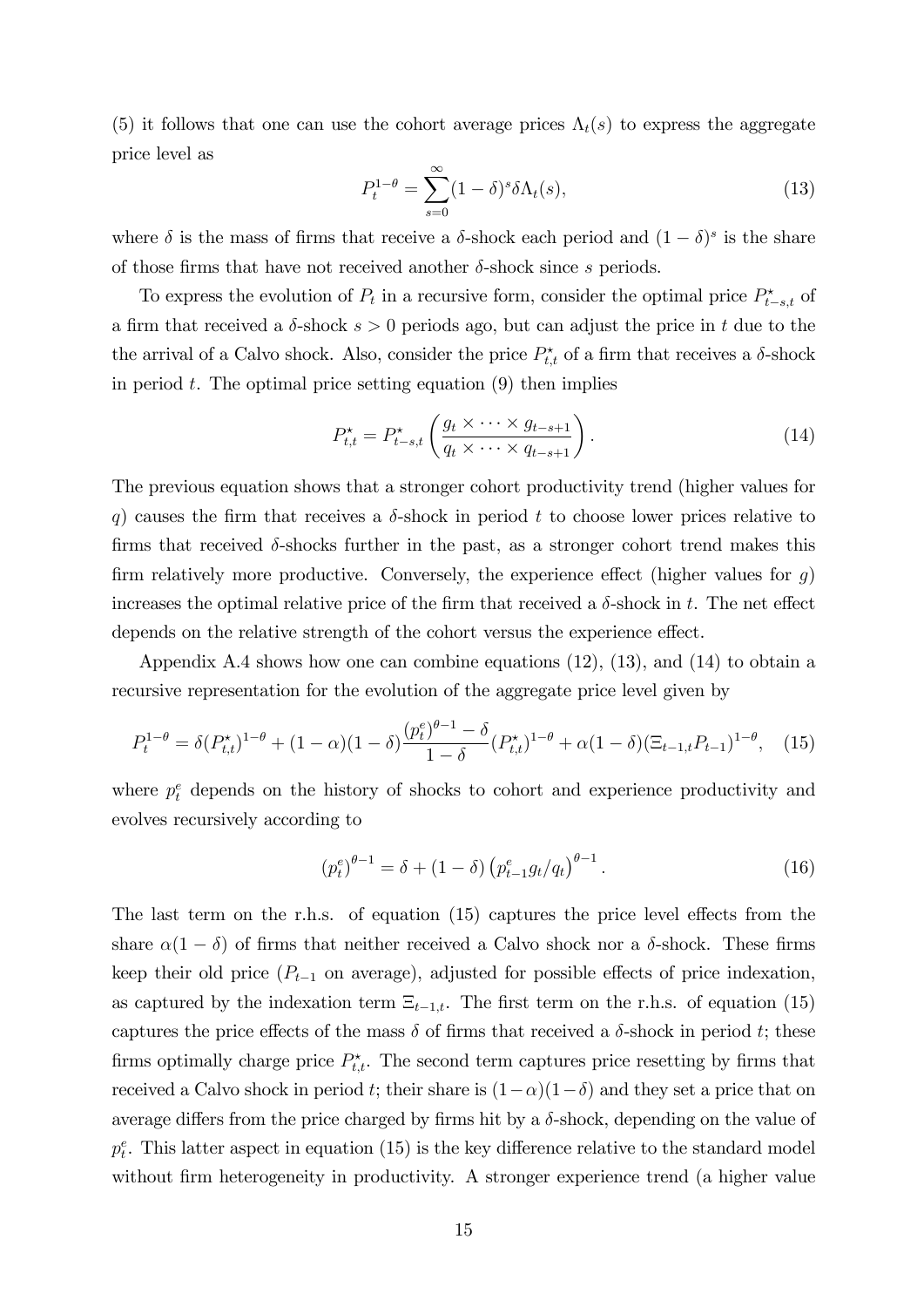(5) it follows that one can use the cohort average prices  $\Lambda_t(s)$  to express the aggregate price level as

$$
P_t^{1-\theta} = \sum_{s=0}^{\infty} (1-\delta)^s \delta \Lambda_t(s), \qquad (13)
$$

where  $\delta$  is the mass of firms that receive a  $\delta$ -shock each period and  $(1 - \delta)^s$  is the share of those firms that have not received another  $\delta$ -shock since s periods.

To express the evolution of  $P_t$  in a recursive form, consider the optimal price  $P_{t-s,t}^*$  of a firm that received a  $\delta$ -shock  $s > 0$  periods ago, but can adjust the price in t due to the the arrival of a Calvo shock. Also, consider the price  $P_{t,t}^{\star}$  of a firm that receives a  $\delta$ -shock in period  $t$ . The optimal price setting equation  $(9)$  then implies

$$
P_{t,t}^* = P_{t-s,t}^* \left( \frac{g_t \times \dots \times g_{t-s+1}}{q_t \times \dots \times q_{t-s+1}} \right).
$$
 (14)

The previous equation shows that a stronger cohort productivity trend (higher values for q) causes the firm that receives a  $\delta$ -shock in period t to choose lower prices relative to firms that received  $\delta$ -shocks further in the past, as a stronger cohort trend makes this firm relatively more productive. Conversely, the experience effect (higher values for  $g$ ) increases the optimal relative price of the firm that received a  $\delta$ -shock in t. The net effect depends on the relative strength of the cohort versus the experience effect.

Appendix A.4 shows how one can combine equations (12), (13), and (14) to obtain a recursive representation for the evolution of the aggregate price level given by

$$
P_t^{1-\theta} = \delta(P_{t,t}^{\star})^{1-\theta} + (1-\alpha)(1-\delta)\frac{(p_t^e)^{\theta-1} - \delta}{1-\delta}(P_{t,t}^{\star})^{1-\theta} + \alpha(1-\delta)(\Xi_{t-1,t}P_{t-1})^{1-\theta}, \quad (15)
$$

where  $p_t^e$  depends on the history of shocks to cohort and experience productivity and evolves recursively according to

$$
(p_t^e)^{\theta - 1} = \delta + (1 - \delta) \left( p_{t-1}^e g_t / q_t \right)^{\theta - 1}.
$$
 (16)

The last term on the r.h.s. of equation  $(15)$  captures the price level effects from the share  $\alpha(1 - \delta)$  of firms that neither received a Calvo shock nor a  $\delta$ -shock. These firms keep their old price  $(P_{t-1}$  on average), adjusted for possible effects of price indexation, as captured by the indexation term  $\Xi_{t-1,t}$ . The first term on the r.h.s. of equation (15) captures the price effects of the mass  $\delta$  of firms that received a  $\delta$ -shock in period t; these firms optimally charge price  $P_{t,t}^{\star}$ . The second term captures price resetting by firms that received a Calvo shock in period t; their share is  $(1-\alpha)(1-\delta)$  and they set a price that on average differs from the price charged by firms hit by a  $\delta$ -shock, depending on the value of  $p_t^e$ . This latter aspect in equation (15) is the key difference relative to the standard model without firm heterogeneity in productivity. A stronger experience trend (a higher value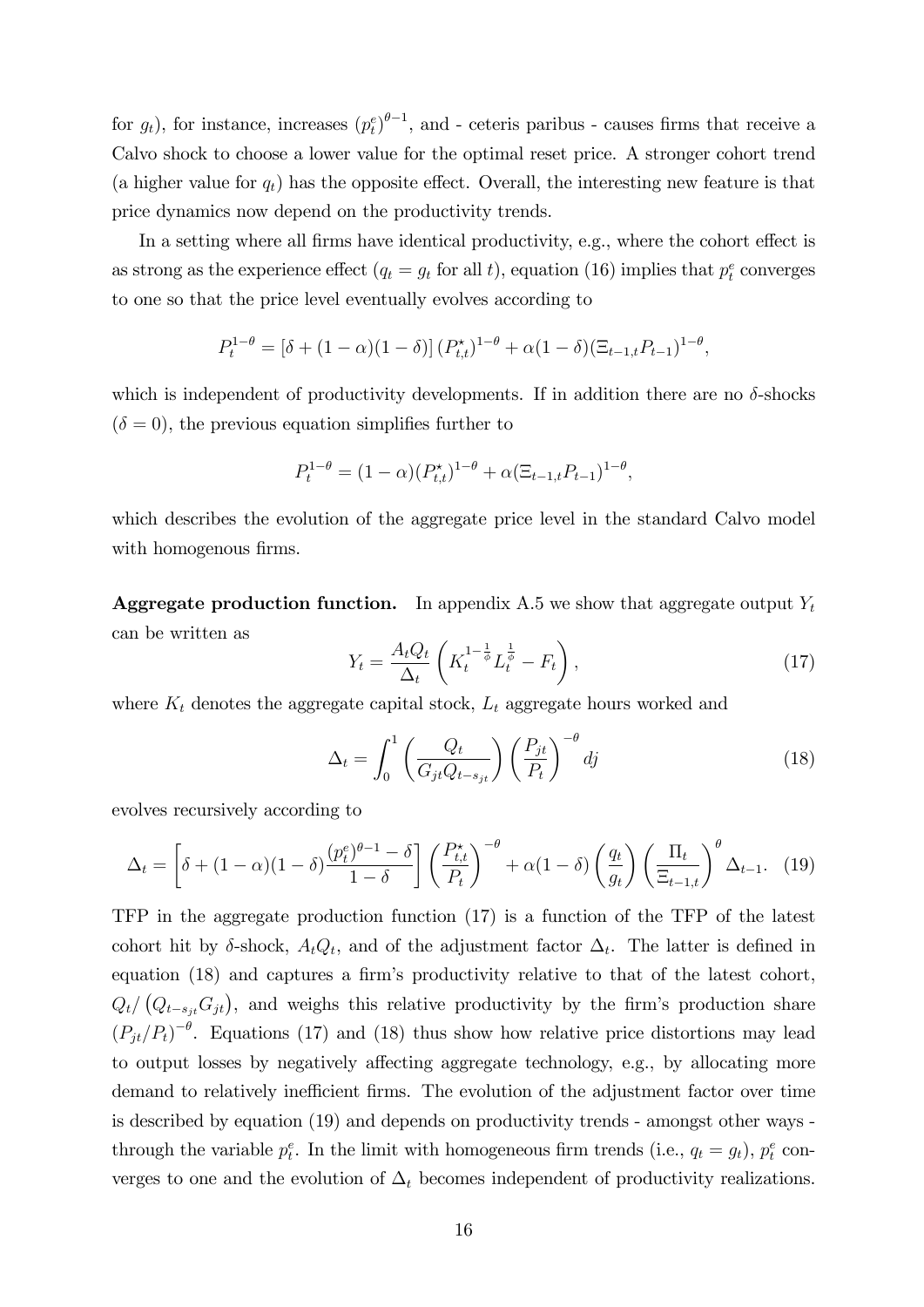for  $g_t$ ), for instance, increases  $(p_t^e)^{\theta-1}$ , and - ceteris paribus - causes firms that receive a Calvo shock to choose a lower value for the optimal reset price. A stronger cohort trend (a higher value for  $q_t$ ) has the opposite effect. Overall, the interesting new feature is that price dynamics now depend on the productivity trends.

In a setting where all firms have identical productivity, e.g., where the cohort effect is as strong as the experience effect  $(q_t = g_t \text{ for all } t)$ , equation (16) implies that  $p_t^e$  converges to one so that the price level eventually evolves according to

$$
P_t^{1-\theta} = [\delta + (1-\alpha)(1-\delta)] (P_{t,t}^{\star})^{1-\theta} + \alpha(1-\delta)(\Xi_{t-1,t}P_{t-1})^{1-\theta},
$$

which is independent of productivity developments. If in addition there are no  $\delta$ -shocks  $(\delta = 0)$ , the previous equation simplifies further to

$$
P_t^{1-\theta} = (1-\alpha)(P_{t,t}^*)^{1-\theta} + \alpha(\Xi_{t-1,t}P_{t-1})^{1-\theta},
$$

which describes the evolution of the aggregate price level in the standard Calvo model with homogenous firms.

**Aggregate production function.** In appendix A.5 we show that aggregate output  $Y_t$ can be written as

$$
Y_t = \frac{A_t Q_t}{\Delta_t} \left( K_t^{1 - \frac{1}{\phi}} L_t^{\frac{1}{\phi}} - F_t \right),\tag{17}
$$

where  $K_t$  denotes the aggregate capital stock,  $L_t$  aggregate hours worked and

$$
\Delta_t = \int_0^1 \left( \frac{Q_t}{G_{jt} Q_{t-s_{jt}}} \right) \left( \frac{P_{jt}}{P_t} \right)^{-\theta} dj \tag{18}
$$

evolves recursively according to

$$
\Delta_t = \left[ \delta + (1 - \alpha)(1 - \delta) \frac{(p_t^e)^{\theta - 1} - \delta}{1 - \delta} \right] \left( \frac{P_{t,t}^{\star}}{P_t} \right)^{-\theta} + \alpha (1 - \delta) \left( \frac{q_t}{g_t} \right) \left( \frac{\Pi_t}{\Xi_{t-1,t}} \right)^{\theta} \Delta_{t-1}.
$$
 (19)

TFP in the aggregate production function (17) is a function of the TFP of the latest cohort hit by  $\delta$ -shock,  $A_t Q_t$ , and of the adjustment factor  $\Delta_t$ . The latter is defined in equation  $(18)$  and captures a firm's productivity relative to that of the latest cohort,  $Q_t/(Q_{t-s_{jt}}G_{jt}),$  and weighs this relative productivity by the firm's production share  $\left(P_{jt}/P_t\right)^{-\theta}$ . Equations (17) and (18) thus show how relative price distortions may lead to output losses by negatively affecting aggregate technology, e.g., by allocating more demand to relatively inefficient firms. The evolution of the adjustment factor over time is described by equation (19) and depends on productivity trends - amongst other ways through the variable  $p_t^e$ . In the limit with homogeneous firm trends (i.e.,  $q_t = g_t$ ),  $p_t^e$  converges to one and the evolution of  $\Delta_t$  becomes independent of productivity realizations.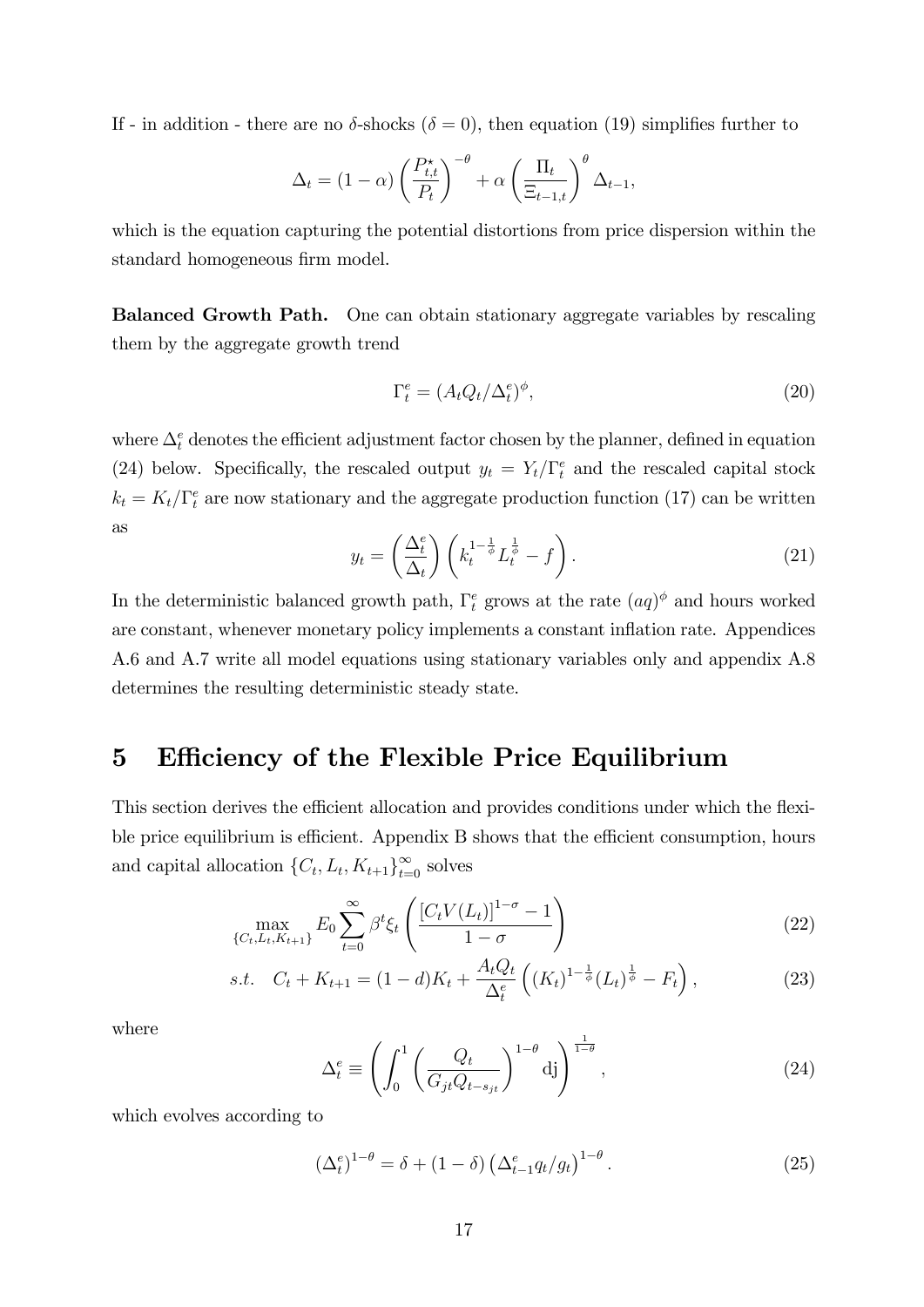If - in addition - there are no  $\delta$ -shocks ( $\delta = 0$ ), then equation (19) simplifies further to

$$
\Delta_t = (1 - \alpha) \left(\frac{P_{t,t}^{\star}}{P_t}\right)^{-\theta} + \alpha \left(\frac{\Pi_t}{\Xi_{t-1,t}}\right)^{\theta} \Delta_{t-1},
$$

which is the equation capturing the potential distortions from price dispersion within the standard homogeneous firm model.

Balanced Growth Path. One can obtain stationary aggregate variables by rescaling them by the aggregate growth trend

$$
\Gamma_t^e = (A_t Q_t / \Delta_t^e)^{\phi},\tag{20}
$$

where  $\Delta_t^e$  denotes the efficient adjustment factor chosen by the planner, defined in equation (24) below. Specifically, the rescaled output  $y_t = Y_t/\Gamma_t^e$  and the rescaled capital stock  $k_t = K_t/\Gamma_t^e$  are now stationary and the aggregate production function (17) can be written as

$$
y_t = \left(\frac{\Delta_t^e}{\Delta_t}\right) \left(k_t^{1-\frac{1}{\phi}} L_t^{\frac{1}{\phi}} - f\right). \tag{21}
$$

In the deterministic balanced growth path,  $\Gamma_t^e$  grows at the rate  $(aq)$ <sup> $\phi$ </sup> and hours worked are constant, whenever monetary policy implements a constant inflation rate. Appendices A.6 and A.7 write all model equations using stationary variables only and appendix A.8 determines the resulting deterministic steady state.

### 5 Efficiency of the Flexible Price Equilibrium

This section derives the efficient allocation and provides conditions under which the flexible price equilibrium is efficient. Appendix B shows that the efficient consumption, hours and capital allocation  $\{C_t, L_t, K_{t+1}\}_{t=0}^{\infty}$  solves

$$
\max_{\{C_t, L_t, K_{t+1}\}} E_0 \sum_{t=0}^{\infty} \beta^t \xi_t \left( \frac{[C_t V(L_t)]^{1-\sigma} - 1}{1-\sigma} \right)
$$
 (22)

s.t. 
$$
C_t + K_{t+1} = (1 - d)K_t + \frac{A_t Q_t}{\Delta_t^e} \left( (K_t)^{1 - \frac{1}{\phi}} (L_t)^{\frac{1}{\phi}} - F_t \right),
$$
 (23)

where

$$
\Delta_t^e \equiv \left( \int_0^1 \left( \frac{Q_t}{G_{jt} Q_{t-s_{jt}}} \right)^{1-\theta} d\mathbf{j} \right)^{\frac{1}{1-\theta}}, \qquad (24)
$$

which evolves according to

$$
\left(\Delta_t^e\right)^{1-\theta} = \delta + (1-\delta) \left(\Delta_{t-1}^e q_t / g_t\right)^{1-\theta}.
$$
\n(25)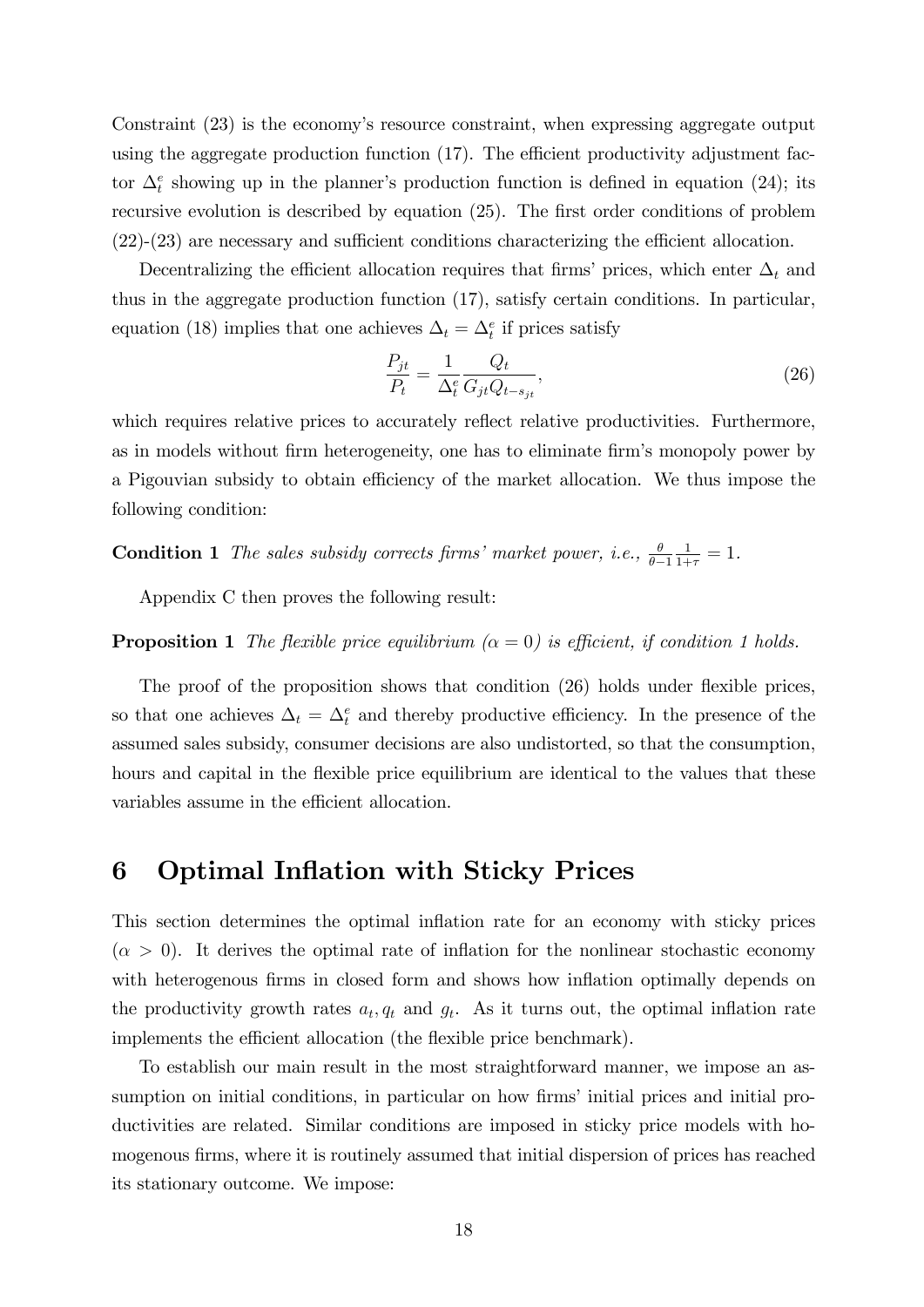Constraint (23) is the economy's resource constraint, when expressing aggregate output using the aggregate production function  $(17)$ . The efficient productivity adjustment factor  $\Delta_t^e$  showing up in the planner's production function is defined in equation (24); its recursive evolution is described by equation  $(25)$ . The first order conditions of problem  $(22)-(23)$  are necessary and sufficient conditions characterizing the efficient allocation.

Decentralizing the efficient allocation requires that firms' prices, which enter  $\Delta_t$  and thus in the aggregate production function (17), satisfy certain conditions. In particular, equation (18) implies that one achieves  $\Delta_t = \Delta_t^e$  if prices satisfy

$$
\frac{P_{jt}}{P_t} = \frac{1}{\Delta_t^e} \frac{Q_t}{G_{jt} Q_{t-s_{jt}}},\tag{26}
$$

which requires relative prices to accurately reflect relative productivities. Furthermore, as in models without firm heterogeneity, one has to eliminate firm's monopoly power by a Pigouvian subsidy to obtain efficiency of the market allocation. We thus impose the following condition:

**Condition 1** The sales subsidy corrects firms' market power, i.e.,  $\frac{\theta}{\theta-1}$  $\frac{1}{1+\tau} = 1.$ 

Appendix C then proves the following result:

#### **Proposition 1** The flexible price equilibrium  $(\alpha = 0)$  is efficient, if condition 1 holds.

The proof of the proposition shows that condition (26) holds under flexible prices, so that one achieves  $\Delta_t = \Delta_t^e$  and thereby productive efficiency. In the presence of the assumed sales subsidy, consumer decisions are also undistorted, so that the consumption, hours and capital in the flexible price equilibrium are identical to the values that these variables assume in the efficient allocation.

### 6 Optimal Inflation with Sticky Prices

This section determines the optimal inflation rate for an economy with sticky prices  $(\alpha > 0)$ . It derives the optimal rate of inflation for the nonlinear stochastic economy with heterogenous firms in closed form and shows how inflation optimally depends on the productivity growth rates  $a_t, q_t$  and  $g_t$ . As it turns out, the optimal inflation rate implements the efficient allocation (the flexible price benchmark).

To establish our main result in the most straightforward manner, we impose an assumption on initial conditions, in particular on how firms' initial prices and initial productivities are related. Similar conditions are imposed in sticky price models with homogenous firms, where it is routinely assumed that initial dispersion of prices has reached its stationary outcome. We impose: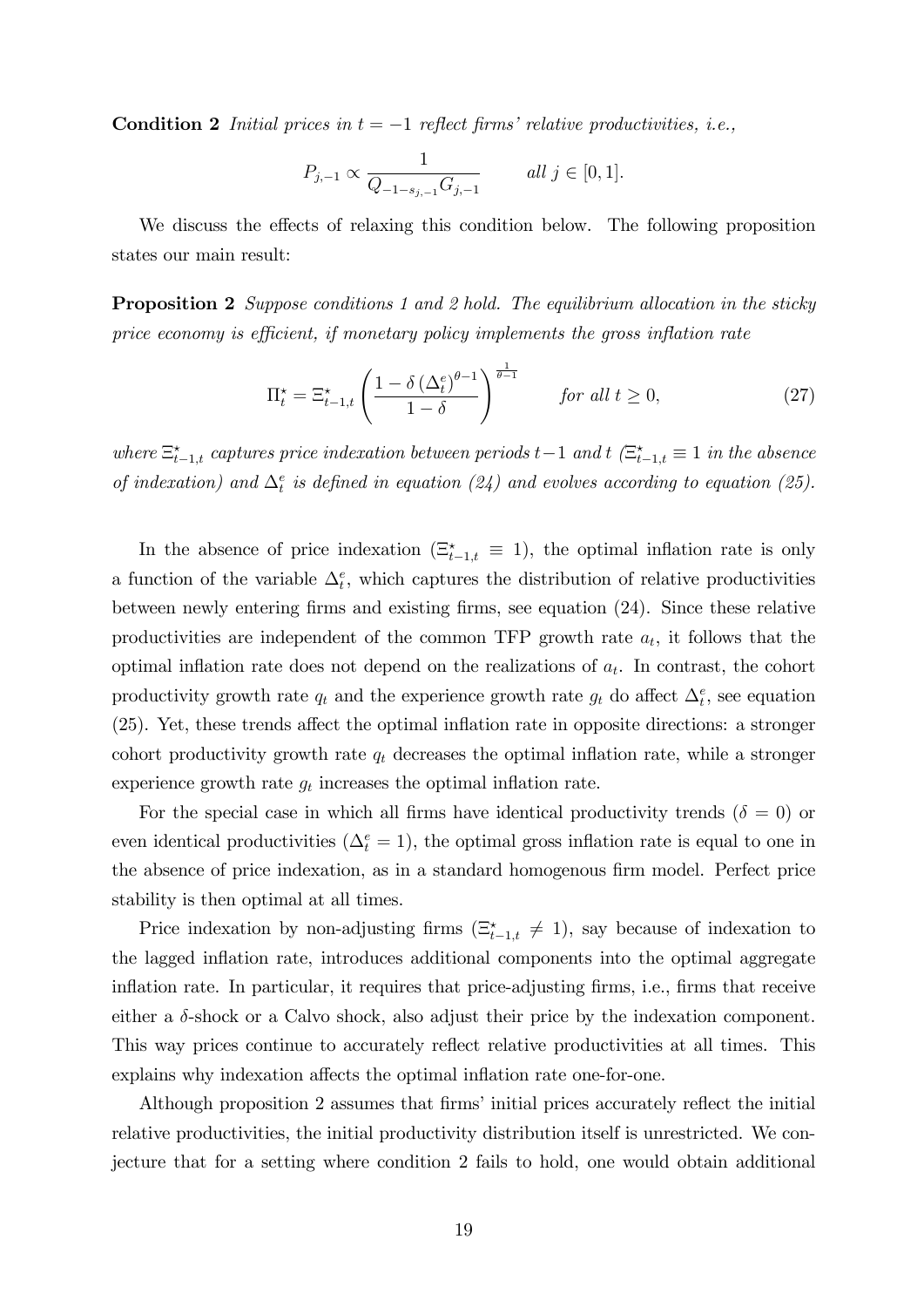**Condition 2** Initial prices in  $t = -1$  reflect firms' relative productivities, i.e.,

$$
P_{j,-1} \propto \frac{1}{Q_{-1-s_{j,-1}} G_{j,-1}} \qquad all \ j \in [0,1].
$$

We discuss the effects of relaxing this condition below. The following proposition states our main result:

**Proposition 2** Suppose conditions 1 and 2 hold. The equilibrium allocation in the sticky price economy is efficient, if monetary policy implements the gross inflation rate

$$
\Pi_t^* = \Xi_{t-1,t}^* \left( \frac{1 - \delta \left( \Delta_t^e \right)^{\theta - 1}}{1 - \delta} \right)^{\frac{1}{\theta - 1}} \qquad \text{for all } t \ge 0,
$$
\n
$$
(27)
$$

where  $\Xi_{t-1,t}^{\star}$  captures price indexation between periods  $t-1$  and  $t$  ( $\Xi_{t-1,t}^{\star} \equiv 1$  in the absence of indexation) and  $\Delta_t^e$  is defined in equation (24) and evolves according to equation (25).

In the absence of price indexation  $(\Xi_{t-1,t}^* \equiv 1)$ , the optimal inflation rate is only a function of the variable  $\Delta_t^e$ , which captures the distribution of relative productivities between newly entering firms and existing firms, see equation (24). Since these relative productivities are independent of the common TFP growth rate  $a_t$ , it follows that the optimal inflation rate does not depend on the realizations of  $a_t$ . In contrast, the cohort productivity growth rate  $q_t$  and the experience growth rate  $g_t$  do affect  $\Delta_t^e$ , see equation  $(25)$ . Yet, these trends affect the optimal inflation rate in opposite directions: a stronger cohort productivity growth rate  $q_t$  decreases the optimal inflation rate, while a stronger experience growth rate  $g_t$  increases the optimal inflation rate.

For the special case in which all firms have identical productivity trends ( $\delta = 0$ ) or even identical productivities  $(\Delta_t^e = 1)$ , the optimal gross inflation rate is equal to one in the absence of price indexation, as in a standard homogenous firm model. Perfect price stability is then optimal at all times.

Price indexation by non-adjusting firms  $(\Xi_{t-1,t}^* \neq 1)$ , say because of indexation to the lagged inflation rate, introduces additional components into the optimal aggregate inflation rate. In particular, it requires that price-adjusting firms, i.e., firms that receive either a  $\delta$ -shock or a Calvo shock, also adjust their price by the indexation component. This way prices continue to accurately reflect relative productivities at all times. This explains why indexation affects the optimal inflation rate one-for-one.

Although proposition 2 assumes that firms' initial prices accurately reflect the initial relative productivities, the initial productivity distribution itself is unrestricted. We conjecture that for a setting where condition 2 fails to hold, one would obtain additional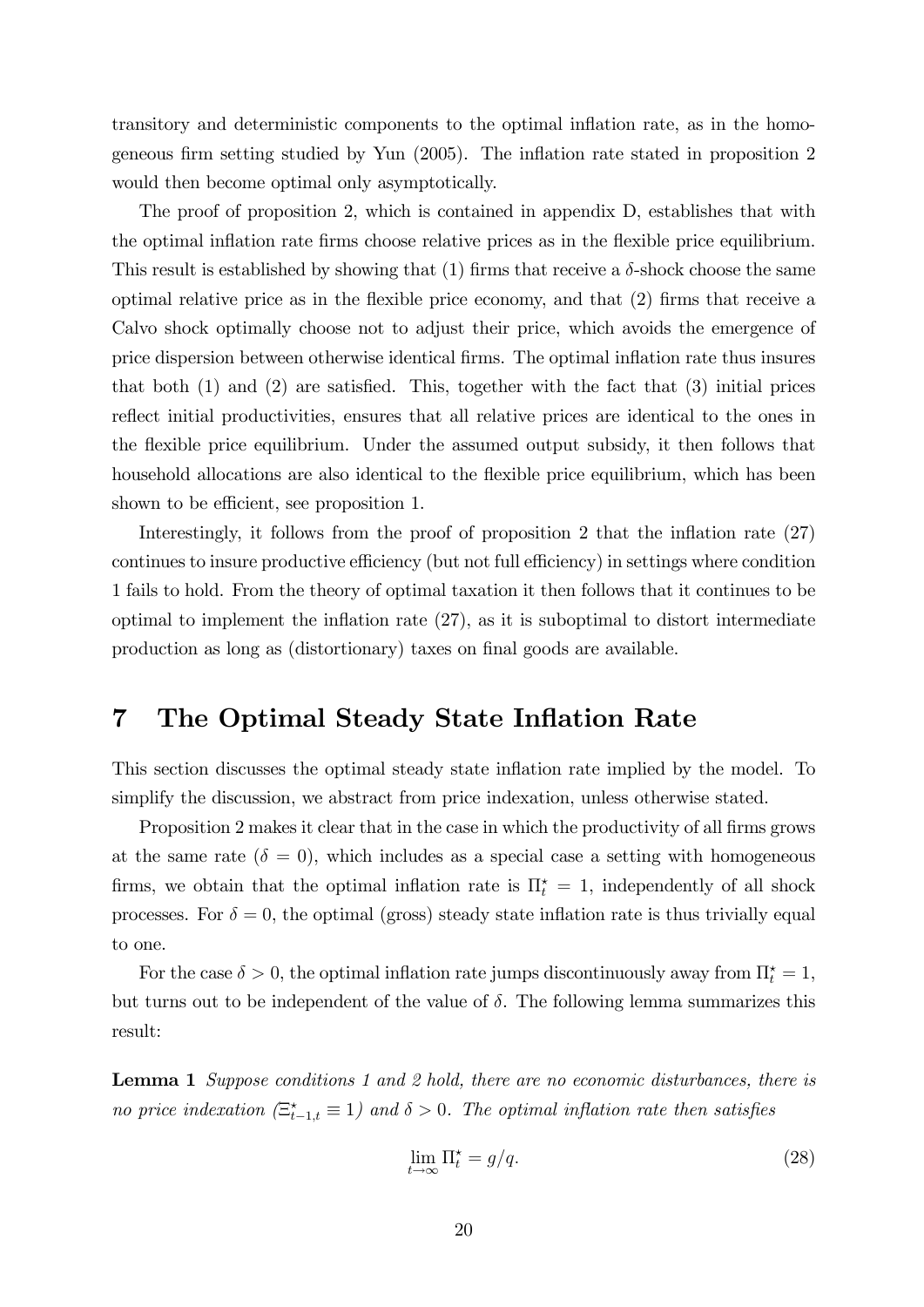transitory and deterministic components to the optimal ináation rate, as in the homogeneous firm setting studied by Yun  $(2005)$ . The inflation rate stated in proposition 2 would then become optimal only asymptotically.

The proof of proposition 2, which is contained in appendix D, establishes that with the optimal inflation rate firms choose relative prices as in the flexible price equilibrium. This result is established by showing that (1) firms that receive a  $\delta$ -shock choose the same optimal relative price as in the flexible price economy, and that  $(2)$  firms that receive a Calvo shock optimally choose not to adjust their price, which avoids the emergence of price dispersion between otherwise identical Örms. The optimal ináation rate thus insures that both  $(1)$  and  $(2)$  are satisfied. This, together with the fact that  $(3)$  initial prices reflect initial productivities, ensures that all relative prices are identical to the ones in the flexible price equilibrium. Under the assumed output subsidy, it then follows that household allocations are also identical to the flexible price equilibrium, which has been shown to be efficient, see proposition 1.

Interestingly, it follows from the proof of proposition 2 that the inflation rate  $(27)$ continues to insure productive efficiency (but not full efficiency) in settings where condition 1 fails to hold. From the theory of optimal taxation it then follows that it continues to be optimal to implement the inflation rate  $(27)$ , as it is suboptimal to distort intermediate production as long as (distortionary) taxes on final goods are available.

## 7 The Optimal Steady State Inflation Rate

This section discusses the optimal steady state inflation rate implied by the model. To simplify the discussion, we abstract from price indexation, unless otherwise stated.

Proposition 2 makes it clear that in the case in which the productivity of all firms grows at the same rate  $(\delta = 0)$ , which includes as a special case a setting with homogeneous firms, we obtain that the optimal inflation rate is  $\Pi_t^* = 1$ , independently of all shock processes. For  $\delta = 0$ , the optimal (gross) steady state inflation rate is thus trivially equal to one.

For the case  $\delta > 0$ , the optimal inflation rate jumps discontinuously away from  $\Pi_t^* = 1$ , but turns out to be independent of the value of  $\delta$ . The following lemma summarizes this result:

**Lemma 1** Suppose conditions 1 and 2 hold, there are no economic disturbances, there is no price indexation  $(\Xi_{t-1,t}^* \equiv 1)$  and  $\delta > 0$ . The optimal inflation rate then satisfies

$$
\lim_{t \to \infty} \Pi_t^* = g/q. \tag{28}
$$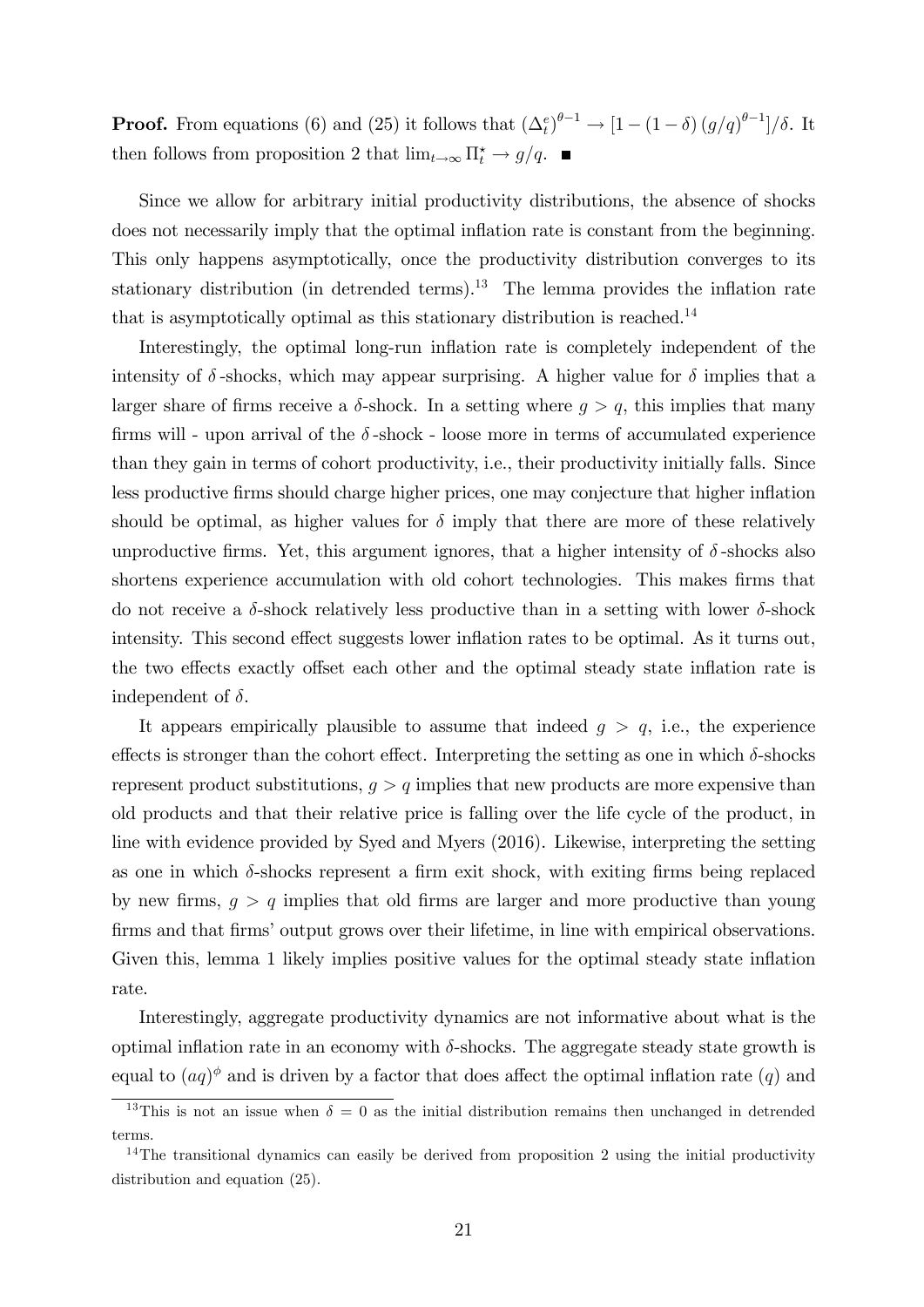**Proof.** From equations (6) and (25) it follows that  $(\Delta_t^e)^{\theta-1} \to [1 - (1 - \delta) (g/q)^{\theta-1}]/\delta$ . It then follows from proposition 2 that  $\lim_{t\to\infty} \Pi_t^* \to g/q$ .

Since we allow for arbitrary initial productivity distributions, the absence of shocks does not necessarily imply that the optimal inflation rate is constant from the beginning. This only happens asymptotically, once the productivity distribution converges to its stationary distribution (in detrended terms).<sup>13</sup> The lemma provides the inflation rate that is asymptotically optimal as this stationary distribution is reached.<sup>14</sup>

Interestingly, the optimal long-run inflation rate is completely independent of the intensity of  $\delta$ -shocks, which may appear surprising. A higher value for  $\delta$  implies that a larger share of firms receive a  $\delta$ -shock. In a setting where  $q > q$ , this implies that many firms will - upon arrival of the  $\delta$ -shock - loose more in terms of accumulated experience than they gain in terms of cohort productivity, i.e., their productivity initially falls. Since less productive Örms should charge higher prices, one may conjecture that higher ináation should be optimal, as higher values for  $\delta$  imply that there are more of these relatively unproductive firms. Yet, this argument ignores, that a higher intensity of  $\delta$ -shocks also shortens experience accumulation with old cohort technologies. This makes firms that do not receive a  $\delta$ -shock relatively less productive than in a setting with lower  $\delta$ -shock intensity. This second effect suggests lower inflation rates to be optimal. As it turns out, the two effects exactly offset each other and the optimal steady state inflation rate is independent of  $\delta$ .

It appears empirically plausible to assume that indeed  $g > q$ , i.e., the experience effects is stronger than the cohort effect. Interpreting the setting as one in which  $\delta$ -shocks represent product substitutions,  $g > q$  implies that new products are more expensive than old products and that their relative price is falling over the life cycle of the product, in line with evidence provided by Syed and Myers (2016). Likewise, interpreting the setting as one in which  $\delta$ -shocks represent a firm exit shock, with exiting firms being replaced by new firms,  $g > q$  implies that old firms are larger and more productive than young firms and that firms' output grows over their lifetime, in line with empirical observations. Given this, lemma 1 likely implies positive values for the optimal steady state inflation rate.

Interestingly, aggregate productivity dynamics are not informative about what is the optimal inflation rate in an economy with  $\delta$ -shocks. The aggregate steady state growth is equal to  $(aq)$ <sup> $\phi$ </sup> and is driven by a factor that does affect the optimal inflation rate  $(q)$  and

<sup>&</sup>lt;sup>13</sup>This is not an issue when  $\delta = 0$  as the initial distribution remains then unchanged in detrended terms.

<sup>&</sup>lt;sup>14</sup>The transitional dynamics can easily be derived from proposition 2 using the initial productivity distribution and equation (25).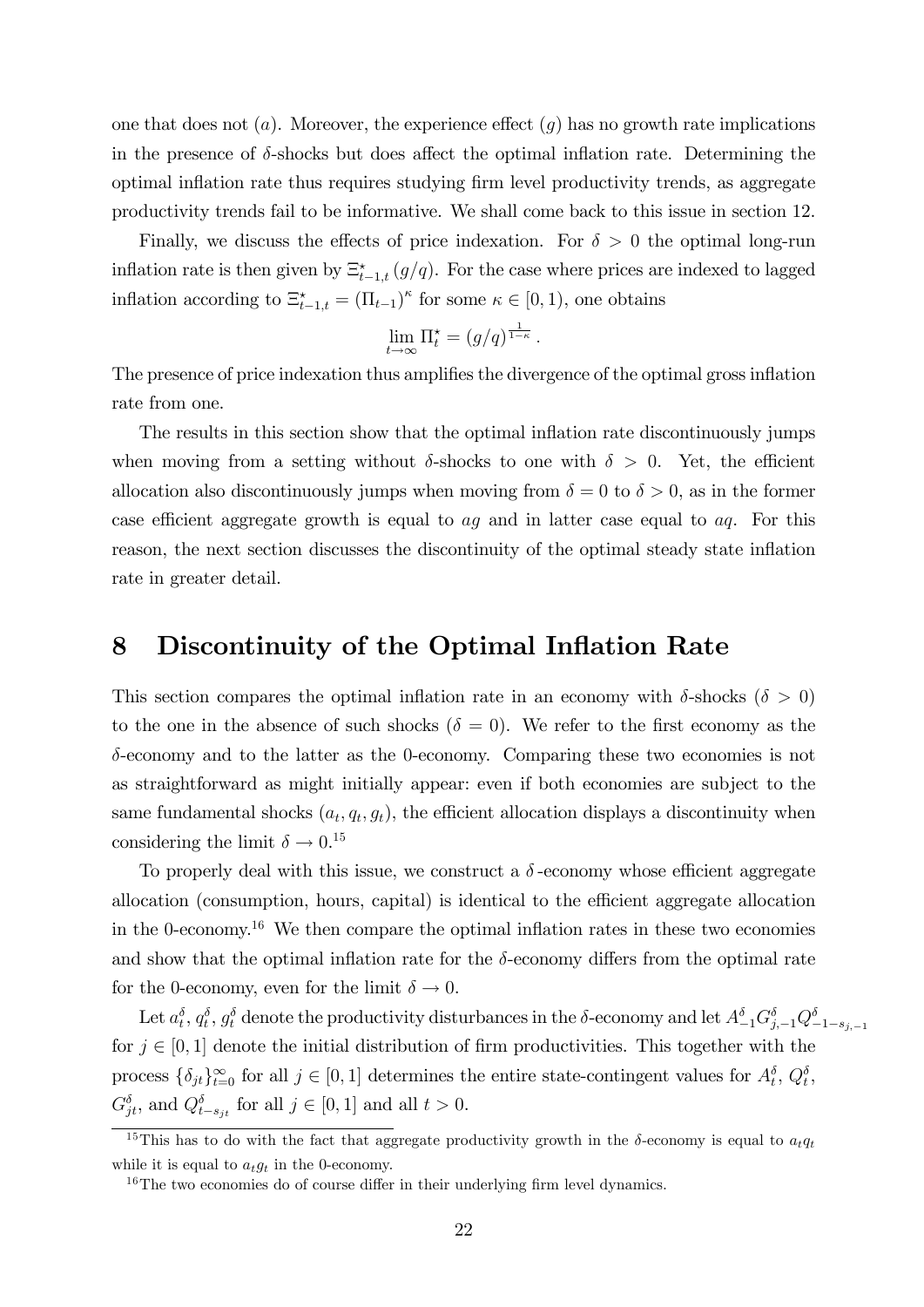one that does not  $(a)$ . Moreover, the experience effect  $(q)$  has no growth rate implications in the presence of  $\delta$ -shocks but does affect the optimal inflation rate. Determining the optimal inflation rate thus requires studying firm level productivity trends, as aggregate productivity trends fail to be informative. We shall come back to this issue in section 12.

Finally, we discuss the effects of price indexation. For  $\delta > 0$  the optimal long-run inflation rate is then given by  $\Xi_{t-1,t}^{\star}(g/q)$ . For the case where prices are indexed to lagged inflation according to  $\Xi_{t-1,t}^* = (\Pi_{t-1})^\kappa$  for some  $\kappa \in [0,1)$ , one obtains

$$
\lim_{t\to\infty}\Pi_t^{\star}=(g/q)^{\frac{1}{1-\kappa}}.
$$

The presence of price indexation thus amplifies the divergence of the optimal gross inflation rate from one.

The results in this section show that the optimal inflation rate discontinuously jumps when moving from a setting without  $\delta$ -shocks to one with  $\delta > 0$ . Yet, the efficient allocation also discontinuously jumps when moving from  $\delta = 0$  to  $\delta > 0$ , as in the former case efficient aggregate growth is equal to  $aq$  and in latter case equal to  $aq$ . For this reason, the next section discusses the discontinuity of the optimal steady state inflation rate in greater detail.

### 8 Discontinuity of the Optimal Inflation Rate

This section compares the optimal inflation rate in an economy with  $\delta$ -shocks ( $\delta > 0$ ) to the one in the absence of such shocks ( $\delta = 0$ ). We refer to the first economy as the  $\delta$ -economy and to the latter as the 0-economy. Comparing these two economies is not as straightforward as might initially appear: even if both economies are subject to the same fundamental shocks  $(a_t, q_t, g_t)$ , the efficient allocation displays a discontinuity when considering the limit  $\delta \to 0.15$ 

To properly deal with this issue, we construct a  $\delta$ -economy whose efficient aggregate allocation (consumption, hours, capital) is identical to the efficient aggregate allocation in the 0-economy.<sup>16</sup> We then compare the optimal inflation rates in these two economies and show that the optimal inflation rate for the  $\delta$ -economy differs from the optimal rate for the 0-economy, even for the limit  $\delta \to 0$ .

Let  $a_t^{\delta}, q_t^{\delta}, g_t^{\delta}$  denote the productivity disturbances in the  $\delta$ -economy and let  $A_{-1}^{\delta}G_{j,-1}^{\delta}Q_{-1-s_{j,-1}}^{\delta}$ for  $j \in [0, 1]$  denote the initial distribution of firm productivities. This together with the process  $\{\delta_{jt}\}_{t=0}^{\infty}$  for all  $j \in [0,1]$  determines the entire state-contingent values for  $A_t^{\delta}, Q_t^{\delta}$ ,  $G_{jt}^{\delta}$ , and  $Q_{t-s_{jt}}^{\delta}$  for all  $j \in [0,1]$  and all  $t > 0$ .

<sup>&</sup>lt;sup>15</sup>This has to do with the fact that aggregate productivity growth in the  $\delta$ -economy is equal to  $a_t q_t$ while it is equal to  $a_t q_t$  in the 0-economy.

 $16$ The two economies do of course differ in their underlying firm level dynamics.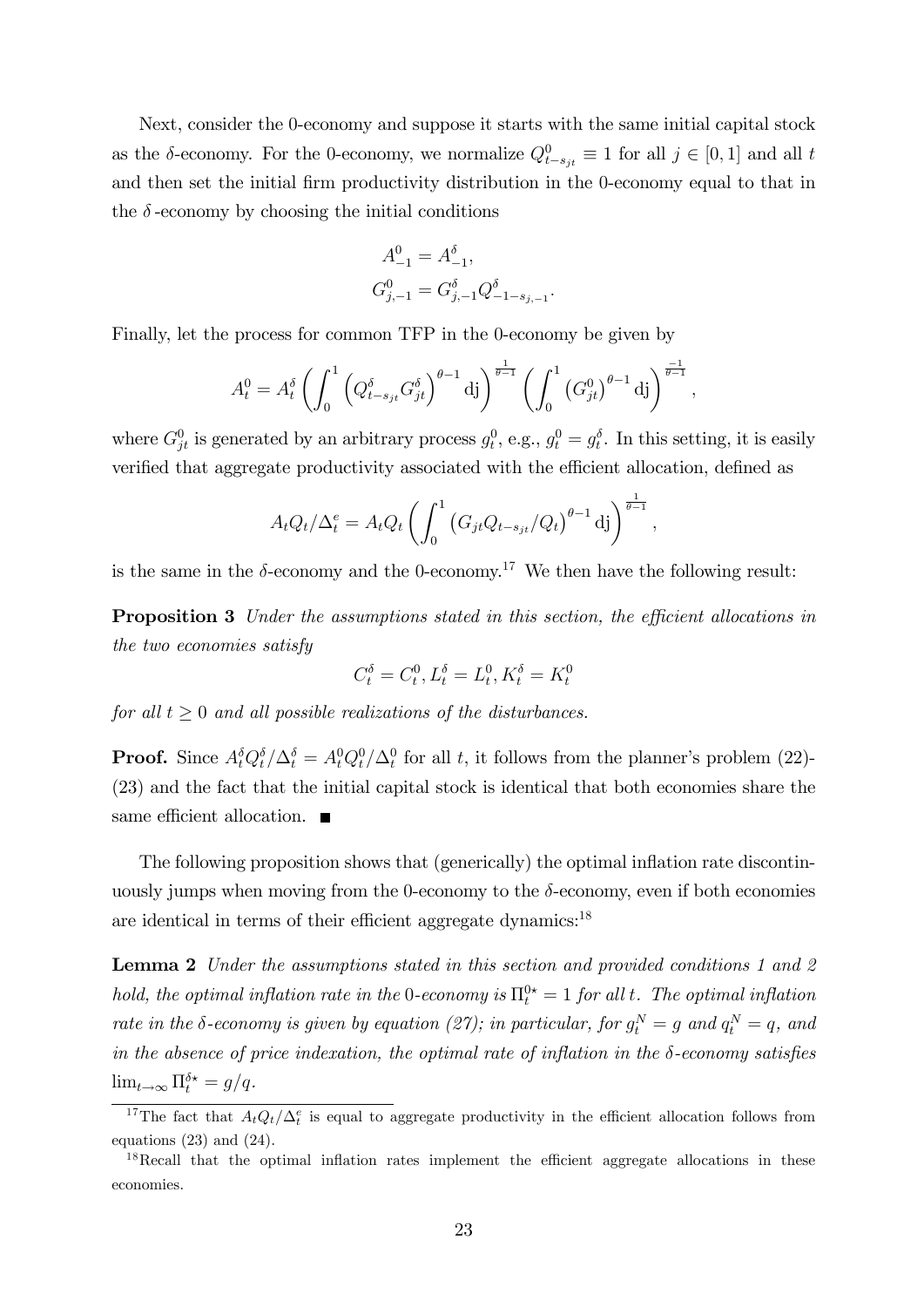Next, consider the 0-economy and suppose it starts with the same initial capital stock as the  $\delta$ -economy. For the 0-economy, we normalize  $Q_{t-s_{jt}}^0 \equiv 1$  for all  $j \in [0, 1]$  and all t and then set the initial firm productivity distribution in the 0-economy equal to that in the  $\delta$ -economy by choosing the initial conditions

$$
\begin{aligned} A_{-1}^0 &= A_{-1}^\delta, \\ G_{j,-1}^0 &= G_{j,-1}^\delta Q_{-1-s_{j,-1}}^\delta. \end{aligned}
$$

Finally, let the process for common TFP in the 0-economy be given by

$$
A_t^0 = A_t^\delta \left( \int_0^1 \left( Q_{t-s_{jt}}^\delta G_{jt}^\delta \right)^{\theta-1} \mathrm{d}j \right)^{\frac{1}{\theta-1}} \left( \int_0^1 \left( G_{jt}^0 \right)^{\theta-1} \mathrm{d}j \right)^{\frac{-1}{\theta-1}},
$$

where  $G_{jt}^0$  is generated by an arbitrary process  $g_t^0$ , e.g.,  $g_t^0 = g_t^{\delta}$ . In this setting, it is easily verified that aggregate productivity associated with the efficient allocation, defined as

$$
A_t Q_t / \Delta_t^e = A_t Q_t \left( \int_0^1 \left( G_{jt} Q_{t-s_{jt}} / Q_t \right)^{\theta-1} \mathrm{d}j \right)^{\frac{1}{\theta-1}}
$$

;

is the same in the  $\delta$ -economy and the 0-economy.<sup>17</sup> We then have the following result:

**Proposition 3** Under the assumptions stated in this section, the efficient allocations in the two economies satisfy

$$
C_t^\delta = C_t^0, L_t^\delta = L_t^0, K_t^\delta = K_t^0
$$

for all  $t \geq 0$  and all possible realizations of the disturbances.

**Proof.** Since  $A_t^{\delta} Q_t^{\delta}/\Delta_t^{\delta} = A_t^0 Q_t^0/\Delta_t^0$  for all t, it follows from the planner's problem (22)-(23) and the fact that the initial capital stock is identical that both economies share the same efficient allocation.  $\blacksquare$ 

The following proposition shows that (generically) the optimal inflation rate discontinuously jumps when moving from the 0-economy to the  $\delta$ -economy, even if both economies are identical in terms of their efficient aggregate dynamics: $^{18}$ 

**Lemma 2** Under the assumptions stated in this section and provided conditions 1 and 2 hold, the optimal inflation rate in the 0-economy is  $\Pi_t^0 = 1$  for all t. The optimal inflation rate in the  $\delta$ -economy is given by equation (27); in particular, for  $g_t^N = g$  and  $q_t^N = q$ , and in the absence of price indexation, the optimal rate of inflation in the  $\delta$ -economy satisfies  $\lim_{t \to \infty} \Pi_t^{\delta \star} = g/q.$ 

<sup>&</sup>lt;sup>17</sup>The fact that  $A_t Q_t/\Delta_t^e$  is equal to aggregate productivity in the efficient allocation follows from equations (23) and (24).

 $18$ Recall that the optimal inflation rates implement the efficient aggregate allocations in these economies.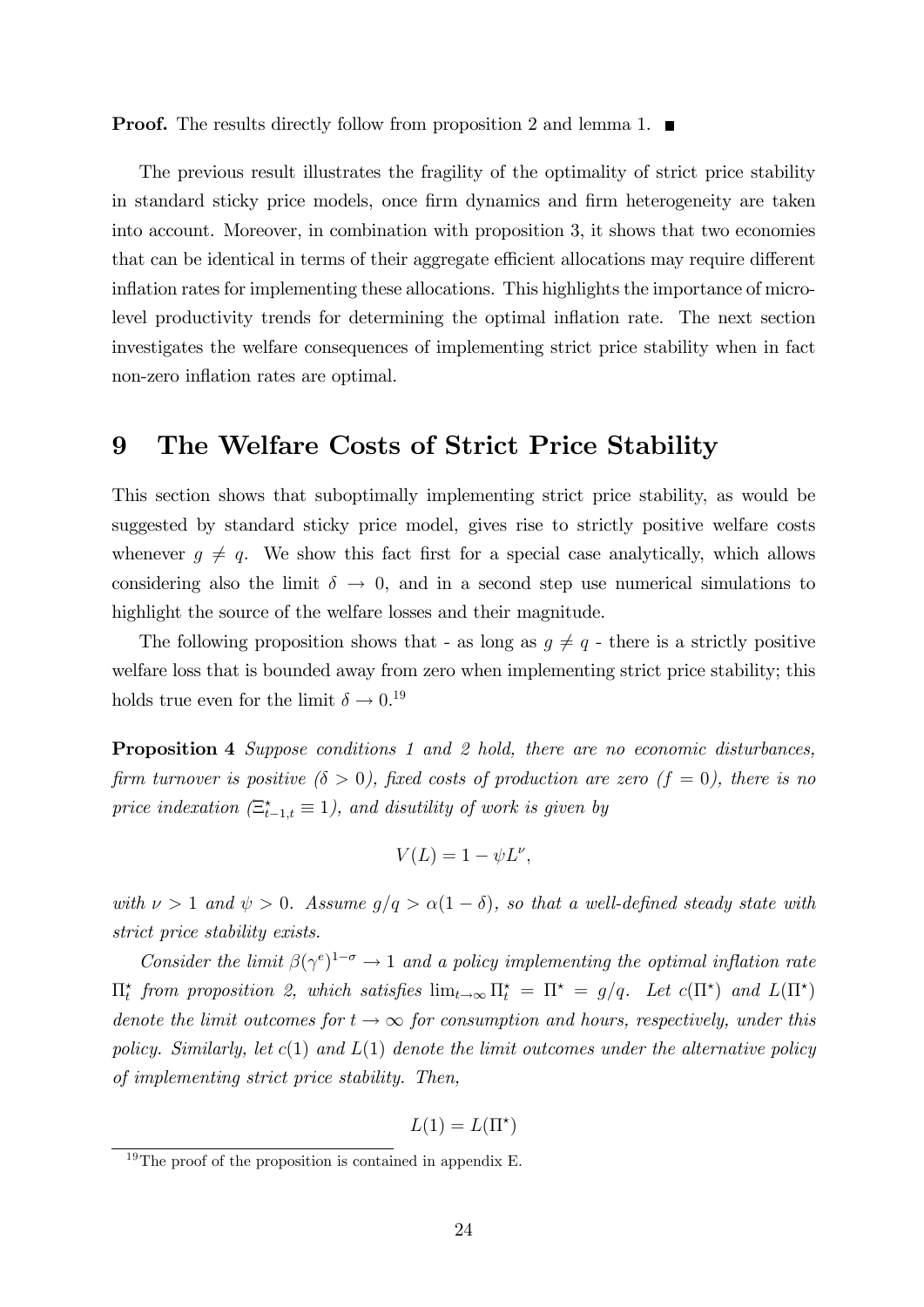**Proof.** The results directly follow from proposition 2 and lemma 1.

The previous result illustrates the fragility of the optimality of strict price stability in standard sticky price models, once firm dynamics and firm heterogeneity are taken into account. Moreover, in combination with proposition 3, it shows that two economies that can be identical in terms of their aggregate efficient allocations may require different inflation rates for implementing these allocations. This highlights the importance of microlevel productivity trends for determining the optimal ináation rate. The next section investigates the welfare consequences of implementing strict price stability when in fact non-zero inflation rates are optimal.

### 9 The Welfare Costs of Strict Price Stability

This section shows that suboptimally implementing strict price stability, as would be suggested by standard sticky price model, gives rise to strictly positive welfare costs whenever  $g \neq q$ . We show this fact first for a special case analytically, which allows considering also the limit  $\delta \to 0$ , and in a second step use numerical simulations to highlight the source of the welfare losses and their magnitude.

The following proposition shows that - as long as  $g \neq q$  - there is a strictly positive welfare loss that is bounded away from zero when implementing strict price stability; this holds true even for the limit  $\delta \to 0.^{19}$ 

Proposition 4 Suppose conditions 1 and 2 hold, there are no economic disturbances, firm turnover is positive  $(\delta > 0)$ , fixed costs of production are zero  $(f = 0)$ , there is no price indexation  $(\Xi_{t-1,t}^* \equiv 1)$ , and disutility of work is given by

$$
V(L) = 1 - \psi L^{\nu},
$$

with  $\nu > 1$  and  $\psi > 0$ . Assume  $g/q > \alpha(1 - \delta)$ , so that a well-defined steady state with strict price stability exists.

Consider the limit  $\beta(\gamma^e)^{1-\sigma} \to 1$  and a policy implementing the optimal inflation rate  $\Pi_t^{\star}$  from proposition 2, which satisfies  $\lim_{t\to\infty} \Pi_t^{\star} = \Pi^{\star} = g/q$ . Let  $c(\Pi^{\star})$  and  $L(\Pi^{\star})$ denote the limit outcomes for  $t \to \infty$  for consumption and hours, respectively, under this policy. Similarly, let  $c(1)$  and  $L(1)$  denote the limit outcomes under the alternative policy of implementing strict price stability. Then,

$$
L(1) = L(\Pi^*)
$$

 $19$ The proof of the proposition is contained in appendix E.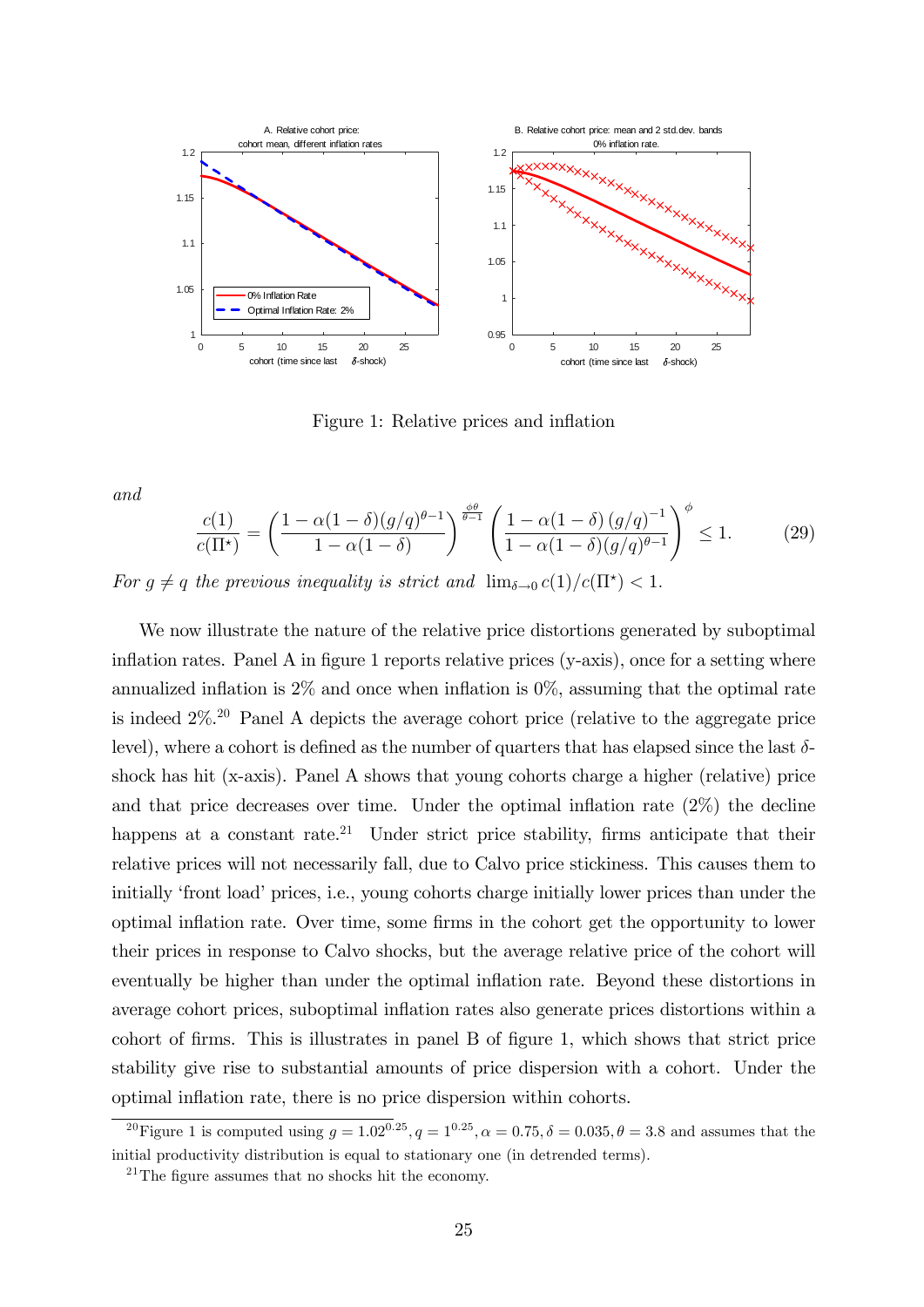

Figure 1: Relative prices and inflation

and

$$
\frac{c(1)}{c(\Pi^*)} = \left(\frac{1 - \alpha(1 - \delta)(g/q)^{\theta - 1}}{1 - \alpha(1 - \delta)}\right)^{\frac{\phi \theta}{\theta - 1}} \left(\frac{1 - \alpha(1 - \delta)(g/q)^{-1}}{1 - \alpha(1 - \delta)(g/q)^{\theta - 1}}\right)^{\phi} \le 1.
$$
 (29)

For  $g \neq q$  the previous inequality is strict and  $\lim_{\delta \to 0} c(1)/c(\Pi^*) < 1$ .

We now illustrate the nature of the relative price distortions generated by suboptimal inflation rates. Panel A in figure 1 reports relative prices  $(y-axis)$ , once for a setting where annualized inflation is  $2\%$  and once when inflation is  $0\%$ , assuming that the optimal rate is indeed 2%.<sup>20</sup> Panel A depicts the average cohort price (relative to the aggregate price level), where a cohort is defined as the number of quarters that has elapsed since the last  $\delta$ shock has hit (x-axis). Panel A shows that young cohorts charge a higher (relative) price and that price decreases over time. Under the optimal inflation rate  $(2\%)$  the decline happens at a constant rate.<sup>21</sup> Under strict price stability, firms anticipate that their relative prices will not necessarily fall, due to Calvo price stickiness. This causes them to initially 'front load' prices, i.e., young cohorts charge initially lower prices than under the optimal inflation rate. Over time, some firms in the cohort get the opportunity to lower their prices in response to Calvo shocks, but the average relative price of the cohort will eventually be higher than under the optimal ináation rate. Beyond these distortions in average cohort prices, suboptimal inflation rates also generate prices distortions within a cohort of Örms. This is illustrates in panel B of Ögure 1, which shows that strict price stability give rise to substantial amounts of price dispersion with a cohort. Under the optimal inflation rate, there is no price dispersion within cohorts.

<sup>&</sup>lt;sup>20</sup>Figure 1 is computed using  $q = 1.02^{0.25}$ ,  $q = 1^{0.25}$ ,  $\alpha = 0.75$ ,  $\delta = 0.035$ ,  $\theta = 3.8$  and assumes that the initial productivity distribution is equal to stationary one (in detrended terms).

 $21$ The figure assumes that no shocks hit the economy.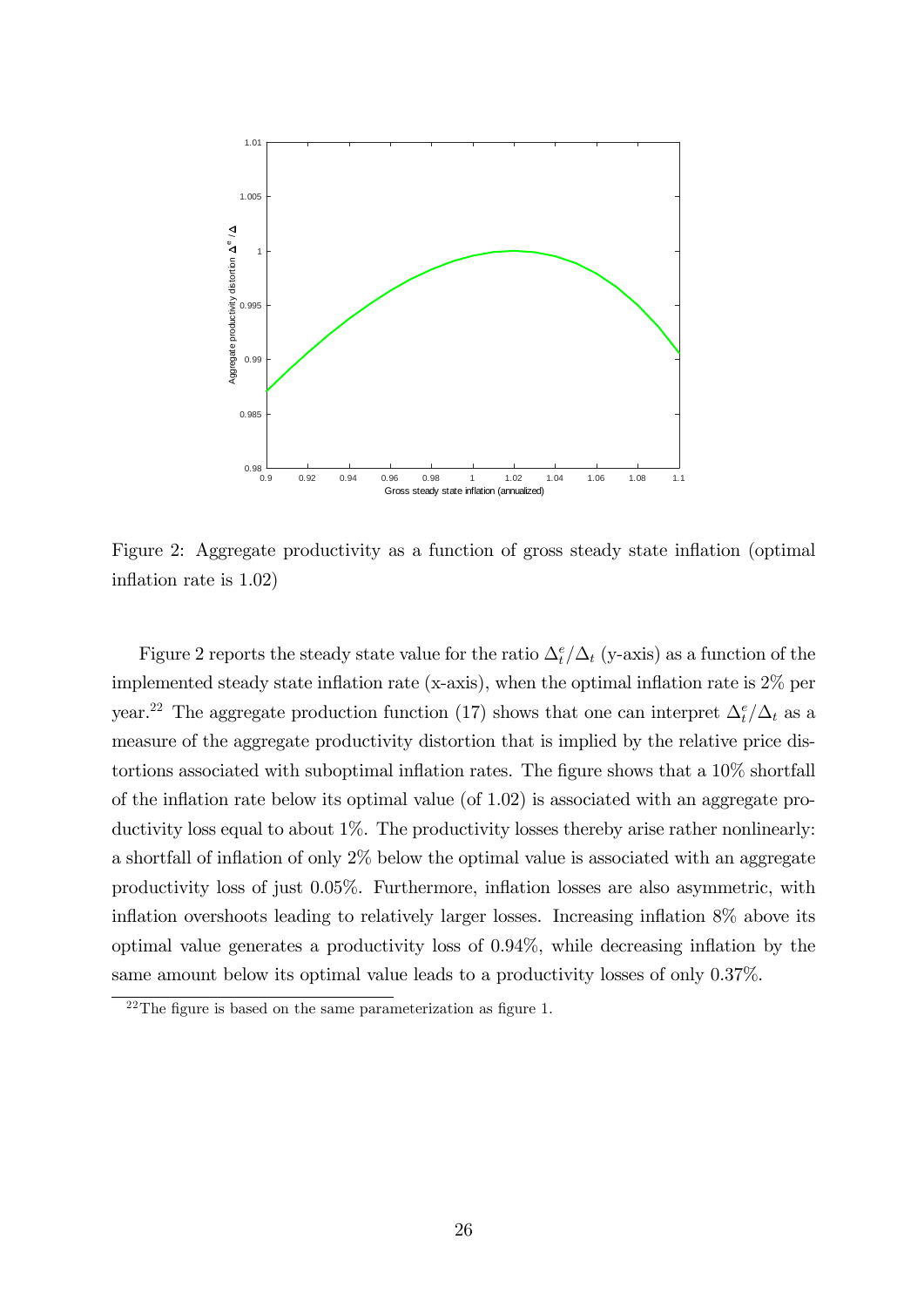

Figure 2: Aggregate productivity as a function of gross steady state inflation (optimal) inflation rate is  $1.02$ )

Figure 2 reports the steady state value for the ratio  $\Delta_t^e/\Delta_t$  (y-axis) as a function of the implemented steady state inflation rate (x-axis), when the optimal inflation rate is  $2\%$  per year.<sup>22</sup> The aggregate production function (17) shows that one can interpret  $\Delta_t^e/\Delta_t$  as a measure of the aggregate productivity distortion that is implied by the relative price distortions associated with suboptimal inflation rates. The figure shows that a  $10\%$  shortfall of the inflation rate below its optimal value (of  $1.02$ ) is associated with an aggregate productivity loss equal to about 1%. The productivity losses thereby arise rather nonlinearly: a shortfall of inflation of only  $2\%$  below the optimal value is associated with an aggregate productivity loss of just 0.05%. Furthermore, ináation losses are also asymmetric, with inflation overshoots leading to relatively larger losses. Increasing inflation  $8\%$  above its optimal value generates a productivity loss of  $0.94\%$ , while decreasing inflation by the same amount below its optimal value leads to a productivity losses of only 0.37%.

 $22$ The figure is based on the same parameterization as figure 1.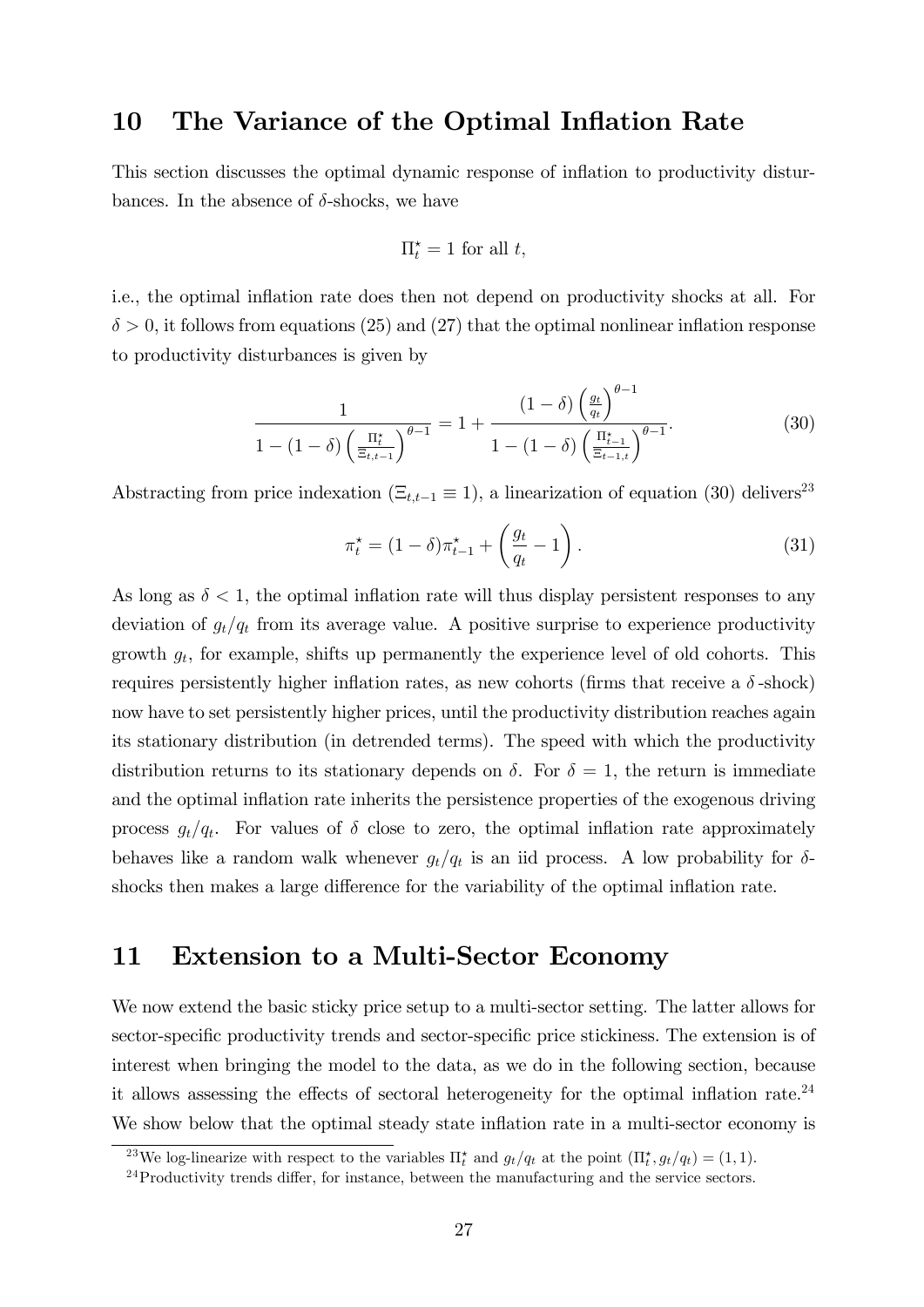### 10 The Variance of the Optimal Inflation Rate

This section discusses the optimal dynamic response of inflation to productivity disturbances. In the absence of  $\delta$ -shocks, we have

$$
\Pi_t^\star = 1 \text{ for all } t,
$$

i.e., the optimal inflation rate does then not depend on productivity shocks at all. For  $\delta > 0$ , it follows from equations (25) and (27) that the optimal nonlinear inflation response to productivity disturbances is given by

$$
\frac{1}{1 - (1 - \delta) \left(\frac{\Pi_t^*}{\Xi_{t,t-1}}\right)^{\theta - 1}} = 1 + \frac{(1 - \delta) \left(\frac{g_t}{q_t}\right)^{\theta - 1}}{1 - (1 - \delta) \left(\frac{\Pi_{t-1}^*}{\Xi_{t-1,t}}\right)^{\theta - 1}}.
$$
(30)

Abstracting from price indexation  $(\Xi_{t,t-1} \equiv 1)$ , a linearization of equation (30) delivers<sup>23</sup>

$$
\pi_t^* = (1 - \delta)\pi_{t-1}^* + \left(\frac{g_t}{q_t} - 1\right). \tag{31}
$$

As long as  $\delta < 1$ , the optimal inflation rate will thus display persistent responses to any deviation of  $g_t/q_t$  from its average value. A positive surprise to experience productivity growth  $g_t$ , for example, shifts up permanently the experience level of old cohorts. This requires persistently higher inflation rates, as new cohorts (firms that receive a  $\delta$ -shock) now have to set persistently higher prices, until the productivity distribution reaches again its stationary distribution (in detrended terms). The speed with which the productivity distribution returns to its stationary depends on  $\delta$ . For  $\delta = 1$ , the return is immediate and the optimal inflation rate inherits the persistence properties of the exogenous driving process  $g_t/q_t$ . For values of  $\delta$  close to zero, the optimal inflation rate approximately behaves like a random walk whenever  $g_t/q_t$  is an iid process. A low probability for  $\delta$ shocks then makes a large difference for the variability of the optimal inflation rate.

### 11 Extension to a Multi-Sector Economy

We now extend the basic sticky price setup to a multi-sector setting. The latter allows for sector-specific productivity trends and sector-specific price stickiness. The extension is of interest when bringing the model to the data, as we do in the following section, because it allows assessing the effects of sectoral heterogeneity for the optimal inflation rate.<sup>24</sup> We show below that the optimal steady state inflation rate in a multi-sector economy is

<sup>&</sup>lt;sup>23</sup>We log-linearize with respect to the variables  $\prod_{t=1}^{t}$  and  $g_t/q_t$  at the point  $(\prod_{t=1}^{t} g_t/q_t) = (1, 1)$ .

 $24$ Productivity trends differ, for instance, between the manufacturing and the service sectors.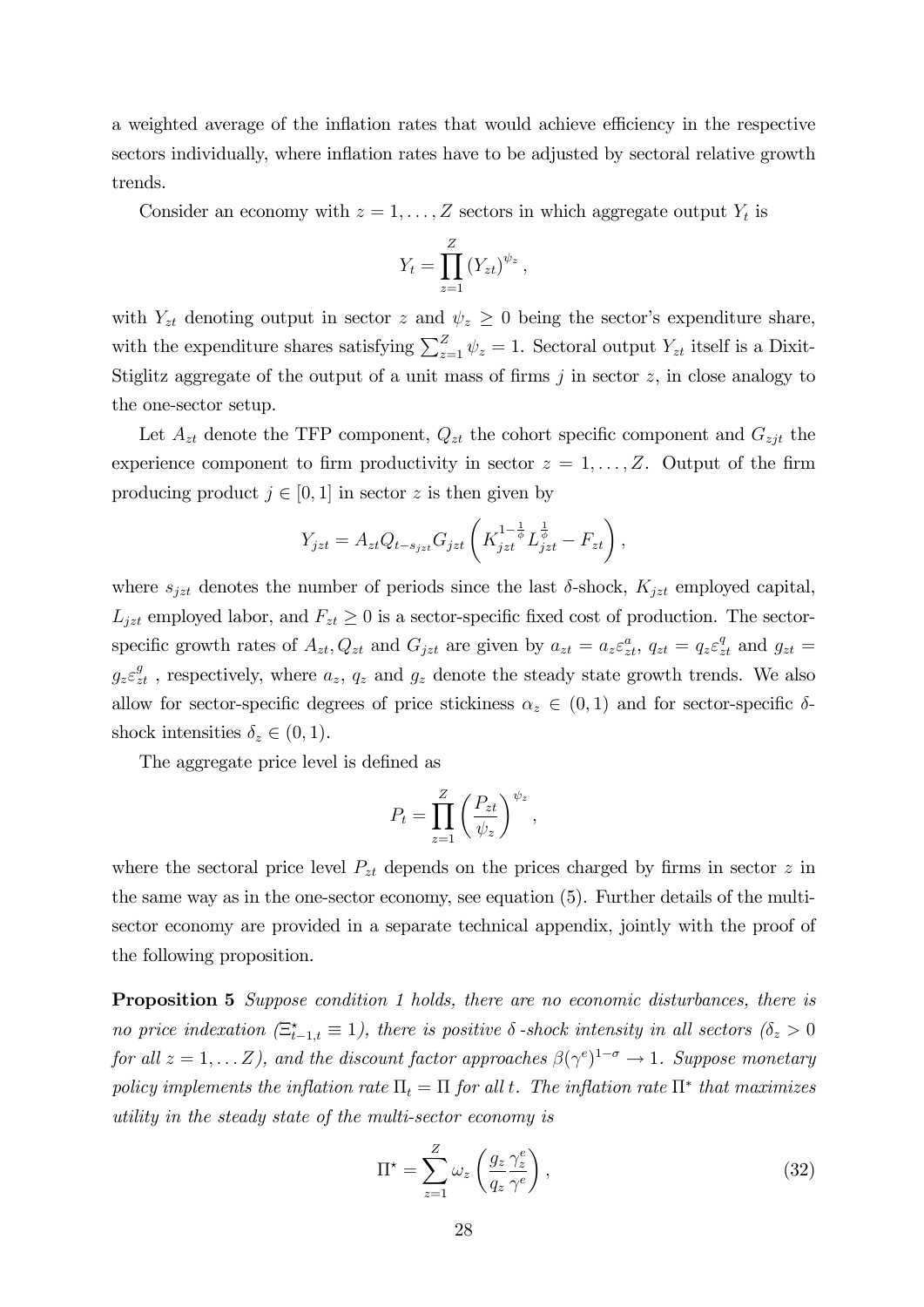a weighted average of the inflation rates that would achieve efficiency in the respective sectors individually, where inflation rates have to be adjusted by sectoral relative growth trends.

Consider an economy with  $z = 1, \ldots, Z$  sectors in which aggregate output  $Y_t$  is

$$
Y_t = \prod_{z=1}^Z (Y_{zt})^{\psi_z},
$$

with  $Y_{zt}$  denoting output in sector z and  $\psi_z \geq 0$  being the sector's expenditure share, with the expenditure shares satisfying  $\sum_{z=1}^{Z} \psi_z = 1$ . Sectoral output  $Y_{zt}$  itself is a Dixit-Stiglitz aggregate of the output of a unit mass of firms  $j$  in sector  $z$ , in close analogy to the one-sector setup.

Let  $A_{zt}$  denote the TFP component,  $Q_{zt}$  the cohort specific component and  $G_{zjt}$  the experience component to firm productivity in sector  $z = 1, \ldots, Z$ . Output of the firm producing product  $j \in [0, 1]$  in sector z is then given by

$$
Y_{jzt} = A_{zt}Q_{t-s_{jzt}}G_{jzt}\left(K_{jzt}^{1-\frac{1}{\phi}}L_{jzt}^{\frac{1}{\phi}} - F_{zt}\right),
$$

where  $s_{jzt}$  denotes the number of periods since the last  $\delta$ -shock,  $K_{jzt}$  employed capital,  $L_{jzt}$  employed labor, and  $F_{zt} \geq 0$  is a sector-specific fixed cost of production. The sectorspecific growth rates of  $A_{zt}$ ,  $Q_{zt}$  and  $G_{jzt}$  are given by  $a_{zt} = a_z \varepsilon_{zt}^a$ ,  $q_{zt} = q_z \varepsilon_{zt}^q$  and  $g_{zt} =$  $g_z \varepsilon_{zt}^g$ , respectively, where  $a_z$ ,  $q_z$  and  $g_z$  denote the steady state growth trends. We also allow for sector-specific degrees of price stickiness  $\alpha_z \in (0,1)$  and for sector-specific  $\delta$ shock intensities  $\delta_z \in (0, 1)$ .

The aggregate price level is defined as

$$
P_t = \prod_{z=1}^{Z} \left(\frac{P_{zt}}{\psi_z}\right)^{\psi_z},
$$

where the sectoral price level  $P_{zt}$  depends on the prices charged by firms in sector z in the same way as in the one-sector economy, see equation (5). Further details of the multisector economy are provided in a separate technical appendix, jointly with the proof of the following proposition.

Proposition 5 Suppose condition 1 holds, there are no economic disturbances, there is no price indexation  $(\Xi_{t-1,t}^* \equiv 1)$ , there is positive  $\delta$ -shock intensity in all sectors  $(\delta_z > 0)$ for all  $z = 1, \ldots Z$ ), and the discount factor approaches  $\beta(\gamma^e)^{1-\sigma} \to 1$ . Suppose monetary policy implements the inflation rate  $\Pi_t = \Pi$  for all t. The inflation rate  $\Pi^*$  that maximizes utility in the steady state of the multi-sector economy is

$$
\Pi^* = \sum_{z=1}^Z \omega_z \left( \frac{g_z \gamma_z^e}{q_z \gamma^e} \right),\tag{32}
$$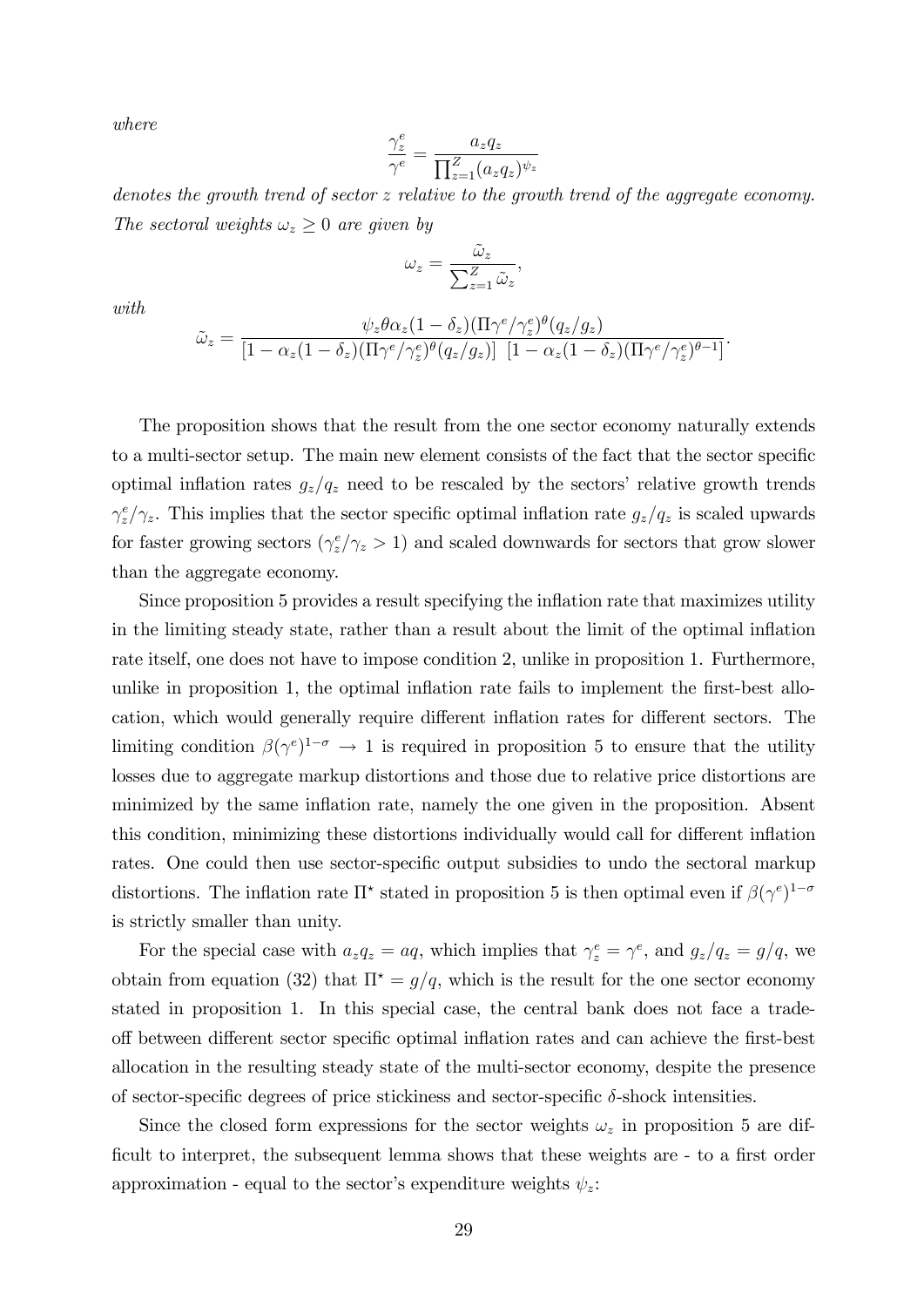where

$$
\frac{\gamma_z^e}{\gamma^e} = \frac{a_z q_z}{\prod_{z=1}^Z (a_z q_z)^{\psi_z}}
$$

denotes the growth trend of sector z relative to the growth trend of the aggregate economy. The sectoral weights  $\omega_z \geq 0$  are given by

$$
\omega_z = \frac{\tilde{\omega}_z}{\sum_{z=1}^Z \tilde{\omega}_z},
$$

with

$$
\tilde{\omega}_z = \frac{\psi_z \theta \alpha_z (1 - \delta_z) (\Pi \gamma^e / \gamma_z^e)^{\theta} (q_z / g_z)}{[1 - \alpha_z (1 - \delta_z) (\Pi \gamma^e / \gamma_z^e)^{\theta} (q_z / g_z)] \left[1 - \alpha_z (1 - \delta_z) (\Pi \gamma^e / \gamma_z^e)^{\theta - 1}\right]}.
$$

The proposition shows that the result from the one sector economy naturally extends to a multi-sector setup. The main new element consists of the fact that the sector specific optimal inflation rates  $g_z/q_z$  need to be rescaled by the sectors' relative growth trends  $\gamma_z^e/\gamma_z$ . This implies that the sector specific optimal inflation rate  $g_z/q_z$  is scaled upwards for faster growing sectors  $(\gamma_z^e/\gamma_z > 1)$  and scaled downwards for sectors that grow slower than the aggregate economy.

Since proposition 5 provides a result specifying the inflation rate that maximizes utility in the limiting steady state, rather than a result about the limit of the optimal ináation rate itself, one does not have to impose condition 2, unlike in proposition 1. Furthermore, unlike in proposition 1, the optimal inflation rate fails to implement the first-best allocation, which would generally require different inflation rates for different sectors. The limiting condition  $\beta(\gamma^e)^{1-\sigma} \to 1$  is required in proposition 5 to ensure that the utility losses due to aggregate markup distortions and those due to relative price distortions are minimized by the same inflation rate, namely the one given in the proposition. Absent this condition, minimizing these distortions individually would call for different inflation rates. One could then use sector-specific output subsidies to undo the sectoral markup distortions. The inflation rate  $\Pi^*$  stated in proposition 5 is then optimal even if  $\beta(\gamma^e)^{1-\sigma}$ is strictly smaller than unity.

For the special case with  $a_z q_z = aq$ , which implies that  $\gamma_z^e = \gamma^e$ , and  $g_z/q_z = g/q$ , we obtain from equation (32) that  $\Pi^* = g/q$ , which is the result for the one sector economy stated in proposition 1. In this special case, the central bank does not face a tradeoff between different sector specific optimal inflation rates and can achieve the first-best allocation in the resulting steady state of the multi-sector economy, despite the presence of sector-specific degrees of price stickiness and sector-specific  $\delta$ -shock intensities.

Since the closed form expressions for the sector weights  $\omega_z$  in proposition 5 are difficult to interpret, the subsequent lemma shows that these weights are - to a first order approximation - equal to the sector's expenditure weights  $\psi_z$ :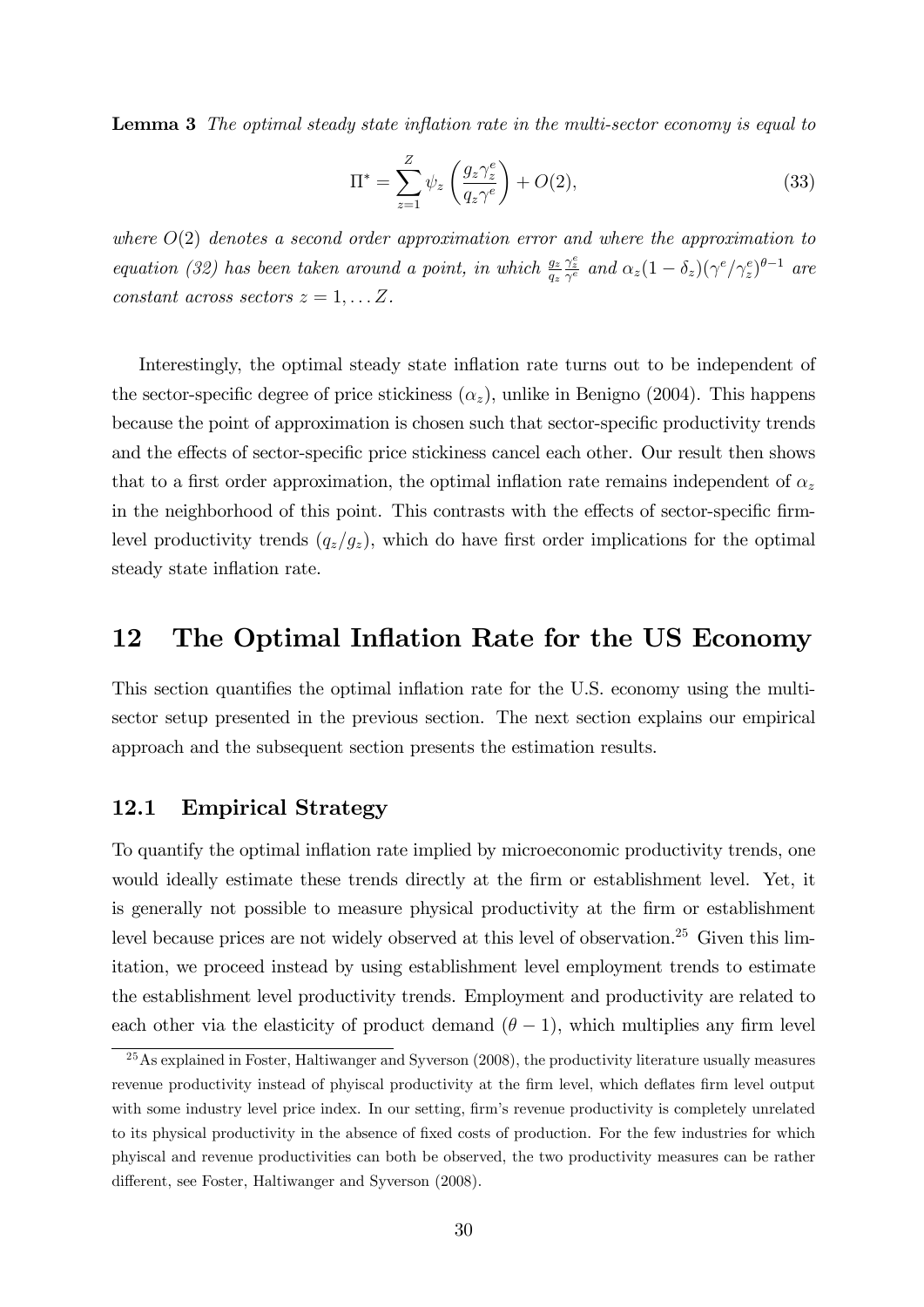**Lemma 3** The optimal steady state inflation rate in the multi-sector economy is equal to

$$
\Pi^* = \sum_{z=1}^Z \psi_z \left(\frac{g_z \gamma_z^e}{q_z \gamma^e}\right) + O(2),\tag{33}
$$

where  $O(2)$  denotes a second order approximation error and where the approximation to equation (32) has been taken around a point, in which  $\frac{g_2}{g_2}$  $\frac{\gamma_z^e}{\gamma^e}$  and  $\alpha_z(1-\delta_z)(\gamma^e/\gamma_z^e)^{\theta-1}$  are constant across sectors  $z = 1, \ldots Z$ .

Interestingly, the optimal steady state inflation rate turns out to be independent of the sector-specific degree of price stickiness  $(\alpha_z)$ , unlike in Benigno (2004). This happens because the point of approximation is chosen such that sector-specific productivity trends and the effects of sector-specific price stickiness cancel each other. Our result then shows that to a first order approximation, the optimal inflation rate remains independent of  $\alpha_z$ in the neighborhood of this point. This contrasts with the effects of sector-specific firmlevel productivity trends  $(q_z/g_z)$ , which do have first order implications for the optimal steady state inflation rate.

### 12 The Optimal Inflation Rate for the US Economy

This section quantifies the optimal inflation rate for the U.S. economy using the multisector setup presented in the previous section. The next section explains our empirical approach and the subsequent section presents the estimation results.

#### 12.1 Empirical Strategy

To quantify the optimal inflation rate implied by microeconomic productivity trends, one would ideally estimate these trends directly at the firm or establishment level. Yet, it is generally not possible to measure physical productivity at the firm or establishment level because prices are not widely observed at this level of observation.<sup>25</sup> Given this limitation, we proceed instead by using establishment level employment trends to estimate the establishment level productivity trends. Employment and productivity are related to each other via the elasticity of product demand  $(\theta - 1)$ , which multiplies any firm level

<sup>&</sup>lt;sup>25</sup>As explained in Foster, Haltiwanger and Syverson (2008), the productivity literature usually measures revenue productivity instead of phyiscal productivity at the firm level, which deflates firm level output with some industry level price index. In our setting, firm's revenue productivity is completely unrelated to its physical productivity in the absence of fixed costs of production. For the few industries for which phyiscal and revenue productivities can both be observed, the two productivity measures can be rather different, see Foster, Haltiwanger and Syverson (2008).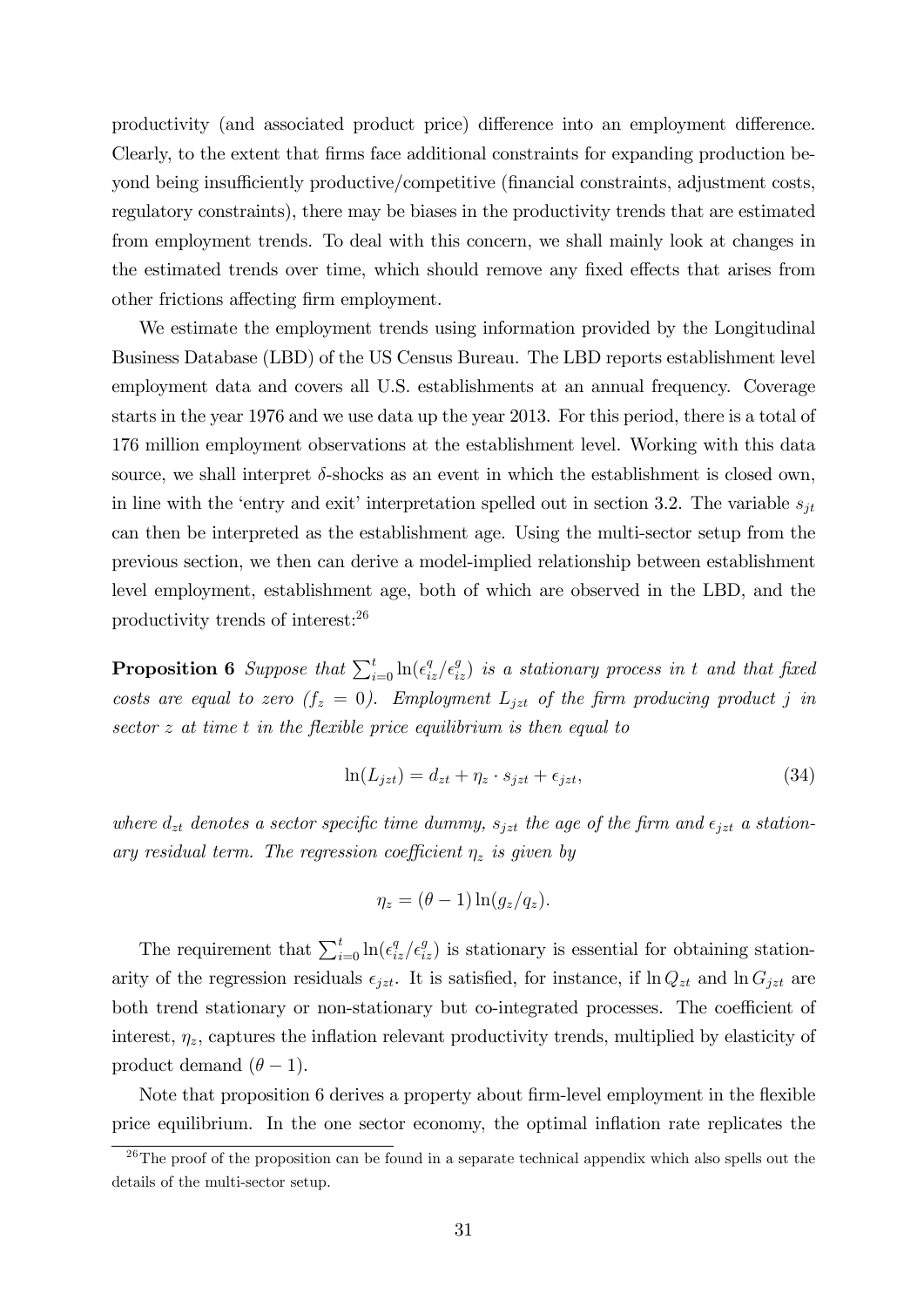productivity (and associated product price) difference into an employment difference. Clearly, to the extent that Örms face additional constraints for expanding production beyond being insufficiently productive/competitive (financial constraints, adjustment costs, regulatory constraints), there may be biases in the productivity trends that are estimated from employment trends. To deal with this concern, we shall mainly look at changes in the estimated trends over time, which should remove any fixed effects that arises from other frictions affecting firm employment.

We estimate the employment trends using information provided by the Longitudinal Business Database (LBD) of the US Census Bureau. The LBD reports establishment level employment data and covers all U.S. establishments at an annual frequency. Coverage starts in the year 1976 and we use data up the year 2013. For this period, there is a total of 176 million employment observations at the establishment level. Working with this data source, we shall interpret  $\delta$ -shocks as an event in which the establishment is closed own, in line with the 'entry and exit' interpretation spelled out in section 3.2. The variable  $s_{it}$ can then be interpreted as the establishment age. Using the multi-sector setup from the previous section, we then can derive a model-implied relationship between establishment level employment, establishment age, both of which are observed in the LBD, and the productivity trends of interest:<sup>26</sup>

**Proposition 6** Suppose that  $\sum_{i=0}^{t} \ln(\epsilon_{iz}^q/\epsilon_{iz}^q)$  is a stationary process in t and that fixed costs are equal to zero  $(f_z = 0)$ . Employment  $L_{jzt}$  of the firm producing product j in sector z at time t in the flexible price equilibrium is then equal to

$$
\ln(L_{jzt}) = d_{zt} + \eta_z \cdot s_{jzt} + \epsilon_{jzt},\tag{34}
$$

where  $d_{zt}$  denotes a sector specific time dummy,  $s_{jzt}$  the age of the firm and  $\epsilon_{jzt}$  a stationary residual term. The regression coefficient  $\eta_z$  is given by

$$
\eta_z = (\theta - 1) \ln(g_z / q_z).
$$

The requirement that  $\sum_{i=0}^{t} \ln(\epsilon_{iz}^q/\epsilon_{iz}^q)$  is stationary is essential for obtaining stationarity of the regression residuals  $\epsilon_{jzt}$ . It is satisfied, for instance, if  $\ln Q_{zt}$  and  $\ln G_{jzt}$  are both trend stationary or non-stationary but co-integrated processes. The coefficient of interest,  $\eta_z$ , captures the inflation relevant productivity trends, multiplied by elasticity of product demand  $(\theta - 1)$ .

Note that proposition 6 derives a property about firm-level employment in the flexible price equilibrium. In the one sector economy, the optimal ináation rate replicates the

 $\frac{26}{16}$ The proof of the proposition can be found in a separate technical appendix which also spells out the details of the multi-sector setup.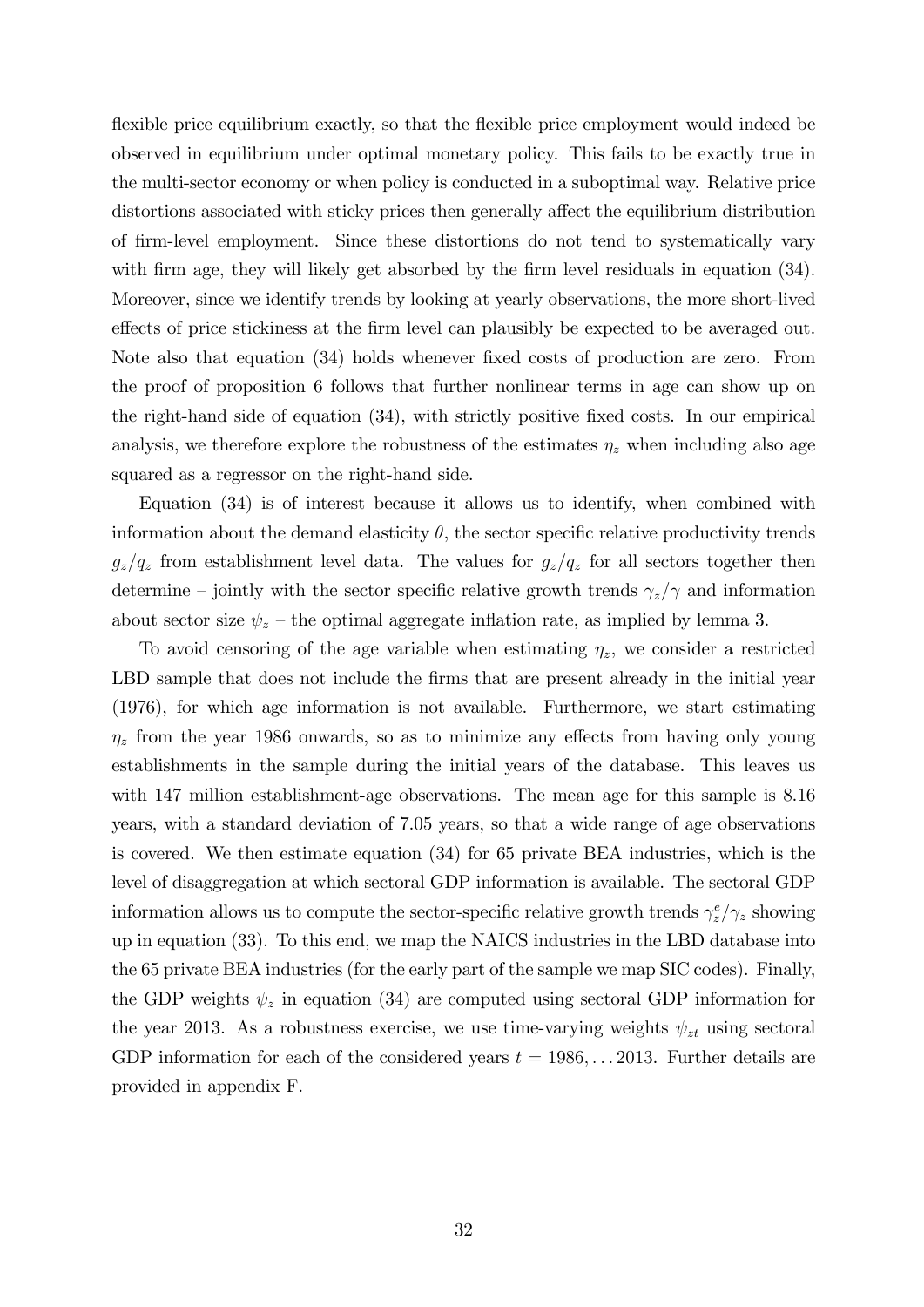flexible price equilibrium exactly, so that the flexible price employment would indeed be observed in equilibrium under optimal monetary policy. This fails to be exactly true in the multi-sector economy or when policy is conducted in a suboptimal way. Relative price distortions associated with sticky prices then generally affect the equilibrium distribution of Örm-level employment. Since these distortions do not tend to systematically vary with firm age, they will likely get absorbed by the firm level residuals in equation (34). Moreover, since we identify trends by looking at yearly observations, the more short-lived effects of price stickiness at the firm level can plausibly be expected to be averaged out. Note also that equation (34) holds whenever fixed costs of production are zero. From the proof of proposition 6 follows that further nonlinear terms in age can show up on the right-hand side of equation  $(34)$ , with strictly positive fixed costs. In our empirical analysis, we therefore explore the robustness of the estimates  $\eta_z$  when including also age squared as a regressor on the right-hand side.

Equation (34) is of interest because it allows us to identify, when combined with information about the demand elasticity  $\theta$ , the sector specific relative productivity trends  $g_z/q_z$  from establishment level data. The values for  $g_z/q_z$  for all sectors together then determine – jointly with the sector specific relative growth trends  $\gamma_z/\gamma$  and information about sector size  $\psi_z$  – the optimal aggregate inflation rate, as implied by lemma 3.

To avoid censoring of the age variable when estimating  $\eta_z$ , we consider a restricted LBD sample that does not include the firms that are present already in the initial year (1976), for which age information is not available. Furthermore, we start estimating  $\eta_z$  from the year 1986 onwards, so as to minimize any effects from having only young establishments in the sample during the initial years of the database. This leaves us with 147 million establishment-age observations. The mean age for this sample is  $8.16$ years, with a standard deviation of 7.05 years, so that a wide range of age observations is covered. We then estimate equation (34) for 65 private BEA industries, which is the level of disaggregation at which sectoral GDP information is available. The sectoral GDP information allows us to compute the sector-specific relative growth trends  $\gamma_z^e/\gamma_z$  showing up in equation (33). To this end, we map the NAICS industries in the LBD database into the 65 private BEA industries (for the early part of the sample we map SIC codes). Finally, the GDP weights  $\psi_z$  in equation (34) are computed using sectoral GDP information for the year 2013. As a robustness exercise, we use time-varying weights  $\psi_{zt}$  using sectoral GDP information for each of the considered years  $t = 1986, \ldots 2013$ . Further details are provided in appendix F.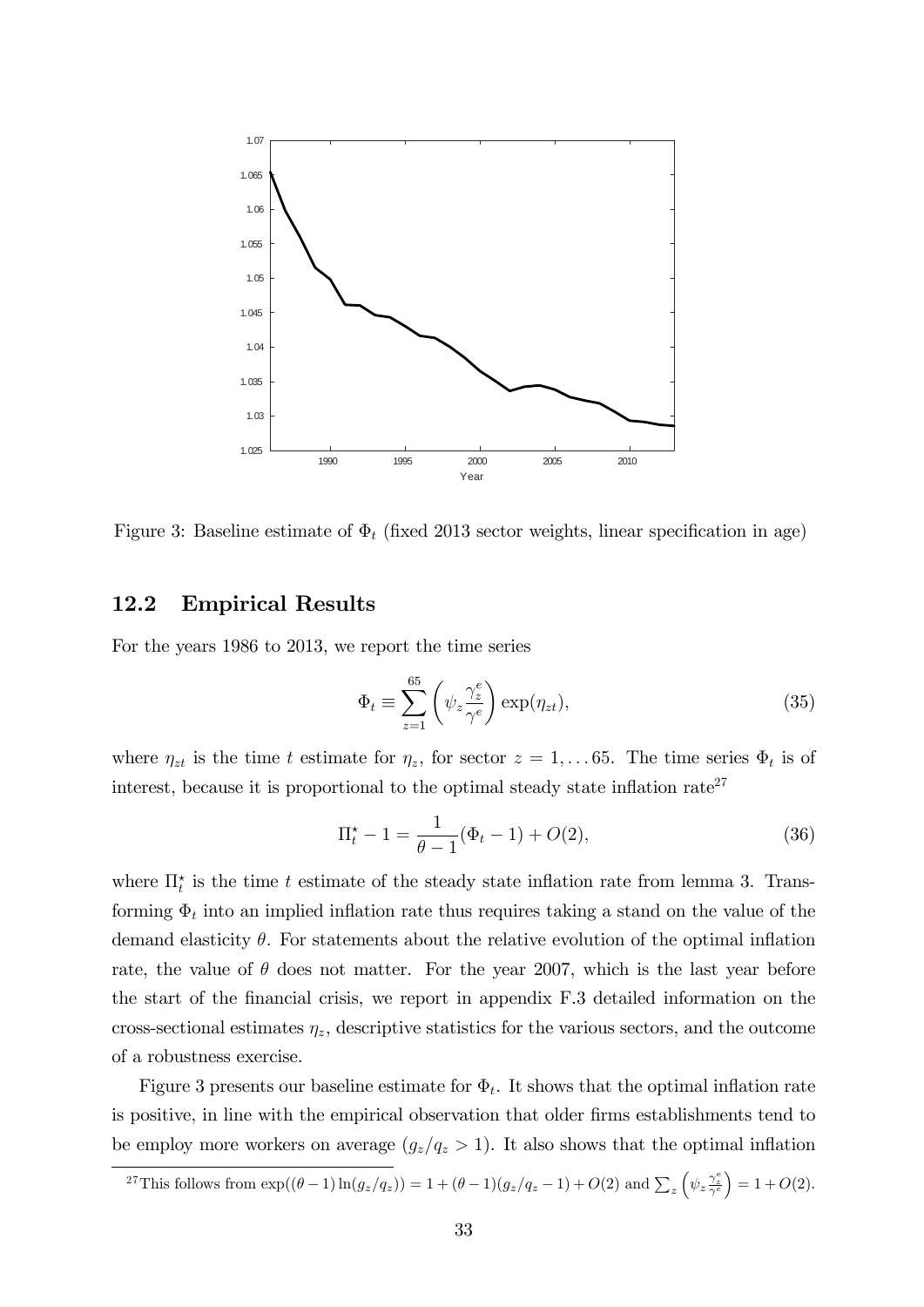

Figure 3: Baseline estimate of  $\Phi_t$  (fixed 2013 sector weights, linear specification in age)

### 12.2 Empirical Results

For the years 1986 to 2013, we report the time series

$$
\Phi_t \equiv \sum_{z=1}^{65} \left( \psi_z \frac{\gamma_z^e}{\gamma^e} \right) \exp(\eta_{zt}), \tag{35}
$$

where  $\eta_{zt}$  is the time t estimate for  $\eta_z$ , for sector  $z = 1, \ldots 65$ . The time series  $\Phi_t$  is of interest, because it is proportional to the optimal steady state inflation rate<sup>27</sup>

$$
\Pi_t^* - 1 = \frac{1}{\theta - 1} (\Phi_t - 1) + O(2),\tag{36}
$$

where  $\prod_{t=1}^{k}$  is the time t estimate of the steady state inflation rate from lemma 3. Transforming  $\Phi_t$  into an implied inflation rate thus requires taking a stand on the value of the demand elasticity  $\theta$ . For statements about the relative evolution of the optimal inflation rate, the value of  $\theta$  does not matter. For the year 2007, which is the last year before the start of the financial crisis, we report in appendix F.3 detailed information on the cross-sectional estimates  $\eta_z$ , descriptive statistics for the various sectors, and the outcome of a robustness exercise.

Figure 3 presents our baseline estimate for  $\Phi_t$ . It shows that the optimal inflation rate is positive, in line with the empirical observation that older firms establishments tend to be employ more workers on average  $(g_z/q_z > 1)$ . It also shows that the optimal inflation

<sup>&</sup>lt;sup>27</sup>This follows from  $\exp((\theta-1)\ln(g_z/q_z)) = 1 + (\theta-1)(g_z/q_z-1) + O(2)$  and  $\sum_z \left(\psi_z \frac{\gamma_z^2}{\gamma^6}\right)$  $= 1 + O(2).$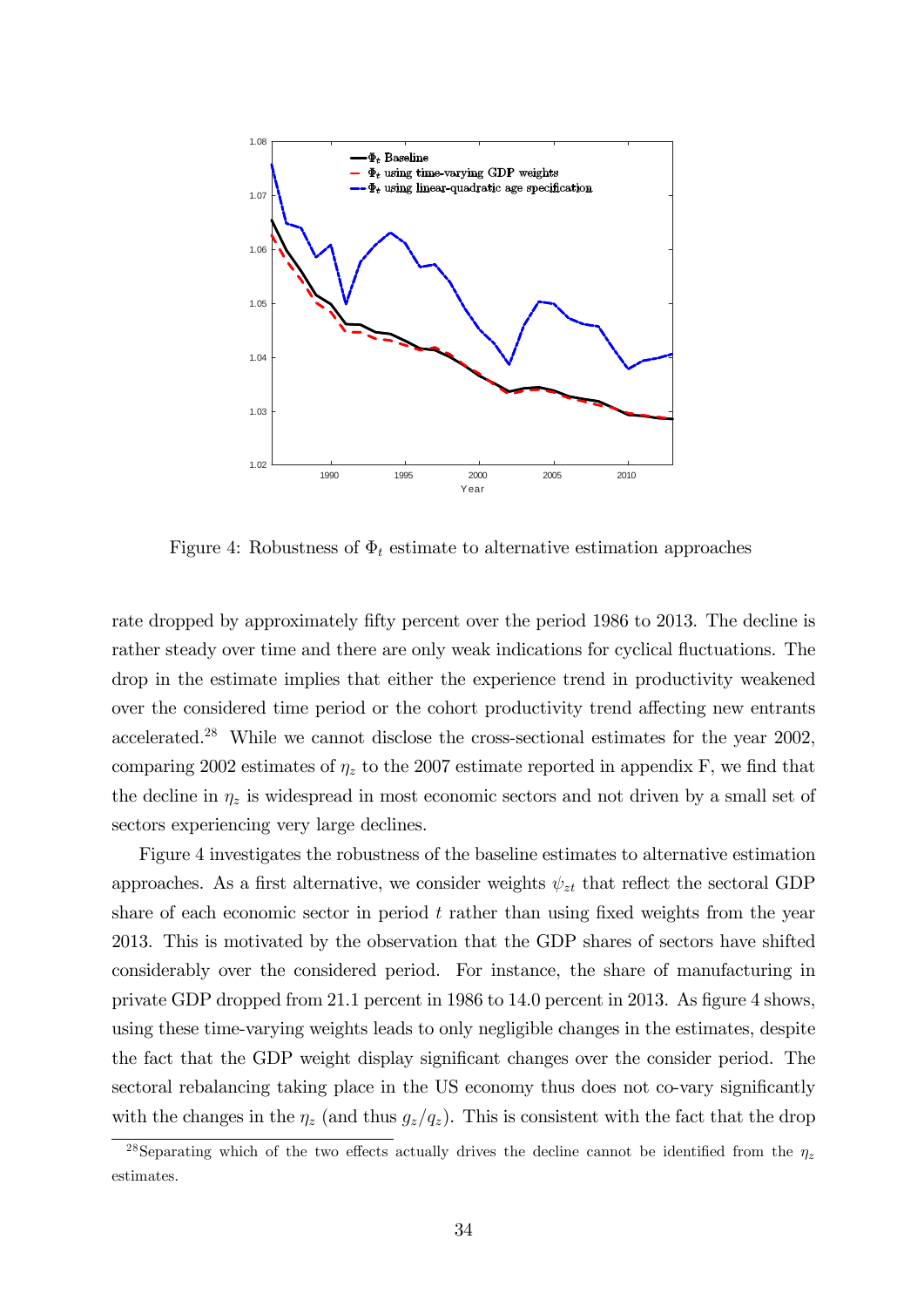

Figure 4: Robustness of  $\Phi_t$  estimate to alternative estimation approaches

rate dropped by approximately fifty percent over the period 1986 to 2013. The decline is rather steady over time and there are only weak indications for cyclical fluctuations. The drop in the estimate implies that either the experience trend in productivity weakened over the considered time period or the cohort productivity trend affecting new entrants accelerated.<sup>28</sup> While we cannot disclose the cross-sectional estimates for the year 2002, comparing 2002 estimates of  $\eta_z$  to the 2007 estimate reported in appendix F, we find that the decline in  $\eta_z$  is widespread in most economic sectors and not driven by a small set of sectors experiencing very large declines.

Figure 4 investigates the robustness of the baseline estimates to alternative estimation approaches. As a first alternative, we consider weights  $\psi_{zt}$  that reflect the sectoral GDP share of each economic sector in period  $t$  rather than using fixed weights from the year 2013. This is motivated by the observation that the GDP shares of sectors have shifted considerably over the considered period. For instance, the share of manufacturing in private GDP dropped from  $21.1$  percent in 1986 to 14.0 percent in 2013. As figure 4 shows, using these time-varying weights leads to only negligible changes in the estimates, despite the fact that the GDP weight display significant changes over the consider period. The sectoral rebalancing taking place in the US economy thus does not co-vary significantly with the changes in the  $\eta_z$  (and thus  $g_z/q_z$ ). This is consistent with the fact that the drop

<sup>&</sup>lt;sup>28</sup>Separating which of the two effects actually drives the decline cannot be identified from the  $\eta_z$ estimates.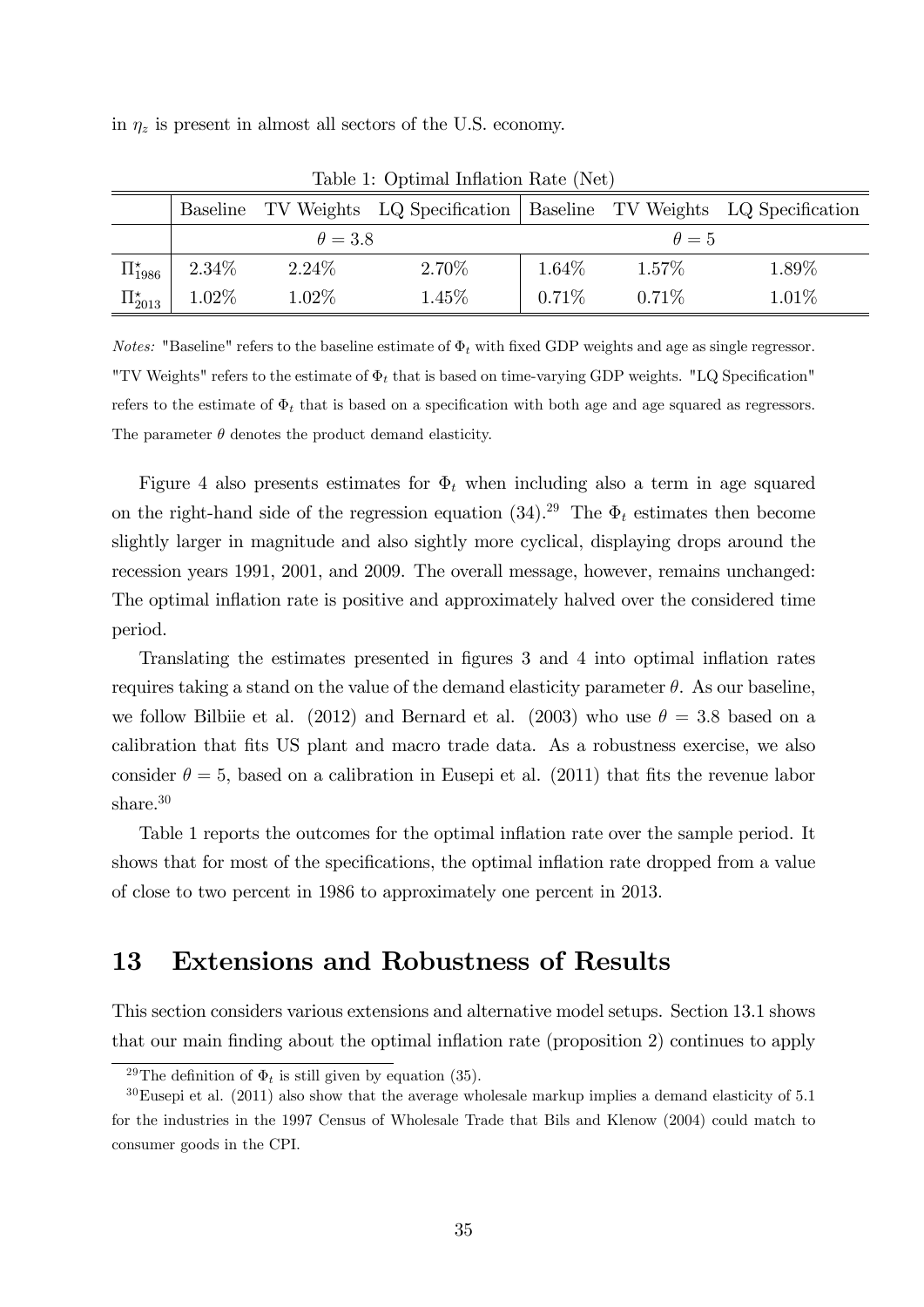in  $\eta_z$  is present in almost all sectors of the U.S. economy.

|                      |          |                | Baseline TV Weights LQ Specification   Baseline TV Weights LQ Specification |          |              |       |
|----------------------|----------|----------------|-----------------------------------------------------------------------------|----------|--------------|-------|
|                      |          | $\theta = 3.8$ |                                                                             |          | $\theta = 5$ |       |
| $\Pi_{1986}^{\star}$ | $2.34\%$ | $2.24\%$       | 2.70%                                                                       | $1.64\%$ | $1.57\%$     | 1.89% |
| $\Pi_{2013}^{\star}$ | 1.02%    | $1.02\%$       | 1.45%                                                                       | $0.71\%$ | $0.71\%$     | 1.01% |

Table 1: Optimal Inflation Rate (Net)

*Notes:* "Baseline" refers to the baseline estimate of  $\Phi_t$  with fixed GDP weights and age as single regressor. "TV Weights" refers to the estimate of  $\Phi_t$  that is based on time-varying GDP weights. "LQ Specification" refers to the estimate of  $\Phi_t$  that is based on a specification with both age and age squared as regressors. The parameter  $\theta$  denotes the product demand elasticity.

Figure 4 also presents estimates for  $\Phi_t$  when including also a term in age squared on the right-hand side of the regression equation (34).<sup>29</sup> The  $\Phi_t$  estimates then become slightly larger in magnitude and also sightly more cyclical, displaying drops around the recession years 1991, 2001, and 2009. The overall message, however, remains unchanged: The optimal inflation rate is positive and approximately halved over the considered time period.

Translating the estimates presented in figures 3 and 4 into optimal inflation rates requires taking a stand on the value of the demand elasticity parameter  $\theta$ . As our baseline, we follow Bilbiie et al. (2012) and Bernard et al. (2003) who use  $\theta = 3.8$  based on a calibration that Öts US plant and macro trade data. As a robustness exercise, we also consider  $\theta = 5$ , based on a calibration in Eusepi et al. (2011) that fits the revenue labor share.<sup>30</sup>

Table 1 reports the outcomes for the optimal inflation rate over the sample period. It shows that for most of the specifications, the optimal inflation rate dropped from a value of close to two percent in 1986 to approximately one percent in 2013.

### 13 Extensions and Robustness of Results

This section considers various extensions and alternative model setups. Section 13.1 shows that our main finding about the optimal inflation rate (proposition 2) continues to apply

<sup>&</sup>lt;sup>29</sup>The definition of  $\Phi_t$  is still given by equation (35).

 $30$ Eusepi et al. (2011) also show that the average wholesale markup implies a demand elasticity of 5.1 for the industries in the 1997 Census of Wholesale Trade that Bils and Klenow (2004) could match to consumer goods in the CPI.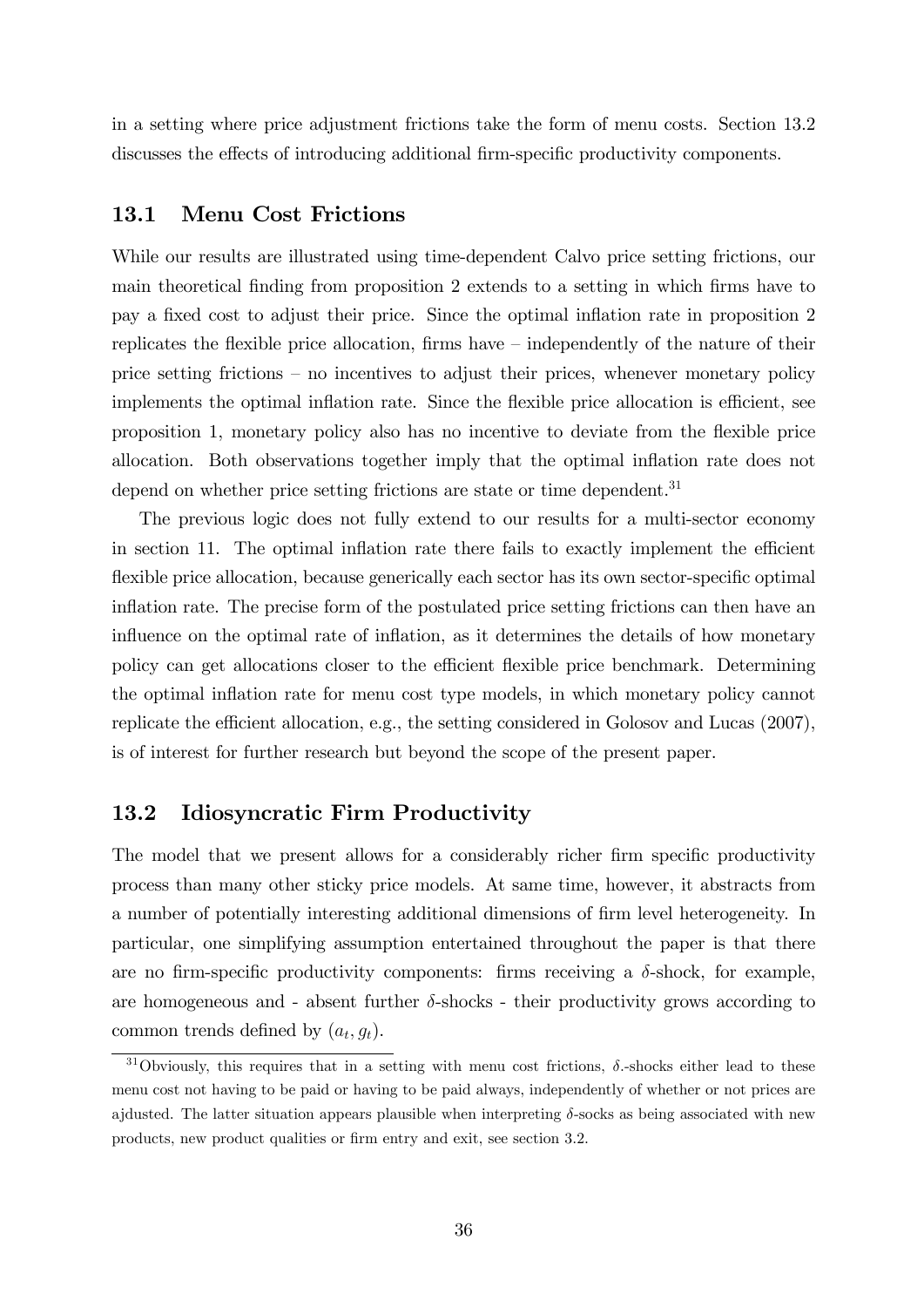in a setting where price adjustment frictions take the form of menu costs. Section 13.2 discusses the effects of introducing additional firm-specific productivity components.

#### 13.1 Menu Cost Frictions

While our results are illustrated using time-dependent Calvo price setting frictions, our main theoretical finding from proposition 2 extends to a setting in which firms have to pay a fixed cost to adjust their price. Since the optimal inflation rate in proposition 2 replicates the flexible price allocation, firms have  $\overline{\phantom{a}}$  independently of the nature of their price setting frictions  $-$  no incentives to adjust their prices, whenever monetary policy implements the optimal inflation rate. Since the flexible price allocation is efficient, see proposition 1, monetary policy also has no incentive to deviate from the flexible price allocation. Both observations together imply that the optimal inflation rate does not depend on whether price setting frictions are state or time dependent.<sup>31</sup>

The previous logic does not fully extend to our results for a multi-sector economy in section 11. The optimal inflation rate there fails to exactly implement the efficient flexible price allocation, because generically each sector has its own sector-specific optimal inflation rate. The precise form of the postulated price setting frictions can then have an influence on the optimal rate of inflation, as it determines the details of how monetary policy can get allocations closer to the efficient flexible price benchmark. Determining the optimal inflation rate for menu cost type models, in which monetary policy cannot replicate the efficient allocation, e.g., the setting considered in Golosov and Lucas  $(2007)$ , is of interest for further research but beyond the scope of the present paper.

### 13.2 Idiosyncratic Firm Productivity

The model that we present allows for a considerably richer firm specific productivity process than many other sticky price models. At same time, however, it abstracts from a number of potentially interesting additional dimensions of firm level heterogeneity. In particular, one simplifying assumption entertained throughout the paper is that there are no firm-specific productivity components: firms receiving a  $\delta$ -shock, for example, are homogeneous and - absent further  $\delta$ -shocks - their productivity grows according to common trends defined by  $(a_t, g_t)$ .

<sup>&</sup>lt;sup>31</sup>Obviously, this requires that in a setting with menu cost frictions,  $\delta$ -shocks either lead to these menu cost not having to be paid or having to be paid always, independently of whether or not prices are ajdusted. The latter situation appears plausible when interpreting  $\delta$ -socks as being associated with new products, new product qualities or firm entry and exit, see section 3.2.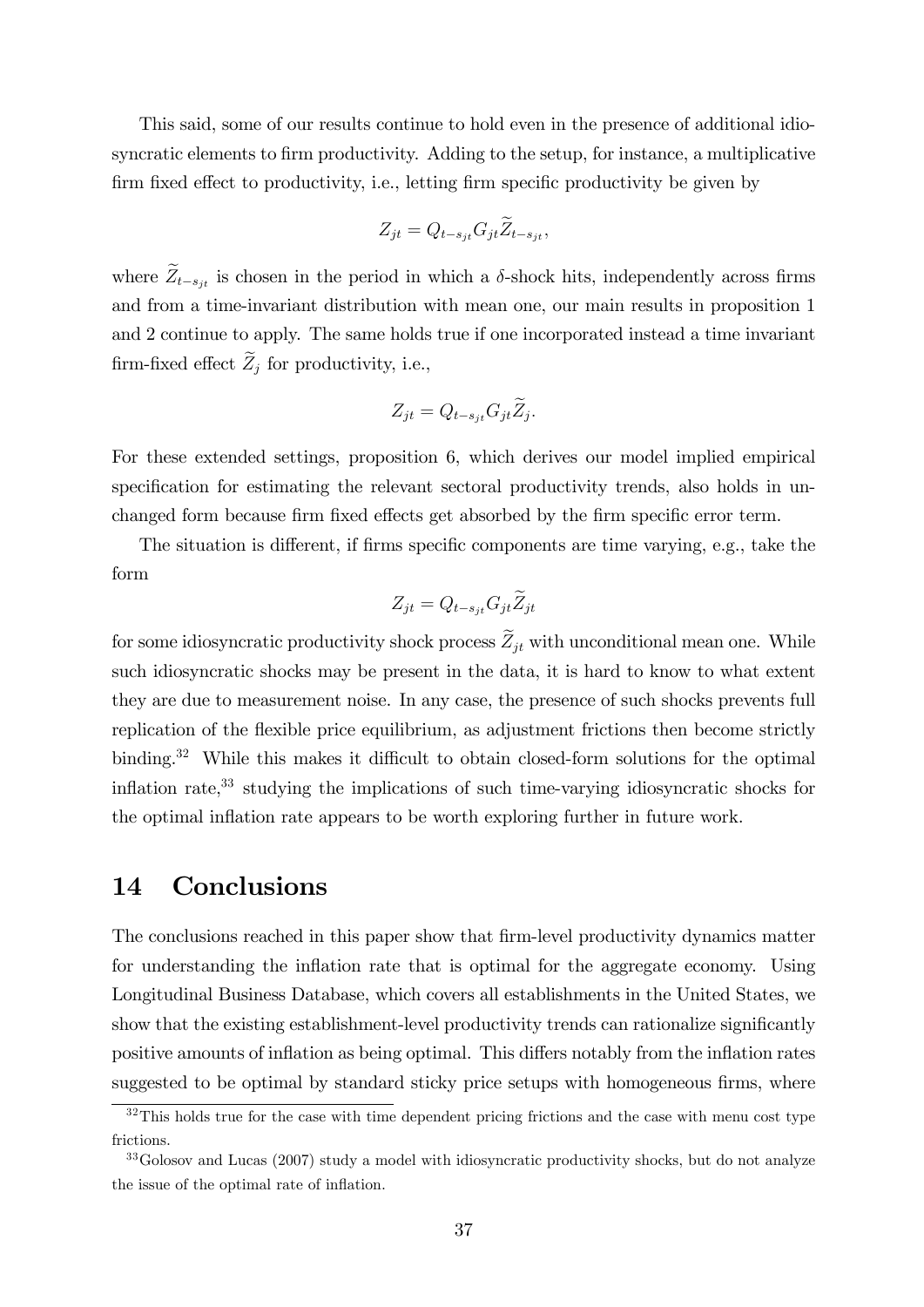This said, some of our results continue to hold even in the presence of additional idiosyncratic elements to firm productivity. Adding to the setup, for instance, a multiplicative firm fixed effect to productivity, i.e., letting firm specific productivity be given by

$$
Z_{jt} = Q_{t-s_{jt}} G_{jt} \widetilde{Z}_{t-s_{jt}},
$$

where  $\tilde{Z}_{t-s_{it}}$  is chosen in the period in which a  $\delta$ -shock hits, independently across firms and from a time-invariant distribution with mean one, our main results in proposition 1 and 2 continue to apply. The same holds true if one incorporated instead a time invariant firm-fixed effect  $\widetilde Z_j$  for productivity, i.e.,

$$
Z_{jt} = Q_{t-s_{jt}} G_{jt} \widetilde{Z}_j.
$$

For these extended settings, proposition 6, which derives our model implied empirical specification for estimating the relevant sectoral productivity trends, also holds in unchanged form because firm fixed effects get absorbed by the firm specific error term.

The situation is different, if firms specific components are time varying, e.g., take the form

$$
Z_{jt} = Q_{t-s_{jt}} G_{jt} \widetilde{Z}_{jt}
$$

for some idiosyncratic productivity shock process  $\widetilde{Z}_{it}$  with unconditional mean one. While such idiosyncratic shocks may be present in the data, it is hard to know to what extent they are due to measurement noise. In any case, the presence of such shocks prevents full replication of the flexible price equilibrium, as adjustment frictions then become strictly binding.<sup>32</sup> While this makes it difficult to obtain closed-form solutions for the optimal inflation rate, $33$  studying the implications of such time-varying idiosyncratic shocks for the optimal inflation rate appears to be worth exploring further in future work.

### 14 Conclusions

The conclusions reached in this paper show that firm-level productivity dynamics matter for understanding the inflation rate that is optimal for the aggregate economy. Using Longitudinal Business Database, which covers all establishments in the United States, we show that the existing establishment-level productivity trends can rationalize significantly positive amounts of inflation as being optimal. This differs notably from the inflation rates suggested to be optimal by standard sticky price setups with homogeneous firms, where

<sup>&</sup>lt;sup>32</sup>This holds true for the case with time dependent pricing frictions and the case with menu cost type frictions.

<sup>&</sup>lt;sup>33</sup>Golosov and Lucas (2007) study a model with idiosyncratic productivity shocks, but do not analyze the issue of the optimal rate of inflation.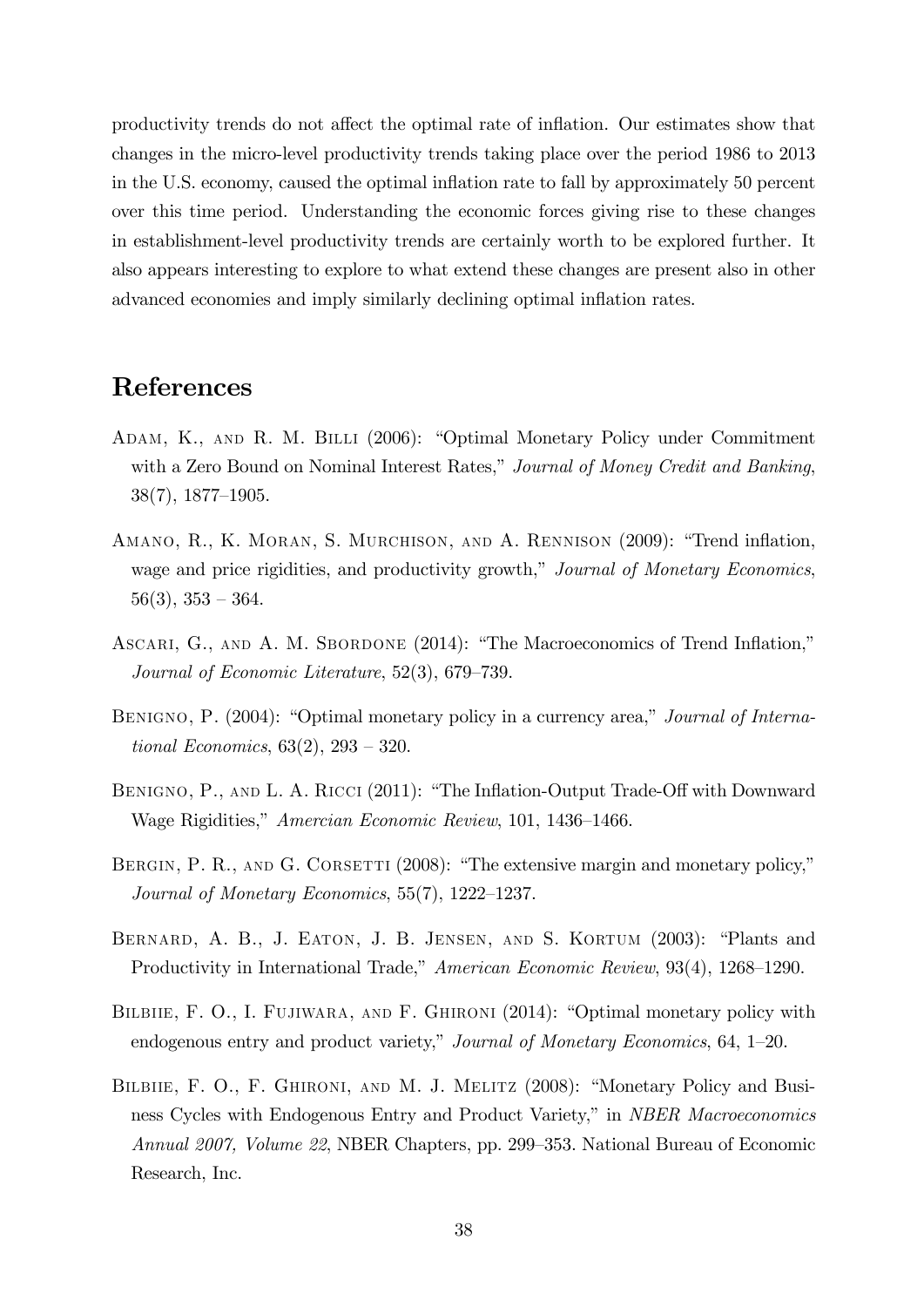productivity trends do not affect the optimal rate of inflation. Our estimates show that changes in the micro-level productivity trends taking place over the period 1986 to 2013 in the U.S. economy, caused the optimal ináation rate to fall by approximately 50 percent over this time period. Understanding the economic forces giving rise to these changes in establishment-level productivity trends are certainly worth to be explored further. It also appears interesting to explore to what extend these changes are present also in other advanced economies and imply similarly declining optimal inflation rates.

### References

- ADAM, K., AND R. M. BILLI (2006): "Optimal Monetary Policy under Commitment with a Zero Bound on Nominal Interest Rates," Journal of Money Credit and Banking,  $38(7), 1877-1905.$
- AMANO, R., K. MORAN, S. MURCHISON, AND A. RENNISON (2009): "Trend inflation, wage and price rigidities, and productivity growth," Journal of Monetary Economics,  $56(3), 353 - 364.$
- ASCARI, G., AND A. M. SBORDONE (2014): "The Macroeconomics of Trend Inflation," Journal of Economic Literature,  $52(3)$ ,  $679-739$ .
- BENIGNO, P.  $(2004)$ : "Optimal monetary policy in a currency area," Journal of International Economics,  $63(2)$ ,  $293 - 320$ .
- BENIGNO, P., AND L. A. RICCI (2011): "The Inflation-Output Trade-Off with Downward Wage Rigidities," Amercian Economic Review, 101, 1436–1466.
- BERGIN, P. R., AND G. CORSETTI  $(2008)$ : "The extensive margin and monetary policy," Journal of Monetary Economics,  $55(7)$ ,  $1222-1237$ .
- BERNARD, A. B., J. EATON, J. B. JENSEN, AND S. KORTUM (2003): "Plants and Productivity in International Trade," American Economic Review, 93(4), 1268–1290.
- BILBIIE, F. O., I. FUJIWARA, AND F. GHIRONI (2014): "Optimal monetary policy with endogenous entry and product variety," Journal of Monetary Economics, 64,  $1-20$ .
- BILBIIE, F. O., F. GHIRONI, AND M. J. MELITZ (2008): "Monetary Policy and Business Cycles with Endogenous Entry and Product Variety," in *NBER Macroeconomics* Annual 2007, Volume 22, NBER Chapters, pp. 299–353. National Bureau of Economic Research, Inc.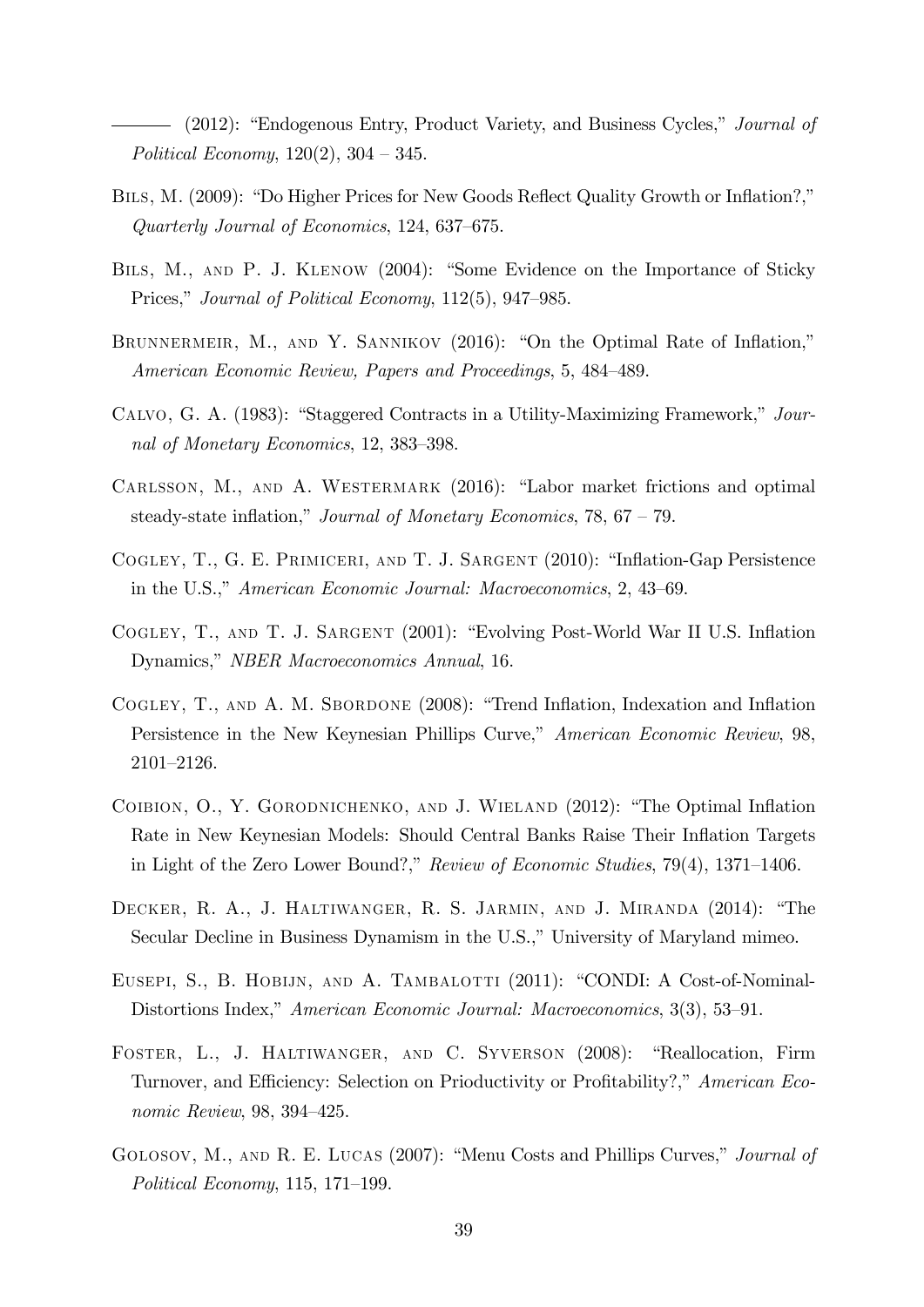$(2012)$ : "Endogenous Entry, Product Variety, and Business Cycles," *Journal of* Political Economy,  $120(2)$ ,  $304 - 345$ .

- BILS, M. (2009): "Do Higher Prices for New Goods Reflect Quality Growth or Inflation?," Quarterly Journal of Economics,  $124, 637-675$ .
- BILS, M., AND P. J. KLENOW (2004): "Some Evidence on the Importance of Sticky Prices," Journal of Political Economy,  $112(5)$ ,  $947-985$ .
- BRUNNERMEIR, M., AND Y. SANNIKOV  $(2016)$ : "On the Optimal Rate of Inflation," American Economic Review, Papers and Proceedings, 5, 484–489.
- CALVO, G. A. (1983): "Staggered Contracts in a Utility-Maximizing Framework," Journal of Monetary Economics, 12, 383–398.
- CARLSSON, M., AND A. WESTERMARK  $(2016)$ : "Labor market frictions and optimal steady-state inflation," Journal of Monetary Economics,  $78$ ,  $67 - 79$ .
- COGLEY, T., G. E. PRIMICERI, AND T. J. SARGENT (2010): "Inflation-Gap Persistence in the U.S.," American Economic Journal: Macroeconomics, 2, 43–69.
- COGLEY, T., AND T. J. SARGENT (2001): "Evolving Post-World War II U.S. Inflation Dynamics," NBER Macroeconomics Annual, 16.
- COGLEY, T., AND A. M. SBORDONE (2008): "Trend Inflation, Indexation and Inflation Persistence in the New Keynesian Phillips Curve," American Economic Review, 98,  $2101 - 2126.$
- COIBION, O., Y. GORODNICHENKO, AND J. WIELAND (2012): "The Optimal Inflation Rate in New Keynesian Models: Should Central Banks Raise Their Inflation Targets in Light of the Zero Lower Bound?," Review of Economic Studies,  $79(4)$ ,  $1371-1406$ .
- DECKER, R. A., J. HALTIWANGER, R. S. JARMIN, AND J. MIRANDA (2014): "The Secular Decline in Business Dynamism in the U.S.," University of Maryland mimeo.
- EUSEPI, S., B. HOBIJN, AND A. TAMBALOTTI (2011): "CONDI: A Cost-of-Nominal-Distortions Index," American Economic Journal: Macroeconomics, 3(3), 53-91.
- FOSTER, L., J. HALTIWANGER, AND C. SYVERSON (2008): "Reallocation, Firm Turnover, and Efficiency: Selection on Prioductivity or Profitability?," American Economic Review,  $98, 394-425$ .
- GOLOSOV, M., AND R. E. LUCAS (2007): "Menu Costs and Phillips Curves," *Journal of* Political Economy, 115, 171–199.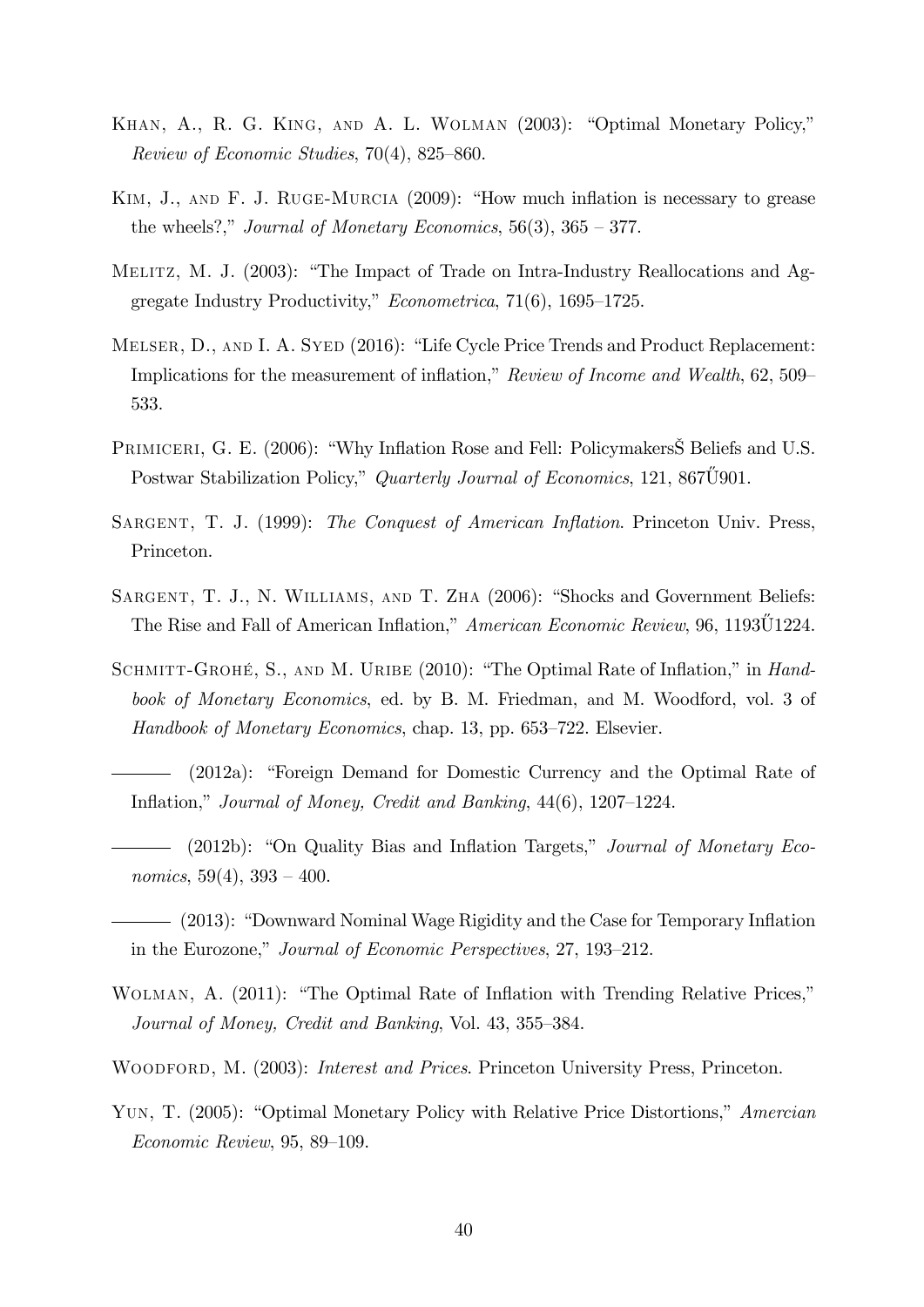- KHAN, A., R. G. KING, AND A. L. WOLMAN (2003): "Optimal Monetary Policy," Review of Economic Studies,  $70(4)$ , 825–860.
- KIM, J., AND F. J. RUGE-MURCIA  $(2009)$ : "How much inflation is necessary to grease the wheels?," Journal of Monetary Economics,  $56(3)$ ,  $365 - 377$ .
- MELITZ, M. J.  $(2003)$ : "The Impact of Trade on Intra-Industry Reallocations and Aggregate Industry Productivity,"  $Econometrica$ , 71(6), 1695–1725.
- MELSER, D., AND I. A. SYED (2016): "Life Cycle Price Trends and Product Replacement: Implications for the measurement of inflation," Review of Income and Wealth, 62, 509 533.
- PRIMICERI, G. E. (2006): "Why Inflation Rose and Fell: Policymakers S Beliefs and U.S. Postwar Stabilization Policy," Quarterly Journal of Economics, 121, 867U901.
- SARGENT, T. J. (1999): The Conquest of American Inflation. Princeton Univ. Press, Princeton.
- SARGENT, T. J., N. WILLIAMS, AND T. ZHA (2006): "Shocks and Government Beliefs: The Rise and Fall of American Inflation," American Economic Review, 96, 1193U1224.
- SCHMITT-GROHÉ, S., AND M. URIBE (2010): "The Optimal Rate of Inflation," in Handbook of Monetary Economics, ed. by B. M. Friedman, and M. Woodford, vol. 3 of Handbook of Monetary Economics, chap. 13, pp.  $653-722$ . Elsevier.
- $(2012a)$ : "Foreign Demand for Domestic Currency and the Optimal Rate of Inflation," Journal of Money, Credit and Banking,  $44(6)$ ,  $1207-1224$ .
- $(2012b)$ : "On Quality Bias and Inflation Targets," Journal of Monetary Economics,  $59(4)$ ,  $393 - 400$ .
- (2013): "Downward Nominal Wage Rigidity and the Case for Temporary Inflation in the Eurozone," Journal of Economic Perspectives, 27, 193–212.
- WOLMAN, A. (2011): "The Optimal Rate of Inflation with Trending Relative Prices," Journal of Money, Credit and Banking, Vol. 43, 355–384.
- WOODFORD, M. (2003): *Interest and Prices*. Princeton University Press, Princeton.
- YUN, T. (2005): "Optimal Monetary Policy with Relative Price Distortions," Amercian  $Economic Review, 95, 89-109.$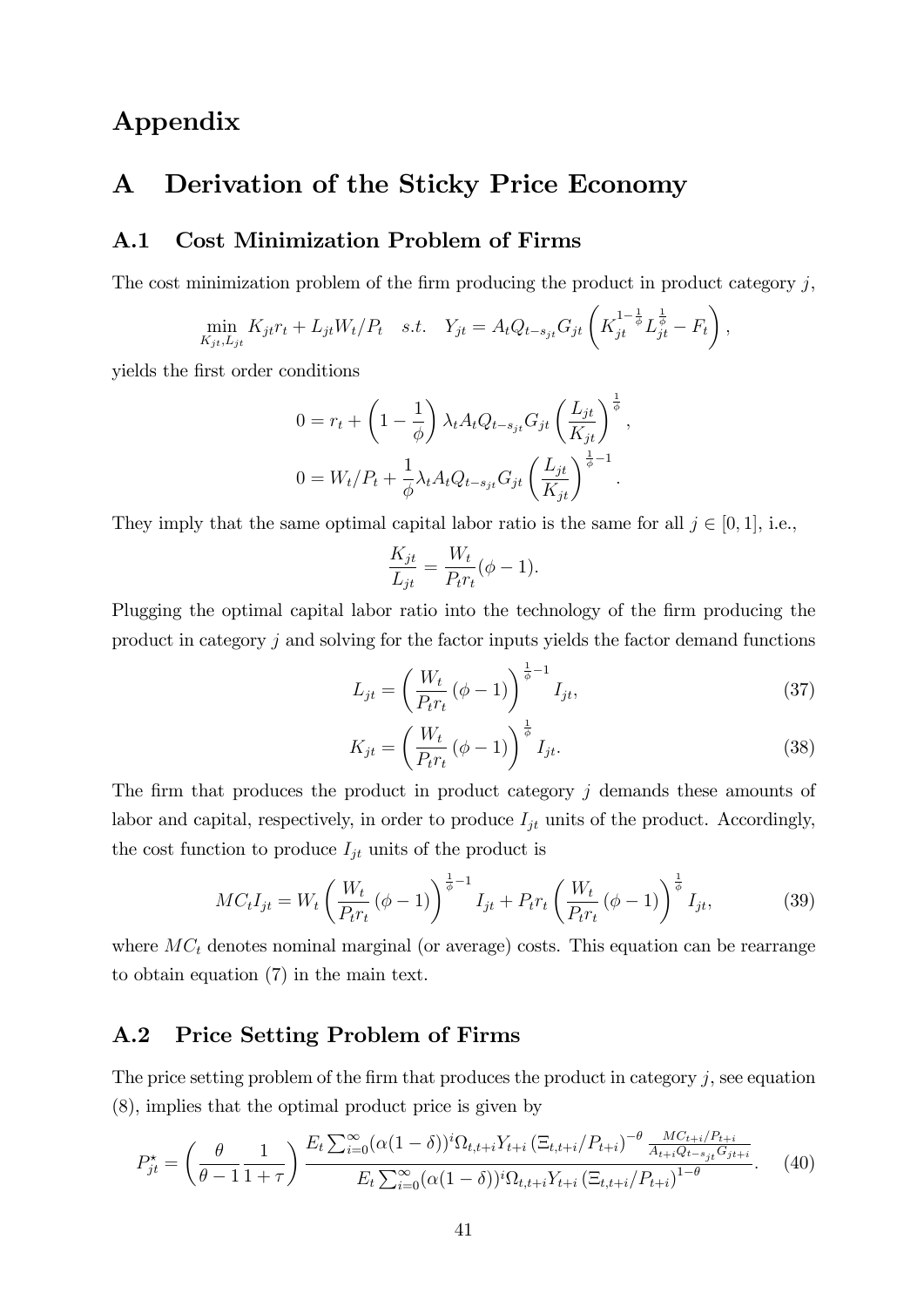## Appendix

### A Derivation of the Sticky Price Economy

#### A.1 Cost Minimization Problem of Firms

The cost minimization problem of the firm producing the product in product category  $j$ ,

$$
\min_{K_{jt}, L_{jt}} K_{jt} r_t + L_{jt} W_t / P_t \quad s.t. \quad Y_{jt} = A_t Q_{t-s_{jt}} G_{jt} \left( K_{jt}^{1-\frac{1}{\phi}} L_{jt}^{\frac{1}{\phi}} - F_t \right),
$$

yields the Örst order conditions

$$
0 = r_t + \left(1 - \frac{1}{\phi}\right) \lambda_t A_t Q_{t-s_{jt}} G_{jt} \left(\frac{L_{jt}}{K_{jt}}\right)^{\frac{1}{\phi}},
$$
  

$$
0 = W_t / P_t + \frac{1}{\phi} \lambda_t A_t Q_{t-s_{jt}} G_{jt} \left(\frac{L_{jt}}{K_{jt}}\right)^{\frac{1}{\phi}-1}.
$$

They imply that the same optimal capital labor ratio is the same for all  $j \in [0, 1]$ , i.e.,

$$
\frac{K_{jt}}{L_{jt}} = \frac{W_t}{P_t r_t} (\phi - 1).
$$

Plugging the optimal capital labor ratio into the technology of the firm producing the product in category j and solving for the factor inputs yields the factor demand functions

$$
L_{jt} = \left(\frac{W_t}{P_t r_t} (\phi - 1)\right)^{\frac{1}{\phi} - 1} I_{jt},
$$
\n(37)

$$
K_{jt} = \left(\frac{W_t}{P_t r_t} \left(\phi - 1\right)\right)^{\frac{1}{\phi}} I_{jt}.
$$
\n(38)

The firm that produces the product in product category  $j$  demands these amounts of labor and capital, respectively, in order to produce  $I_{jt}$  units of the product. Accordingly, the cost function to produce  $I_{jt}$  units of the product is

$$
MC_t I_{jt} = W_t \left(\frac{W_t}{P_t r_t} (\phi - 1)\right)^{\frac{1}{\phi} - 1} I_{jt} + P_t r_t \left(\frac{W_t}{P_t r_t} (\phi - 1)\right)^{\frac{1}{\phi}} I_{jt},
$$
(39)

where  $MC<sub>t</sub>$  denotes nominal marginal (or average) costs. This equation can be rearrange to obtain equation (7) in the main text.

### A.2 Price Setting Problem of Firms

The price setting problem of the firm that produces the product in category  $j$ , see equation (8), implies that the optimal product price is given by

$$
P_{jt}^{\star} = \left(\frac{\theta}{\theta - 1} \frac{1}{1 + \tau}\right) \frac{E_t \sum_{i=0}^{\infty} (\alpha (1 - \delta))^i \Omega_{t, t + i} Y_{t + i} \left(\Xi_{t, t + i} / P_{t + i}\right)^{-\theta} \frac{MC_{t + i} / P_{t + i}}{A_{t + i} Q_{t - s_{jt}} G_{j t + i}}}{E_t \sum_{i=0}^{\infty} (\alpha (1 - \delta))^i \Omega_{t, t + i} Y_{t + i} \left(\Xi_{t, t + i} / P_{t + i}\right)^{1 - \theta}}.
$$
 (40)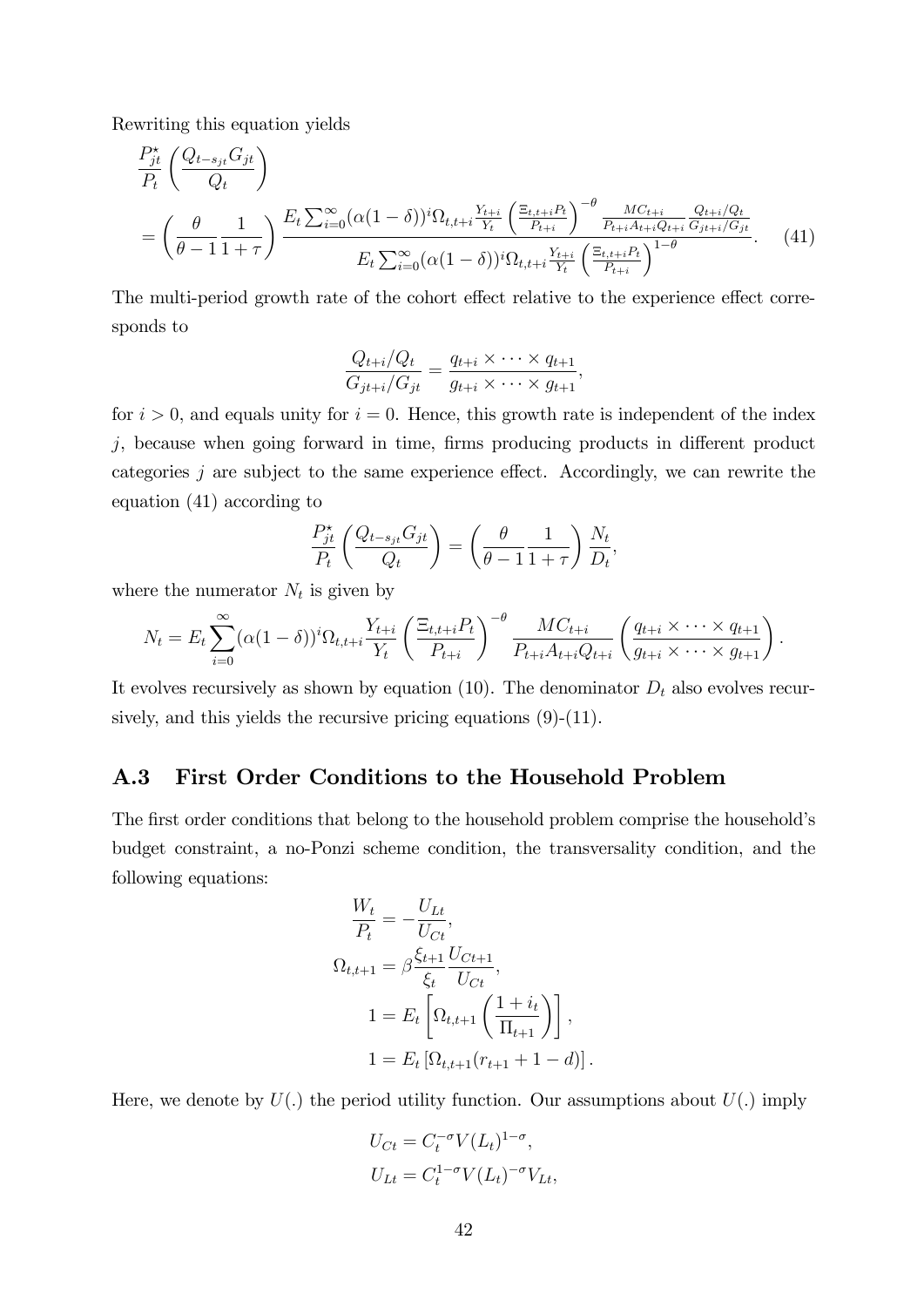Rewriting this equation yields

$$
\frac{P_{jt}^{\star}}{P_t} \left( \frac{Q_{t-s_{jt}} G_{jt}}{Q_t} \right)
$$
\n
$$
= \left( \frac{\theta}{\theta - 1} \frac{1}{1 + \tau} \right) \frac{E_t \sum_{i=0}^{\infty} (\alpha (1 - \delta))^i \Omega_{t,t+i} \frac{Y_{t+i}}{Y_t} \left( \frac{\Xi_{t,t+i} P_t}{P_{t+i}} \right)^{-\theta} \frac{M C_{t+i}}{P_{t+i} A_{t+i} Q_{t+i}} \frac{Q_{t+i} / Q_t}{G_{jt+i} / G_{jt}}}{E_t \sum_{i=0}^{\infty} (\alpha (1 - \delta))^i \Omega_{t,t+i} \frac{Y_{t+i}}{Y_t} \left( \frac{\Xi_{t,t+i} P_t}{P_{t+i}} \right)^{1-\theta}}.
$$
\n(41)

The multi-period growth rate of the cohort effect relative to the experience effect corresponds to

$$
\frac{Q_{t+i}/Q_t}{G_{jt+i}/G_{jt}} = \frac{q_{t+i} \times \cdots \times q_{t+1}}{g_{t+i} \times \cdots \times g_{t+1}},
$$

for  $i > 0$ , and equals unity for  $i = 0$ . Hence, this growth rate is independent of the index  $j$ , because when going forward in time, firms producing products in different product categories  $j$  are subject to the same experience effect. Accordingly, we can rewrite the equation (41) according to

$$
\frac{P_{jt}^{\star}}{P_t} \left( \frac{Q_{t-s_{jt}} G_{jt}}{Q_t} \right) = \left( \frac{\theta}{\theta - 1} \frac{1}{1 + \tau} \right) \frac{N_t}{D_t},
$$

where the numerator  $N_t$  is given by

$$
N_t = E_t \sum_{i=0}^{\infty} (\alpha (1-\delta))^i \Omega_{t,t+i} \frac{Y_{t+i}}{Y_t} \left( \frac{\Xi_{t,t+i} P_t}{P_{t+i}} \right)^{-\theta} \frac{MC_{t+i}}{P_{t+i} A_{t+i} Q_{t+i}} \left( \frac{q_{t+i} \times \cdots \times q_{t+1}}{g_{t+i} \times \cdots \times g_{t+1}} \right).
$$

It evolves recursively as shown by equation (10). The denominator  $D_t$  also evolves recursively, and this yields the recursive pricing equations  $(9)-(11)$ .

### A.3 First Order Conditions to the Household Problem

The first order conditions that belong to the household problem comprise the household's budget constraint, a no-Ponzi scheme condition, the transversality condition, and the following equations:

$$
\frac{W_t}{P_t} = -\frac{U_{Lt}}{U_{Ct}},
$$
\n
$$
\Omega_{t,t+1} = \beta \frac{\xi_{t+1}}{\xi_t} \frac{U_{Ct+1}}{U_{Ct}},
$$
\n
$$
1 = E_t \left[ \Omega_{t,t+1} \left( \frac{1+i_t}{\Pi_{t+1}} \right) \right],
$$
\n
$$
1 = E_t \left[ \Omega_{t,t+1} (r_{t+1} + 1 - d) \right].
$$

Here, we denote by  $U(.)$  the period utility function. Our assumptions about  $U(.)$  imply

$$
U_{Ct} = C_t^{-\sigma} V(L_t)^{1-\sigma},
$$
  

$$
U_{Lt} = C_t^{1-\sigma} V(L_t)^{-\sigma} V_{Lt},
$$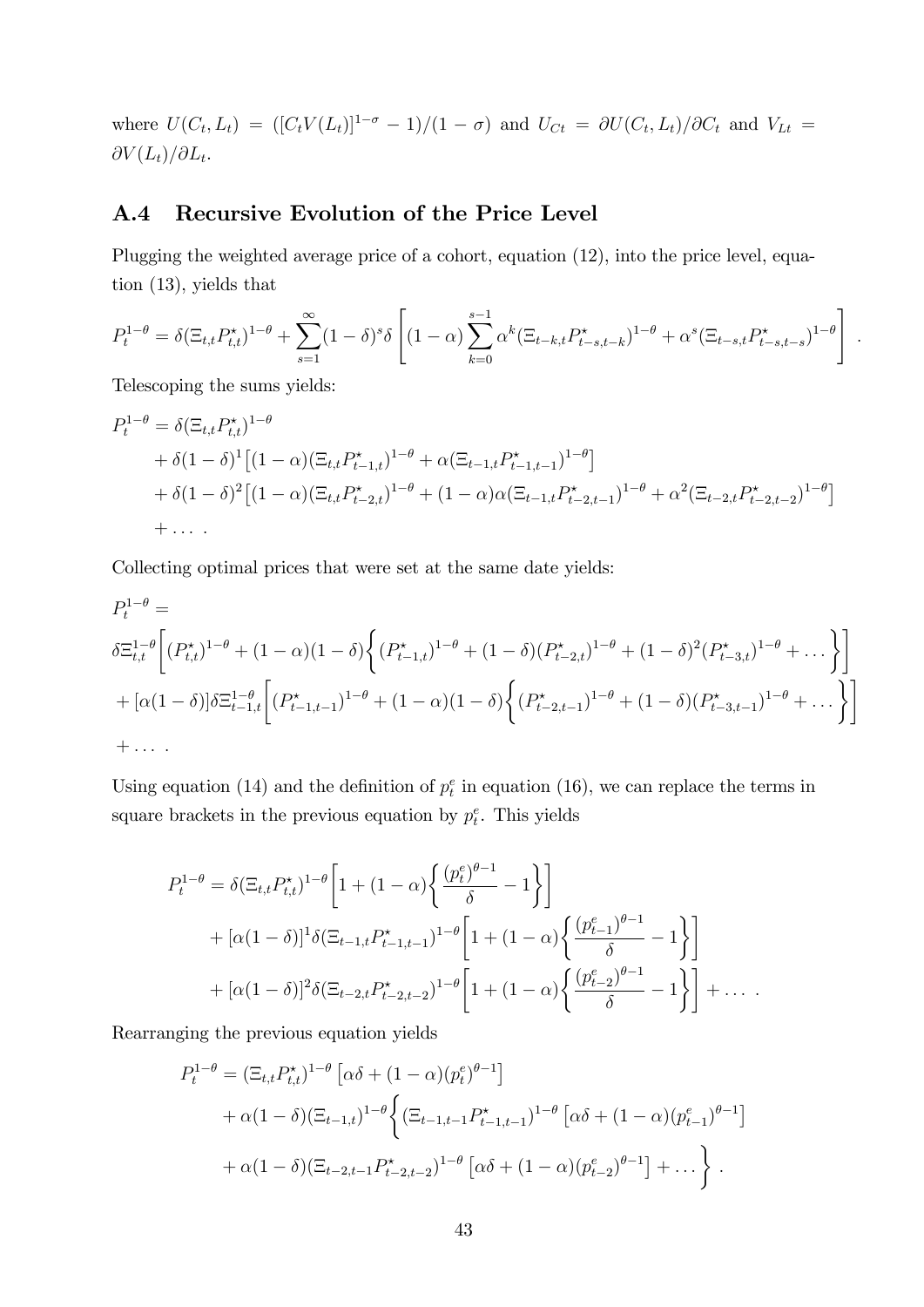where  $U(C_t, L_t) = ( [C_t V(L_t)]^{1-\sigma} - 1)/(1-\sigma)$  and  $U_{C_t} = \partial U(C_t, L_t)/\partial C_t$  and  $V_{Lt} =$  $\partial V(L_t)/\partial L_t.$ 

### A.4 Recursive Evolution of the Price Level

Plugging the weighted average price of a cohort, equation (12), into the price level, equation (13), yields that

$$
P_t^{1-\theta} = \delta(\Xi_{t,t} P_{t,t}^{\star})^{1-\theta} + \sum_{s=1}^{\infty} (1-\delta)^s \delta\left[ (1-\alpha) \sum_{k=0}^{s-1} \alpha^k (\Xi_{t-k,t} P_{t-s,t-k}^{\star})^{1-\theta} + \alpha^s (\Xi_{t-s,t} P_{t-s,t-s}^{\star})^{1-\theta} \right]
$$

:

Telescoping the sums yields:

$$
P_{t}^{1-\theta} = \delta(\Xi_{t,t}P_{t,t}^{*})^{1-\theta}
$$
  
+  $\delta(1-\delta)^{1}[(1-\alpha)(\Xi_{t,t}P_{t-1,t}^{*})^{1-\theta} + \alpha(\Xi_{t-1,t}P_{t-1,t-1}^{*})^{1-\theta}]$   
+  $\delta(1-\delta)^{2}[(1-\alpha)(\Xi_{t,t}P_{t-2,t}^{*})^{1-\theta} + (1-\alpha)\alpha(\Xi_{t-1,t}P_{t-2,t-1}^{*})^{1-\theta} + \alpha^{2}(\Xi_{t-2,t}P_{t-2,t-2}^{*})^{1-\theta}]$   
+ ...

Collecting optimal prices that were set at the same date yields:

$$
P_{t}^{1-\theta} =
$$
\n
$$
\delta \Xi_{t,t}^{1-\theta} \left[ (P_{t,t}^{\star})^{1-\theta} + (1-\alpha)(1-\delta) \left\{ (P_{t-1,t}^{\star})^{1-\theta} + (1-\delta)(P_{t-2,t}^{\star})^{1-\theta} + (1-\delta)^2 (P_{t-3,t}^{\star})^{1-\theta} + \dots \right\} \right]
$$
\n
$$
+ [\alpha(1-\delta)] \delta \Xi_{t-1,t}^{1-\theta} \left[ (P_{t-1,t-1}^{\star})^{1-\theta} + (1-\alpha)(1-\delta) \left\{ (P_{t-2,t-1}^{\star})^{1-\theta} + (1-\delta)(P_{t-3,t-1}^{\star})^{1-\theta} + \dots \right\} \right]
$$
\n
$$
+ \dots
$$

Using equation (14) and the definition of  $p_t^e$  in equation (16), we can replace the terms in square brackets in the previous equation by  $p_t^e$ . This yields

$$
P_{t}^{1-\theta} = \delta (\Xi_{t,t} P_{t,t}^{\star})^{1-\theta} \left[ 1 + (1 - \alpha) \left\{ \frac{(p_{t}^{e})^{\theta-1}}{\delta} - 1 \right\} \right]
$$
  
+  $[\alpha (1 - \delta)]^{1} \delta (\Xi_{t-1,t} P_{t-1,t-1}^{\star})^{1-\theta} \left[ 1 + (1 - \alpha) \left\{ \frac{(p_{t-1}^{e})^{\theta-1}}{\delta} - 1 \right\} \right]$   
+  $[\alpha (1 - \delta)]^{2} \delta (\Xi_{t-2,t} P_{t-2,t-2}^{\star})^{1-\theta} \left[ 1 + (1 - \alpha) \left\{ \frac{(p_{t-2}^{e})^{\theta-1}}{\delta} - 1 \right\} \right] + \dots$ 

Rearranging the previous equation yields

$$
P_t^{1-\theta} = (\Xi_{t,t} P_{t,t}^*)^{1-\theta} \left[ \alpha \delta + (1-\alpha)(p_t^e)^{\theta-1} \right]
$$
  
+  $\alpha (1-\delta) (\Xi_{t-1,t})^{1-\theta} \left\{ (\Xi_{t-1,t-1} P_{t-1,t-1}^*)^{1-\theta} \left[ \alpha \delta + (1-\alpha)(p_{t-1}^e)^{\theta-1} \right] \right\}$   
+  $\alpha (1-\delta) (\Xi_{t-2,t-1} P_{t-2,t-2}^*)^{1-\theta} \left[ \alpha \delta + (1-\alpha)(p_{t-2}^e)^{\theta-1} \right] + \dots \right\}.$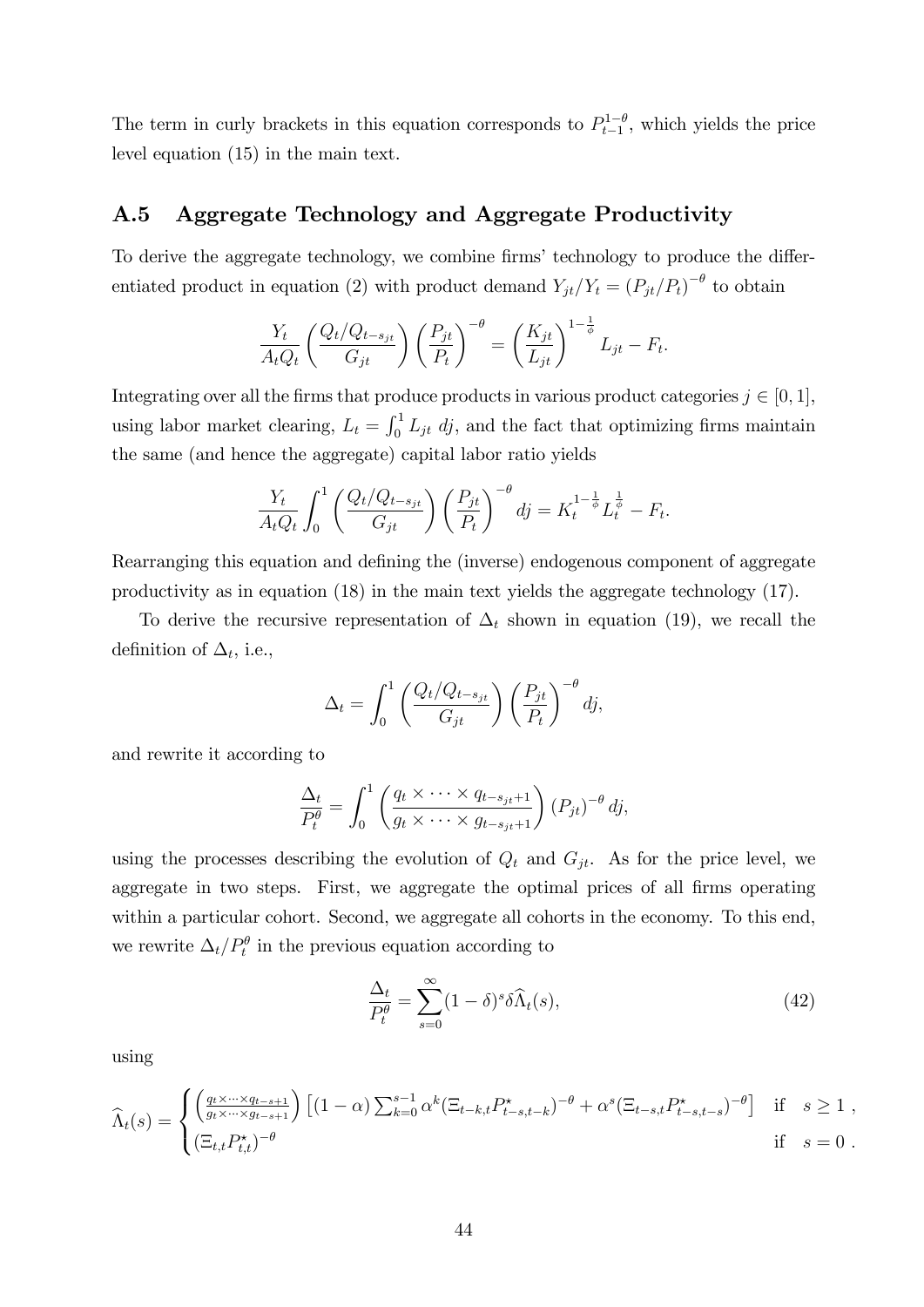The term in curly brackets in this equation corresponds to  $P_{t-1}^{1-\theta}$ , which yields the price level equation (15) in the main text.

#### A.5 Aggregate Technology and Aggregate Productivity

To derive the aggregate technology, we combine firms' technology to produce the differentiated product in equation (2) with product demand  $Y_{jt}/Y_t = (P_{jt}/P_t)^{-\theta}$  to obtain

$$
\frac{Y_t}{A_t Q_t} \left( \frac{Q_t / Q_{t-s_{jt}}}{G_{jt}} \right) \left( \frac{P_{jt}}{P_t} \right)^{-\theta} = \left( \frac{K_{jt}}{L_{jt}} \right)^{1-\frac{1}{\phi}} L_{jt} - F_t.
$$

Integrating over all the firms that produce products in various product categories  $j \in [0, 1]$ , using labor market clearing,  $L_t = \int_0^1 L_{jt} \, dj$ , and the fact that optimizing firms maintain the same (and hence the aggregate) capital labor ratio yields

$$
\frac{Y_t}{A_t Q_t} \int_0^1 \left( \frac{Q_t / Q_{t-s_{jt}}}{G_{jt}} \right) \left( \frac{P_{jt}}{P_t} \right)^{-\theta} dj = K_t^{1-\frac{1}{\phi}} L_t^{\frac{1}{\phi}} - F_t.
$$

Rearranging this equation and defining the (inverse) endogenous component of aggregate productivity as in equation (18) in the main text yields the aggregate technology (17).

To derive the recursive representation of  $\Delta_t$  shown in equation (19), we recall the definition of  $\Delta_t$ , i.e.,

$$
\Delta_t = \int_0^1 \left( \frac{Q_t/Q_{t-s_{jt}}}{G_{jt}} \right) \left( \frac{P_{jt}}{P_t} \right)^{-\theta} dj,
$$

and rewrite it according to

$$
\frac{\Delta_t}{P_t^{\theta}} = \int_0^1 \left( \frac{q_t \times \cdots \times q_{t-s_{jt}+1}}{g_t \times \cdots \times g_{t-s_{jt}+1}} \right) (P_{jt})^{-\theta} dj,
$$

using the processes describing the evolution of  $Q_t$  and  $G_{jt}$ . As for the price level, we aggregate in two steps. First, we aggregate the optimal prices of all firms operating within a particular cohort. Second, we aggregate all cohorts in the economy. To this end, we rewrite  $\Delta_t/P_t^{\theta}$  in the previous equation according to

$$
\frac{\Delta_t}{P_t^{\theta}} = \sum_{s=0}^{\infty} (1 - \delta)^s \delta \widehat{\Lambda}_t(s), \tag{42}
$$

using

$$
\widehat{\Lambda}_t(s) = \begin{cases}\n\left(\frac{q_t \times \dots \times q_{t-s+1}}{g_t \times \dots \times g_{t-s+1}}\right) \left[ (1-\alpha) \sum_{k=0}^{s-1} \alpha^k (\Xi_{t-k,t} P^{\star}_{t-s,t-k})^{-\theta} + \alpha^s (\Xi_{t-s,t} P^{\star}_{t-s,t-s})^{-\theta} \right] & \text{if } s \ge 1, \\
(\Xi_{t,t} P^{\star}_{t,t})^{-\theta} & \text{if } s = 0.\n\end{cases}
$$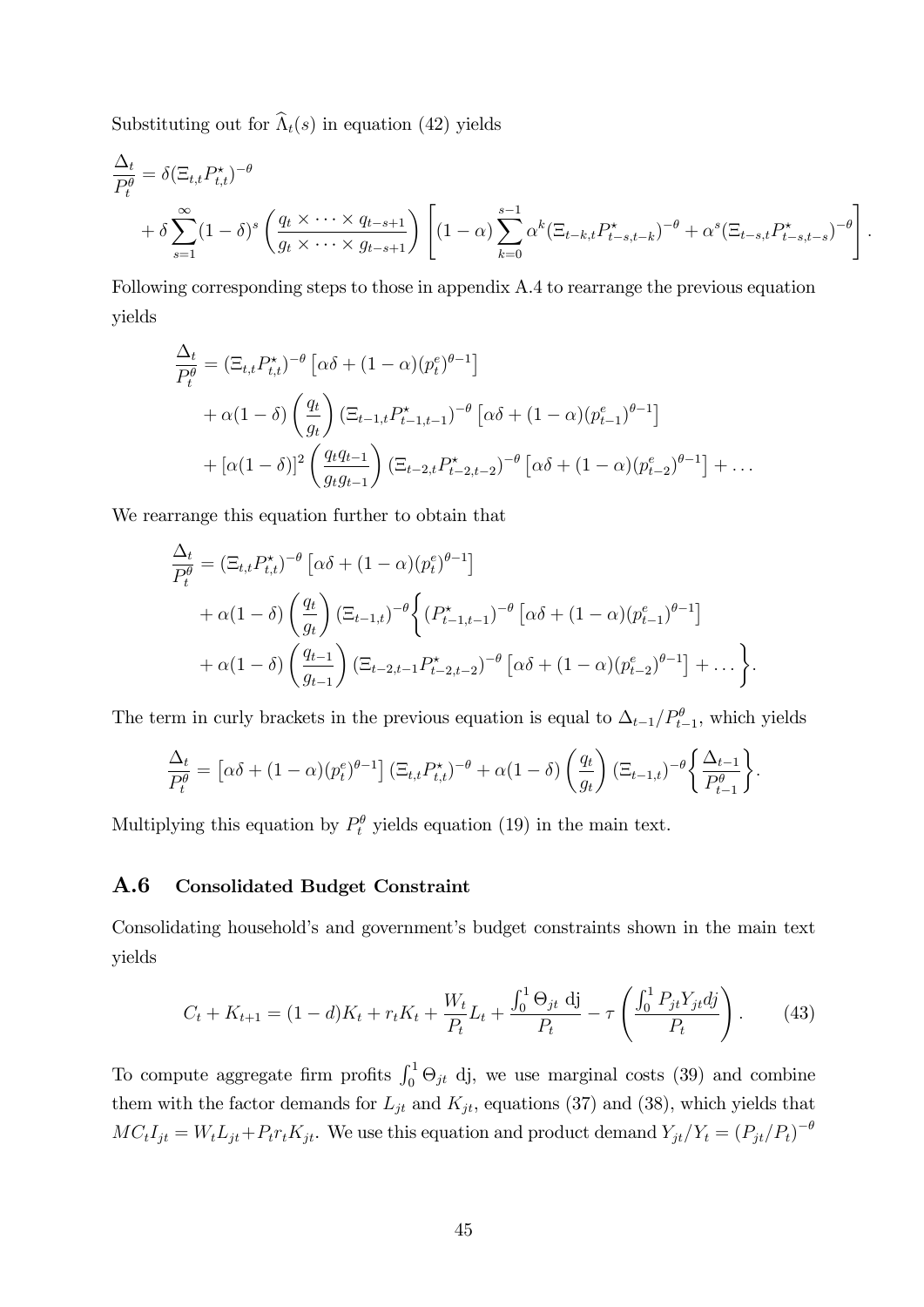Substituting out for  $\widehat{\Lambda}_t(s)$  in equation (42) yields

$$
\frac{\Delta_t}{P_t^{\theta}} = \delta \left( \Xi_{t,t} P_{t,t}^{\star} \right)^{-\theta} \n+ \delta \sum_{s=1}^{\infty} (1-\delta)^s \left( \frac{q_t \times \cdots \times q_{t-s+1}}{g_t \times \cdots \times g_{t-s+1}} \right) \left[ (1-\alpha) \sum_{k=0}^{s-1} \alpha^k (\Xi_{t-k,t} P_{t-s,t-k}^{\star})^{-\theta} + \alpha^s (\Xi_{t-s,t} P_{t-s,t-s}^{\star})^{-\theta} \right].
$$

Following corresponding steps to those in appendix A.4 to rearrange the previous equation yields

$$
\frac{\Delta_t}{P_t^{\theta}} = (\Xi_{t,t} P_{t,t}^*)^{-\theta} \left[ \alpha \delta + (1 - \alpha)(p_t^e)^{\theta - 1} \right] \n+ \alpha (1 - \delta) \left( \frac{q_t}{g_t} \right) (\Xi_{t-1,t} P_{t-1,t-1}^*)^{-\theta} \left[ \alpha \delta + (1 - \alpha)(p_{t-1}^e)^{\theta - 1} \right] \n+ \left[ \alpha (1 - \delta) \right]^2 \left( \frac{q_t q_{t-1}}{g_t g_{t-1}} \right) (\Xi_{t-2,t} P_{t-2,t-2}^*)^{-\theta} \left[ \alpha \delta + (1 - \alpha)(p_{t-2}^e)^{\theta - 1} \right] + \dots
$$

We rearrange this equation further to obtain that

$$
\frac{\Delta_t}{P_t^{\theta}} = \left(\Xi_{t,t} P_{t,t}^{\star}\right)^{-\theta} \left[\alpha\delta + (1-\alpha)(p_t^e)^{\theta-1}\right] \n+ \alpha(1-\delta) \left(\frac{q_t}{q_t}\right) \left(\Xi_{t-1,t}\right)^{-\theta} \left\{ (P_{t-1,t-1}^{\star})^{-\theta} \left[\alpha\delta + (1-\alpha)(p_{t-1}^e)^{\theta-1}\right] \right. \n+ \alpha(1-\delta) \left(\frac{q_{t-1}}{q_{t-1}}\right) \left(\Xi_{t-2,t-1} P_{t-2,t-2}^{\star}\right)^{-\theta} \left[\alpha\delta + (1-\alpha)(p_{t-2}^e)^{\theta-1}\right] + \dots \right\}.
$$

The term in curly brackets in the previous equation is equal to  $\Delta_{t-1}/P_{t-1}^{\theta}$ , which yields

$$
\frac{\Delta_t}{P_t^{\theta}} = \left[ \alpha \delta + (1 - \alpha) (p_t^e)^{\theta - 1} \right] \left( \Xi_{t,t} P_{t,t}^{\star} \right)^{-\theta} + \alpha (1 - \delta) \left( \frac{q_t}{g_t} \right) \left( \Xi_{t-1,t} \right)^{-\theta} \left\{ \frac{\Delta_{t-1}}{P_{t-1}^{\theta}} \right\}.
$$

Multiplying this equation by  $P_t^{\theta}$  yields equation (19) in the main text.

#### A.6 Consolidated Budget Constraint

Consolidating household's and government's budget constraints shown in the main text yields

$$
C_t + K_{t+1} = (1-d)K_t + r_t K_t + \frac{W_t}{P_t} L_t + \frac{\int_0^1 \Theta_{jt} \, \mathrm{d}j}{P_t} - \tau \left( \frac{\int_0^1 P_{jt} Y_{jt} \, \mathrm{d}j}{P_t} \right). \tag{43}
$$

To compute aggregate firm profits  $\int_0^1 \Theta_{jt}$  dj, we use marginal costs (39) and combine them with the factor demands for  $L_{jt}$  and  $K_{jt}$ , equations (37) and (38), which yields that  $MC_tI_{jt} = W_tL_{jt} + P_tr_tK_{jt}$ . We use this equation and product demand  $Y_{jt}/Y_t = (P_{jt}/P_t)^{-\theta}$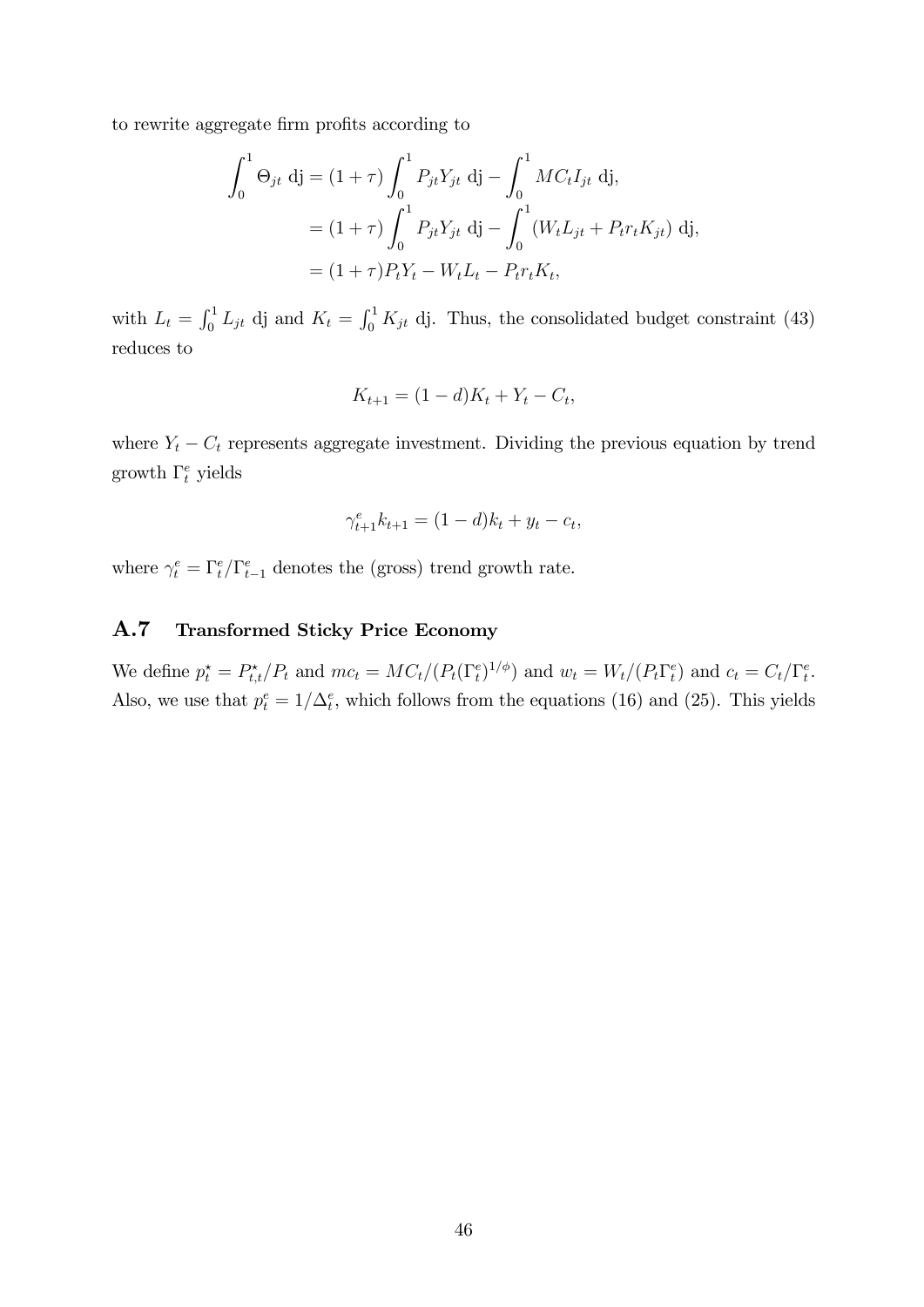to rewrite aggregate firm profits according to

$$
\int_0^1 \Theta_{jt} \, \mathrm{d}j = (1 + \tau) \int_0^1 P_{jt} Y_{jt} \, \mathrm{d}j - \int_0^1 M C_t I_{jt} \, \mathrm{d}j,
$$
  
=  $(1 + \tau) \int_0^1 P_{jt} Y_{jt} \, \mathrm{d}j - \int_0^1 (W_t L_{jt} + P_t r_t K_{jt}) \, \mathrm{d}j,$   
=  $(1 + \tau) P_t Y_t - W_t L_t - P_t r_t K_t,$ 

with  $L_t = \int_0^1 L_{jt}$  dj and  $K_t = \int_0^1 K_{jt}$  dj. Thus, the consolidated budget constraint (43) reduces to

$$
K_{t+1} = (1 - d)K_t + Y_t - C_t,
$$

where  $Y_t - C_t$  represents aggregate investment. Dividing the previous equation by trend growth  $\Gamma_t^e$  yields

$$
\gamma_{t+1}^e k_{t+1} = (1-d)k_t + y_t - c_t,
$$

where  $\gamma_t^e = \Gamma_t^e / \Gamma_{t-1}^e$  denotes the (gross) trend growth rate.

#### A.7 Transformed Sticky Price Economy

We define  $p_t^* = P_{t,t}^*/P_t$  and  $mc_t = MC_t/(P_t(\Gamma_t^e)^{1/\phi})$  and  $w_t = W_t/(P_t\Gamma_t^e)$  and  $c_t = C_t/\Gamma_t^e$ . Also, we use that  $p_t^e = 1/\Delta_t^e$ , which follows from the equations (16) and (25). This yields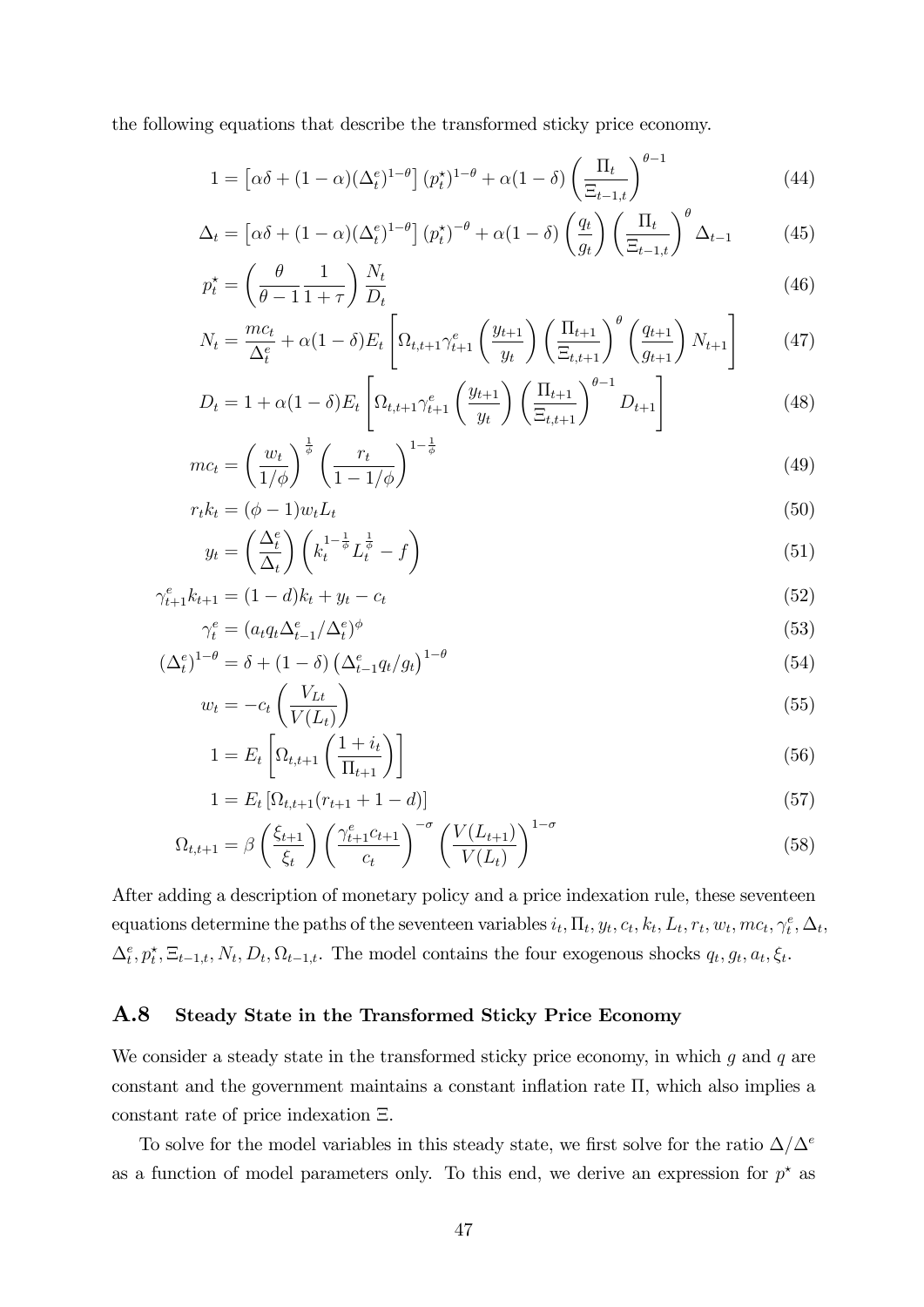the following equations that describe the transformed sticky price economy.

$$
1 = \left[\alpha\delta + (1-\alpha)(\Delta_t^e)^{1-\theta}\right](p_t^{\star})^{1-\theta} + \alpha(1-\delta)\left(\frac{\Pi_t}{\Xi_{t-1,t}}\right)^{\theta-1}
$$
(44)

$$
\Delta_t = \left[ \alpha \delta + (1 - \alpha) (\Delta_t^e)^{1 - \theta} \right] (p_t^{\star})^{-\theta} + \alpha (1 - \delta) \left( \frac{q_t}{g_t} \right) \left( \frac{\Pi_t}{\Xi_{t-1,t}} \right)^{\theta} \Delta_{t-1}
$$
(45)

$$
p_t^* = \left(\frac{\theta}{\theta - 1} \frac{1}{1 + \tau}\right) \frac{N_t}{D_t} \tag{46}
$$

$$
N_{t} = \frac{mc_{t}}{\Delta_{t}^{e}} + \alpha(1-\delta)E_{t} \left[ \Omega_{t,t+1} \gamma_{t+1}^{e} \left( \frac{y_{t+1}}{y_{t}} \right) \left( \frac{\Pi_{t+1}}{\Xi_{t,t+1}} \right)^{\theta} \left( \frac{q_{t+1}}{g_{t+1}} \right) N_{t+1} \right]
$$
(47)

$$
D_{t} = 1 + \alpha (1 - \delta) E_{t} \left[ \Omega_{t,t+1} \gamma_{t+1}^{e} \left( \frac{y_{t+1}}{y_{t}} \right) \left( \frac{\Pi_{t+1}}{\Xi_{t,t+1}} \right)^{\theta - 1} D_{t+1} \right]
$$
(48)

$$
mc_t = \left(\frac{w_t}{1/\phi}\right)^{\frac{1}{\phi}} \left(\frac{r_t}{1 - 1/\phi}\right)^{1 - \frac{1}{\phi}}
$$
\n
$$
(49)
$$

$$
r_t k_t = (\phi - 1) w_t L_t
$$
  

$$
\left(\Delta_t^e\right) \left(\begin{array}{cc} 1 - \frac{1}{\phi} & \frac{1}{\phi} \\ 0 & 0 \end{array}\right)
$$
 (50)

$$
y_t = \left(\frac{\Delta_t^e}{\Delta_t}\right) \left(k_t^{1-\frac{1}{\phi}} L_t^{\frac{1}{\phi}} - f\right) \tag{51}
$$

$$
\gamma_{t+1}^e k_{t+1} = (1-d)k_t + y_t - c_t \tag{52}
$$

$$
\gamma_t^e = (a_t q_t \Delta_{t-1}^e / \Delta_t^e)^{\phi} \tag{53}
$$

$$
\left(\Delta_t^e\right)^{1-\theta} = \delta + (1-\delta) \left(\Delta_{t-1}^e q_t / g_t\right)^{1-\theta} \tag{54}
$$

$$
w_t = -c_t \left(\frac{v_{Lt}}{V(L_t)}\right) \tag{55}
$$

$$
1 = E_t \left[ \Omega_{t,t+1} \left( \frac{1 + i_t}{\Pi_{t+1}} \right) \right]
$$
\n
$$
(56)
$$

$$
1 = E_t \left[ \Omega_{t,t+1}(r_{t+1} + 1 - d) \right]
$$
\n<sup>(57)</sup>

$$
\Omega_{t,t+1} = \beta \left(\frac{\xi_{t+1}}{\xi_t}\right) \left(\frac{\gamma_{t+1}^e c_{t+1}}{c_t}\right)^{-\sigma} \left(\frac{V(L_{t+1})}{V(L_t)}\right)^{1-\sigma} \tag{58}
$$

After adding a description of monetary policy and a price indexation rule, these seventeen equations determine the paths of the seventeen variables  $i_t$ ,  $\Pi_t$ ,  $y_t$ ,  $c_t$ ,  $k_t$ ,  $L_t$ ,  $r_t$ ,  $w_t$ ,  $mc_t$ ,  $\gamma_t^e$ ,  $\Delta_t$ ,  $\Delta_t^e, p_t^*, \Xi_{t-1,t}, N_t, D_t, \Omega_{t-1,t}.$  The model contains the four exogenous shocks  $q_t, q_t, a_t, \xi_t$ .

#### A.8 Steady State in the Transformed Sticky Price Economy

We consider a steady state in the transformed sticky price economy, in which  $g$  and  $q$  are constant and the government maintains a constant inflation rate  $\Pi$ , which also implies a constant rate of price indexation  $\Xi$ .

To solve for the model variables in this steady state, we first solve for the ratio  $\Delta/\Delta^e$ as a function of model parameters only. To this end, we derive an expression for  $p^*$  as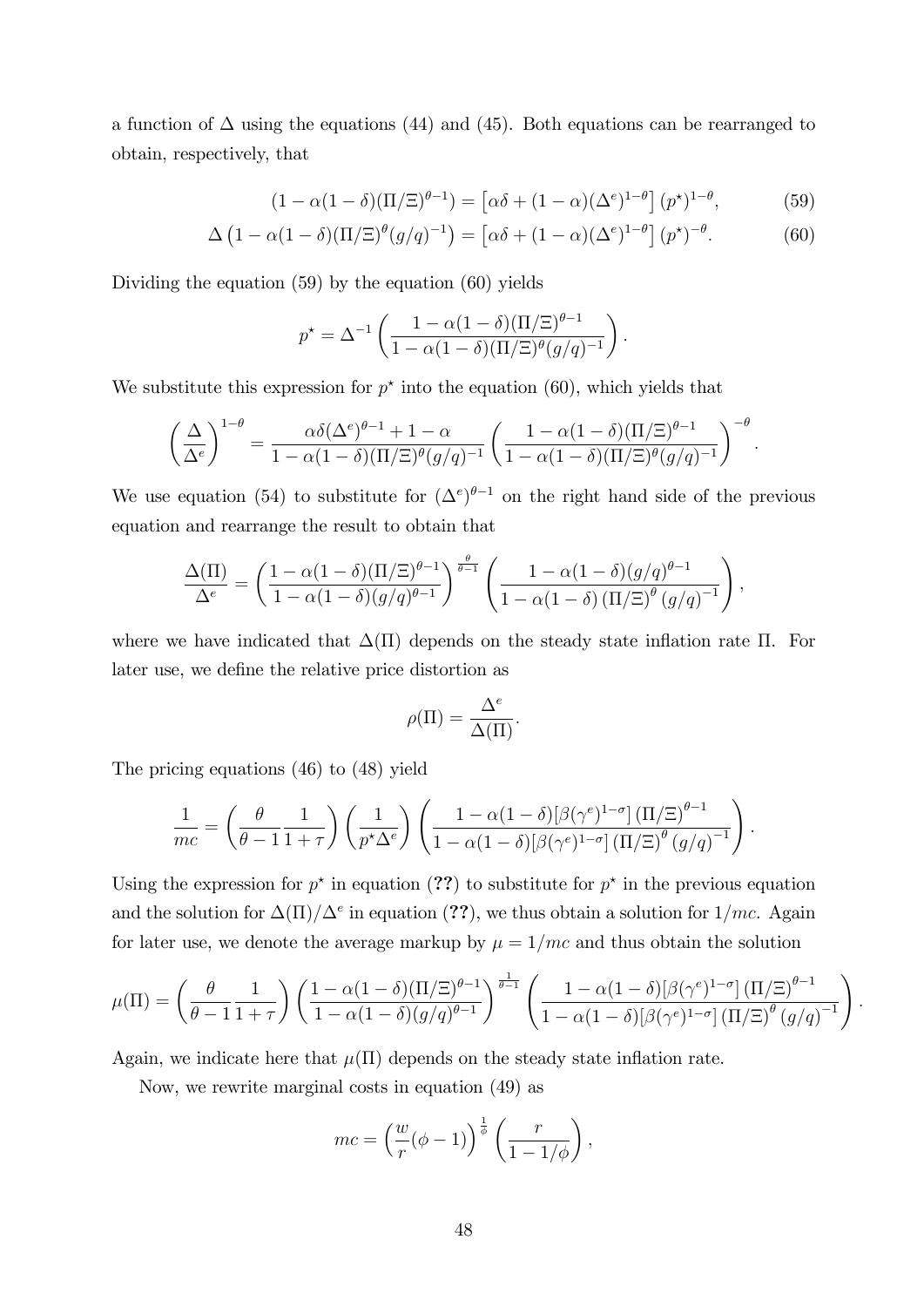a function of  $\Delta$  using the equations (44) and (45). Both equations can be rearranged to obtain, respectively, that

$$
(1 - \alpha(1 - \delta)(\Pi/\Xi)^{\theta - 1}) = \left[\alpha\delta + (1 - \alpha)(\Delta^e)^{1 - \theta}\right](p^{\star})^{1 - \theta},\tag{59}
$$

$$
\Delta \left(1 - \alpha (1 - \delta)(\Pi/\Xi)^{\theta} (g/q)^{-1}\right) = \left[\alpha \delta + (1 - \alpha)(\Delta^e)^{1-\theta}\right] (p^{\star})^{-\theta}.
$$
 (60)

Dividing the equation (59) by the equation (60) yields

$$
p^* = \Delta^{-1} \left( \frac{1 - \alpha (1 - \delta) (\Pi / \Xi)^{\theta - 1}}{1 - \alpha (1 - \delta) (\Pi / \Xi)^{\theta} (g/q)^{-1}} \right).
$$

We substitute this expression for  $p^*$  into the equation (60), which yields that

$$
\left(\frac{\Delta}{\Delta^e}\right)^{1-\theta} = \frac{\alpha \delta(\Delta^e)^{\theta-1} + 1 - \alpha}{1 - \alpha(1-\delta)(\Pi/\Xi)^{\theta}(g/q)^{-1}} \left(\frac{1 - \alpha(1-\delta)(\Pi/\Xi)^{\theta-1}}{1 - \alpha(1-\delta)(\Pi/\Xi)^{\theta}(g/q)^{-1}}\right)^{-\theta}.
$$

We use equation (54) to substitute for  $({\Delta}^e)^{\theta-1}$  on the right hand side of the previous equation and rearrange the result to obtain that

$$
\frac{\Delta(\Pi)}{\Delta^e} = \left(\frac{1-\alpha(1-\delta)(\Pi/\Xi)^{\theta-1}}{1-\alpha(1-\delta)(g/q)^{\theta-1}}\right)^{\frac{\theta}{\theta-1}} \left(\frac{1-\alpha(1-\delta)(g/q)^{\theta-1}}{1-\alpha(1-\delta)(\Pi/\Xi)^{\theta}(g/q)^{-1}}\right),
$$

where we have indicated that  $\Delta(\Pi)$  depends on the steady state inflation rate  $\Pi$ . For later use, we define the relative price distortion as

$$
\rho(\Pi) = \frac{\Delta^e}{\Delta(\Pi)}.
$$

The pricing equations (46) to (48) yield

$$
\frac{1}{mc} = \left(\frac{\theta}{\theta - 1} \frac{1}{1 + \tau}\right) \left(\frac{1}{p^{\star} \Delta^e}\right) \left(\frac{1 - \alpha (1 - \delta) [\beta (\gamma^e)^{1 - \sigma}] \left(\Pi/\Xi\right)^{\theta - 1}}{1 - \alpha (1 - \delta) [\beta (\gamma^e)^{1 - \sigma}] \left(\Pi/\Xi\right)^{\theta} \left(g/q\right)^{-1}}\right).
$$

Using the expression for  $p^*$  in equation (??) to substitute for  $p^*$  in the previous equation and the solution for  $\Delta(\Pi)/\Delta^e$  in equation (??), we thus obtain a solution for  $1/mc$ . Again for later use, we denote the average markup by  $\mu = 1/mc$  and thus obtain the solution

$$
\mu(\Pi) = \left(\frac{\theta}{\theta - 1} \frac{1}{1 + \tau}\right) \left(\frac{1 - \alpha(1 - \delta)(\Pi/\Xi)^{\theta - 1}}{1 - \alpha(1 - \delta)(g/q)^{\theta - 1}}\right)^{\frac{1}{\theta - 1}} \left(\frac{1 - \alpha(1 - \delta)[\beta(\gamma^e)^{1 - \sigma}](\Pi/\Xi)^{\theta - 1}}{1 - \alpha(1 - \delta)[\beta(\gamma^e)^{1 - \sigma}](\Pi/\Xi)^{\theta}(g/q)^{-1}}\right).
$$

Again, we indicate here that  $\mu(\Pi)$  depends on the steady state inflation rate.

Now, we rewrite marginal costs in equation (49) as

$$
mc = \left(\frac{w}{r}(\phi - 1)\right)^{\frac{1}{\phi}} \left(\frac{r}{1 - 1/\phi}\right),
$$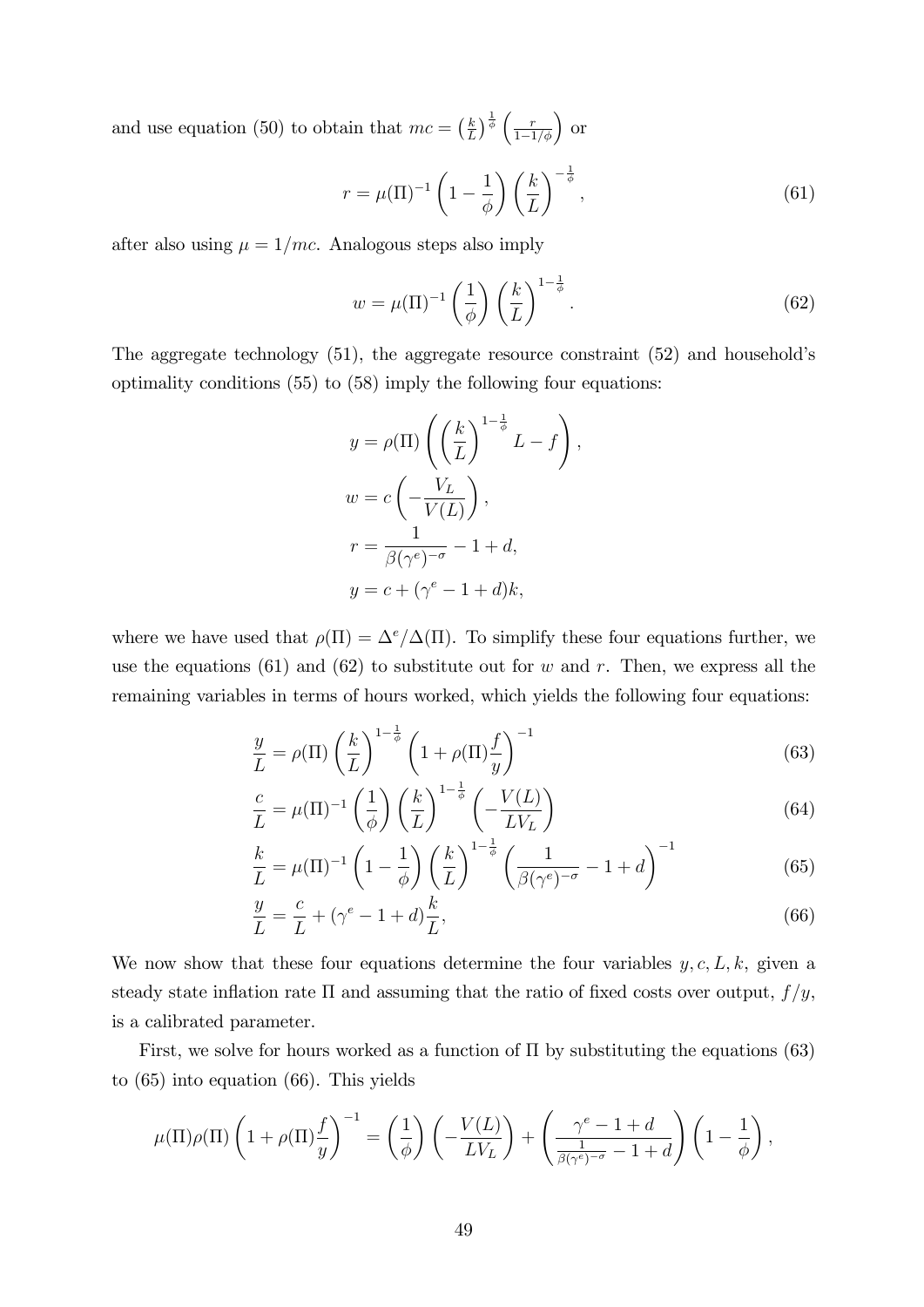and use equation (50) to obtain that  $mc = \left(\frac{k}{l}\right)$  $\frac{k}{L}$ )  $\frac{1}{\phi}$   $\left(\frac{r}{1-1/\phi}\right)$  or

$$
r = \mu(\Pi)^{-1} \left(1 - \frac{1}{\phi}\right) \left(\frac{k}{L}\right)^{-\frac{1}{\phi}},\tag{61}
$$

after also using  $\mu = 1/mc$ . Analogous steps also imply

$$
w = \mu(\Pi)^{-1} \left(\frac{1}{\phi}\right) \left(\frac{k}{L}\right)^{1-\frac{1}{\phi}}.\tag{62}
$$

The aggregate technology  $(51)$ , the aggregate resource constraint  $(52)$  and household's optimality conditions (55) to (58) imply the following four equations:

$$
y = \rho(\Pi) \left( \left( \frac{k}{L} \right)^{1 - \frac{1}{\phi}} L - f \right),
$$
  

$$
w = c \left( -\frac{V_L}{V(L)} \right),
$$
  

$$
r = \frac{1}{\beta(\gamma^e)^{-\sigma}} - 1 + d,
$$
  

$$
y = c + (\gamma^e - 1 + d)k,
$$

where we have used that  $\rho(\Pi) = \Delta^e/\Delta(\Pi)$ . To simplify these four equations further, we use the equations (61) and (62) to substitute out for w and r. Then, we express all the remaining variables in terms of hours worked, which yields the following four equations:

$$
\frac{y}{L} = \rho(\Pi) \left(\frac{k}{L}\right)^{1-\frac{1}{\phi}} \left(1 + \rho(\Pi)\frac{f}{y}\right)^{-1} \tag{63}
$$

$$
\frac{c}{L} = \mu(\Pi)^{-1} \left(\frac{1}{\phi}\right) \left(\frac{k}{L}\right)^{1-\frac{1}{\phi}} \left(-\frac{V(L)}{LV_L}\right)
$$
(64)

$$
\frac{k}{L} = \mu(\Pi)^{-1} \left(1 - \frac{1}{\phi}\right) \left(\frac{k}{L}\right)^{1 - \frac{1}{\phi}} \left(\frac{1}{\beta(\gamma^e)^{-\sigma}} - 1 + d\right)^{-1} \tag{65}
$$

$$
\frac{y}{L} = \frac{c}{L} + (\gamma^e - 1 + d)\frac{k}{L},\tag{66}
$$

We now show that these four equations determine the four variables  $y, c, L, k$ , given a steady state inflation rate  $\Pi$  and assuming that the ratio of fixed costs over output,  $f/y$ , is a calibrated parameter.

First, we solve for hours worked as a function of  $\Pi$  by substituting the equations (63) to (65) into equation (66). This yields

$$
\mu(\Pi)\rho(\Pi)\left(1+\rho(\Pi)\frac{f}{y}\right)^{-1}=\left(\frac{1}{\phi}\right)\left(-\frac{V(L)}{LV_L}\right)+\left(\frac{\gamma^e-1+d}{\frac{1}{\beta(\gamma^e)^{-\sigma}}-1+d}\right)\left(1-\frac{1}{\phi}\right),
$$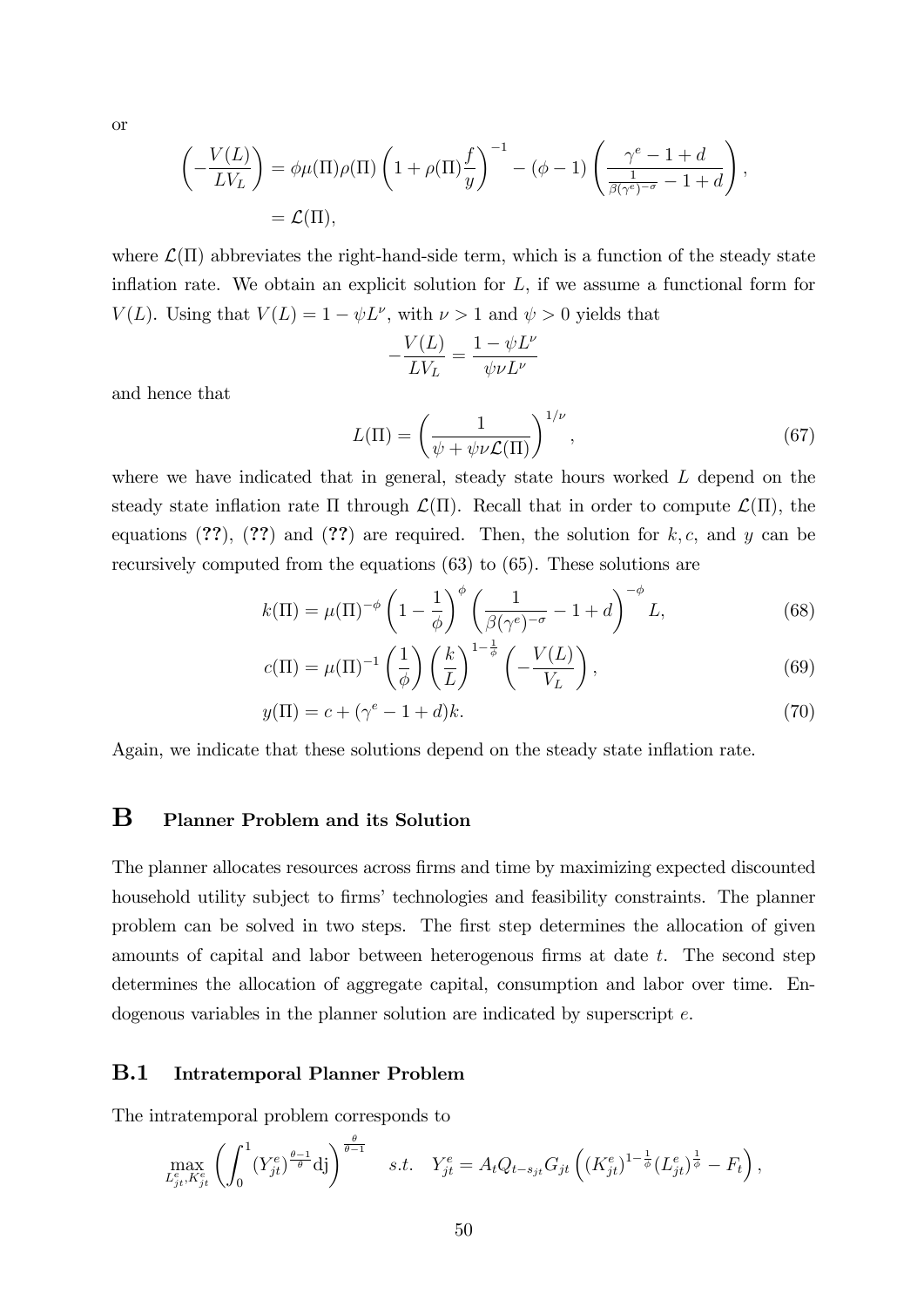or

$$
\left(-\frac{V(L)}{LV_L}\right) = \phi\mu(\Pi)\rho(\Pi)\left(1 + \rho(\Pi)\frac{f}{y}\right)^{-1} - (\phi - 1)\left(\frac{\gamma^e - 1 + d}{\frac{1}{\beta(\gamma^e)^{-\sigma}} - 1 + d}\right),
$$
  
=  $\mathcal{L}(\Pi),$ 

where  $\mathcal{L}(\Pi)$  abbreviates the right-hand-side term, which is a function of the steady state inflation rate. We obtain an explicit solution for  $L$ , if we assume a functional form for  $V(L)$ . Using that  $V(L) = 1 - \psi L^{\nu}$ , with  $\nu > 1$  and  $\psi > 0$  yields that

$$
-\frac{V(L)}{LV_L}=\frac{1-\psi L^{\nu}}{\psi \nu L^{\nu}}
$$

and hence that

$$
L(\Pi) = \left(\frac{1}{\psi + \psi \nu \mathcal{L}(\Pi)}\right)^{1/\nu},\tag{67}
$$

where we have indicated that in general, steady state hours worked L depend on the steady state inflation rate  $\Pi$  through  $\mathcal{L}(\Pi)$ . Recall that in order to compute  $\mathcal{L}(\Pi)$ , the equations  $(??)$ ,  $(??)$  and  $(??)$  are required. Then, the solution for k, c, and y can be recursively computed from the equations (63) to (65). These solutions are

$$
k(\Pi) = \mu(\Pi)^{-\phi} \left(1 - \frac{1}{\phi}\right)^{\phi} \left(\frac{1}{\beta(\gamma^e)^{-\sigma}} - 1 + d\right)^{-\phi} L,\tag{68}
$$

$$
c(\Pi) = \mu(\Pi)^{-1} \left(\frac{1}{\phi}\right) \left(\frac{k}{L}\right)^{1-\frac{1}{\phi}} \left(-\frac{V(L)}{V_L}\right),\tag{69}
$$

$$
y(\Pi) = c + (\gamma^e - 1 + d)k.
$$
 (70)

Again, we indicate that these solutions depend on the steady state inflation rate.

### B Planner Problem and its Solution

The planner allocates resources across Örms and time by maximizing expected discounted household utility subject to firms' technologies and feasibility constraints. The planner problem can be solved in two steps. The first step determines the allocation of given amounts of capital and labor between heterogenous firms at date  $t$ . The second step determines the allocation of aggregate capital, consumption and labor over time. Endogenous variables in the planner solution are indicated by superscript e.

#### B.1 Intratemporal Planner Problem

The intratemporal problem corresponds to

$$
\max_{L_{jt}^e, K_{jt}^e} \left( \int_0^1 (Y_{jt}^e)^{\frac{\theta - 1}{\theta}} \, \mathrm{d}j \right)^{\frac{\theta}{\theta - 1}} \quad s.t. \quad Y_{jt}^e = A_t Q_{t - s_{jt}} G_{jt} \left( (K_{jt}^e)^{1 - \frac{1}{\phi}} (L_{jt}^e)^{\frac{1}{\phi}} - F_t \right),
$$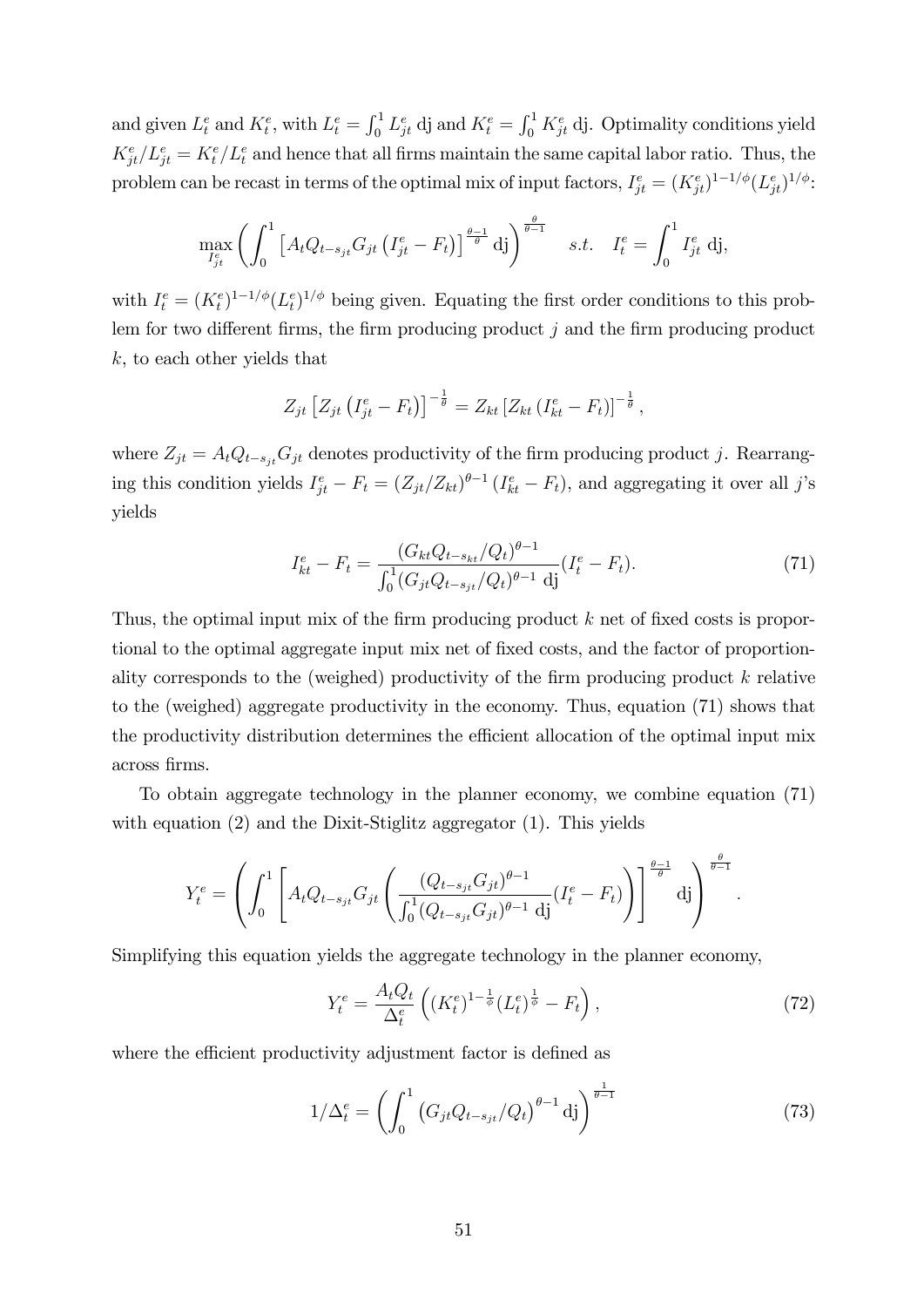and given  $L_t^e$  and  $K_t^e$ , with  $L_t^e = \int_0^1 L_{jt}^e$  dj and  $K_t^e = \int_0^1 K_{jt}^e$  dj. Optimality conditions yield  $K_{jt}^e/L_{jt}^e = K_t^e/L_t^e$  and hence that all firms maintain the same capital labor ratio. Thus, the problem can be recast in terms of the optimal mix of input factors,  $I_{jt}^e = (K_{jt}^e)^{1-1/\phi} (L_{jt}^e)^{1/\phi}$ :

$$
\max_{I_{jt}^e} \left( \int_0^1 \left[ A_t Q_{t-s_{jt}} G_{jt} \left( I_{jt}^e - F_t \right) \right]^{\frac{\theta - 1}{\theta}} \mathrm{d}j \right)^{\frac{\theta}{\theta - 1}} \quad s.t. \quad I_t^e = \int_0^1 I_{jt}^e \mathrm{d}j,
$$

with  $I_t^e = (K_t^e)^{1-1/\phi} (L_t^e)^{1/\phi}$  being given. Equating the first order conditions to this problem for two different firms, the firm producing product  $j$  and the firm producing product k, to each other yields that

$$
Z_{jt} \left[ Z_{jt} \left( I_{jt}^e - F_t \right) \right]^{-\frac{1}{\theta}} = Z_{kt} \left[ Z_{kt} \left( I_{kt}^e - F_t \right) \right]^{-\frac{1}{\theta}},
$$

where  $Z_{jt} = A_t Q_{t-s_{jt}} G_{jt}$  denotes productivity of the firm producing product j. Rearranging this condition yields  $I_{jt}^e - F_t = (Z_{jt}/Z_{kt})^{\theta-1} (I_{kt}^e - F_t)$ , and aggregating it over all j's yields

$$
I_{kt}^e - F_t = \frac{(G_{kt}Q_{t-s_{kt}}/Q_t)^{\theta-1}}{\int_0^1 (G_{jt}Q_{t-s_{jt}}/Q_t)^{\theta-1} \, \mathrm{d}j} (I_t^e - F_t). \tag{71}
$$

Thus, the optimal input mix of the firm producing product  $k$  net of fixed costs is proportional to the optimal aggregate input mix net of fixed costs, and the factor of proportionality corresponds to the (weighed) productivity of the firm producing product  $k$  relative to the (weighed) aggregate productivity in the economy. Thus, equation (71) shows that the productivity distribution determines the efficient allocation of the optimal input mix across Örms.

To obtain aggregate technology in the planner economy, we combine equation (71) with equation (2) and the Dixit-Stiglitz aggregator (1). This yields

$$
Y_t^e = \left( \int_0^1 \left[ A_t Q_{t-s_{jt}} G_{jt} \left( \frac{(Q_{t-s_{jt}} G_{jt})^{\theta-1}}{\int_0^1 (Q_{t-s_{jt}} G_{jt})^{\theta-1} \, \mathrm{d}j} (I_t^e - F_t) \right) \right]^\frac{\theta-1}{\theta} \, \mathrm{d}j \right)^{\frac{\theta}{\theta-1}}
$$

Simplifying this equation yields the aggregate technology in the planner economy,

$$
Y_t^e = \frac{A_t Q_t}{\Delta_t^e} \left( (K_t^e)^{1 - \frac{1}{\phi}} (L_t^e)^{\frac{1}{\phi}} - F_t \right),\tag{72}
$$

:

where the efficient productivity adjustment factor is defined as

$$
1/\Delta_t^e = \left(\int_0^1 \left(G_{jt} Q_{t-s_{jt}} / Q_t\right)^{\theta - 1} \, \mathrm{d}j\right)^{\frac{1}{\theta - 1}}\tag{73}
$$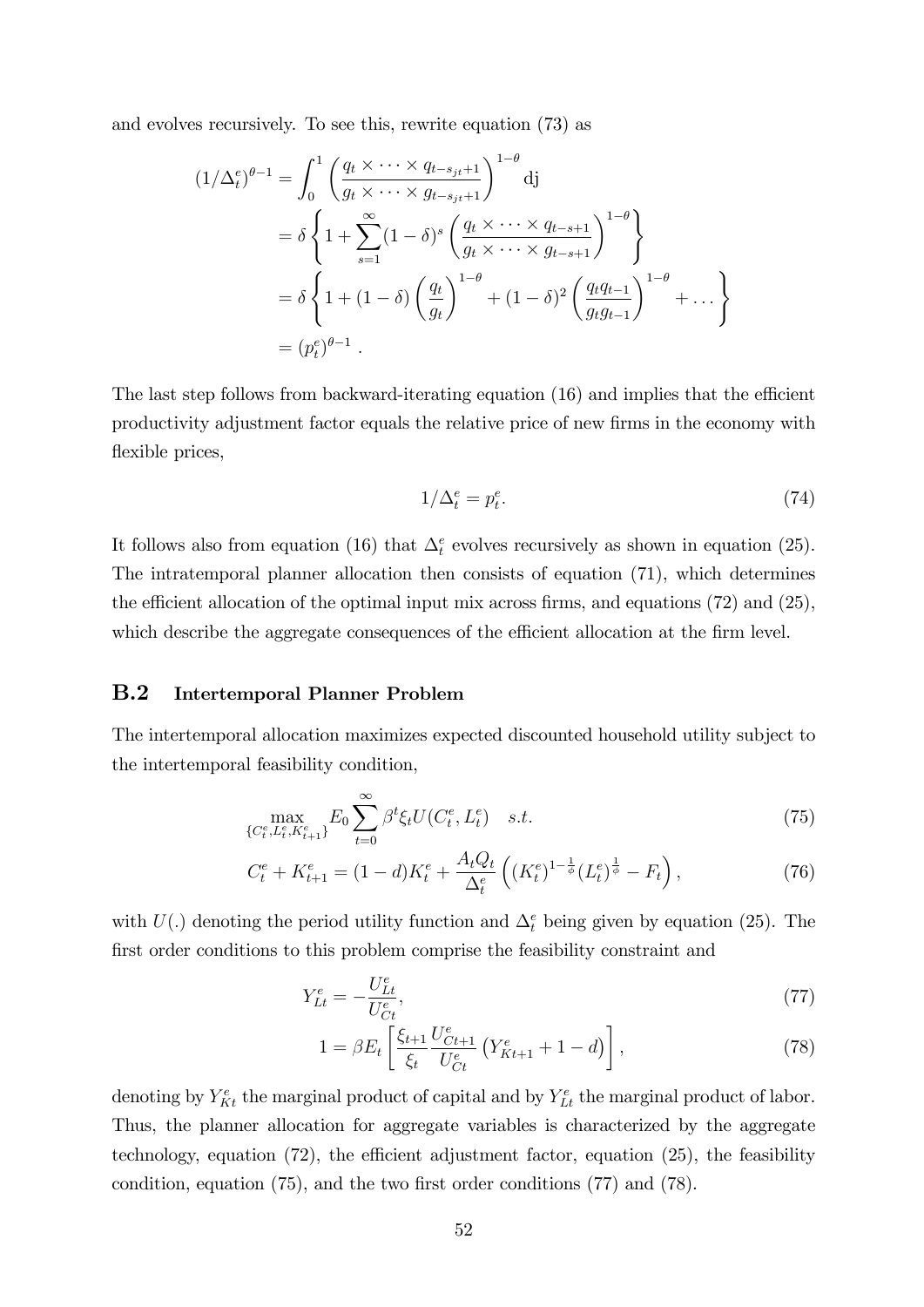and evolves recursively. To see this, rewrite equation (73) as

$$
(1/\Delta_t^e)^{\theta-1} = \int_0^1 \left(\frac{q_t \times \cdots \times q_{t-s_{jt}+1}}{g_t \times \cdots \times g_{t-s_{jt}+1}}\right)^{1-\theta} d\mathbf{j}
$$
  
=  $\delta \left\{1 + \sum_{s=1}^\infty (1-\delta)^s \left(\frac{q_t \times \cdots \times q_{t-s+1}}{g_t \times \cdots \times g_{t-s+1}}\right)^{1-\theta}\right\}$   
=  $\delta \left\{1 + (1-\delta) \left(\frac{q_t}{g_t}\right)^{1-\theta} + (1-\delta)^2 \left(\frac{q_t q_{t-1}}{g_t g_{t-1}}\right)^{1-\theta} + \cdots\right\}$   
=  $(p_t^e)^{\theta-1}$ .

The last step follows from backward-iterating equation  $(16)$  and implies that the efficient productivity adjustment factor equals the relative price of new firms in the economy with flexible prices,

$$
1/\Delta_t^e = p_t^e. \tag{74}
$$

It follows also from equation (16) that  $\Delta_t^e$  evolves recursively as shown in equation (25). The intratemporal planner allocation then consists of equation (71), which determines the efficient allocation of the optimal input mix across firms, and equations  $(72)$  and  $(25)$ , which describe the aggregate consequences of the efficient allocation at the firm level.

#### B.2 Intertemporal Planner Problem

The intertemporal allocation maximizes expected discounted household utility subject to the intertemporal feasibility condition,

$$
\max_{\{C_t^e, L_t^e, K_{t+1}^e\}} E_0 \sum_{t=0}^{\infty} \beta^t \xi_t U(C_t^e, L_t^e) \quad s.t. \tag{75}
$$

$$
C_t^e + K_{t+1}^e = (1 - d)K_t^e + \frac{A_t Q_t}{\Delta_t^e} \left( (K_t^e)^{1 - \frac{1}{\phi}} (L_t^e)^{\frac{1}{\phi}} - F_t \right),\tag{76}
$$

with  $U(.)$  denoting the period utility function and  $\Delta_t^e$  being given by equation (25). The first order conditions to this problem comprise the feasibility constraint and

$$
Y_{Lt}^e = -\frac{U_{Lt}^e}{U_{Ct}^e},\tag{77}
$$

$$
1 = \beta E_t \left[ \frac{\xi_{t+1}}{\xi_t} \frac{U_{Ct+1}^e}{U_{Ct}^e} \left( Y_{Kt+1}^e + 1 - d \right) \right],\tag{78}
$$

denoting by  $Y_{Kt}^e$  the marginal product of capital and by  $Y_{Lt}^e$  the marginal product of labor. Thus, the planner allocation for aggregate variables is characterized by the aggregate technology, equation  $(72)$ , the efficient adjustment factor, equation  $(25)$ , the feasibility condition, equation  $(75)$ , and the two first order conditions  $(77)$  and  $(78)$ .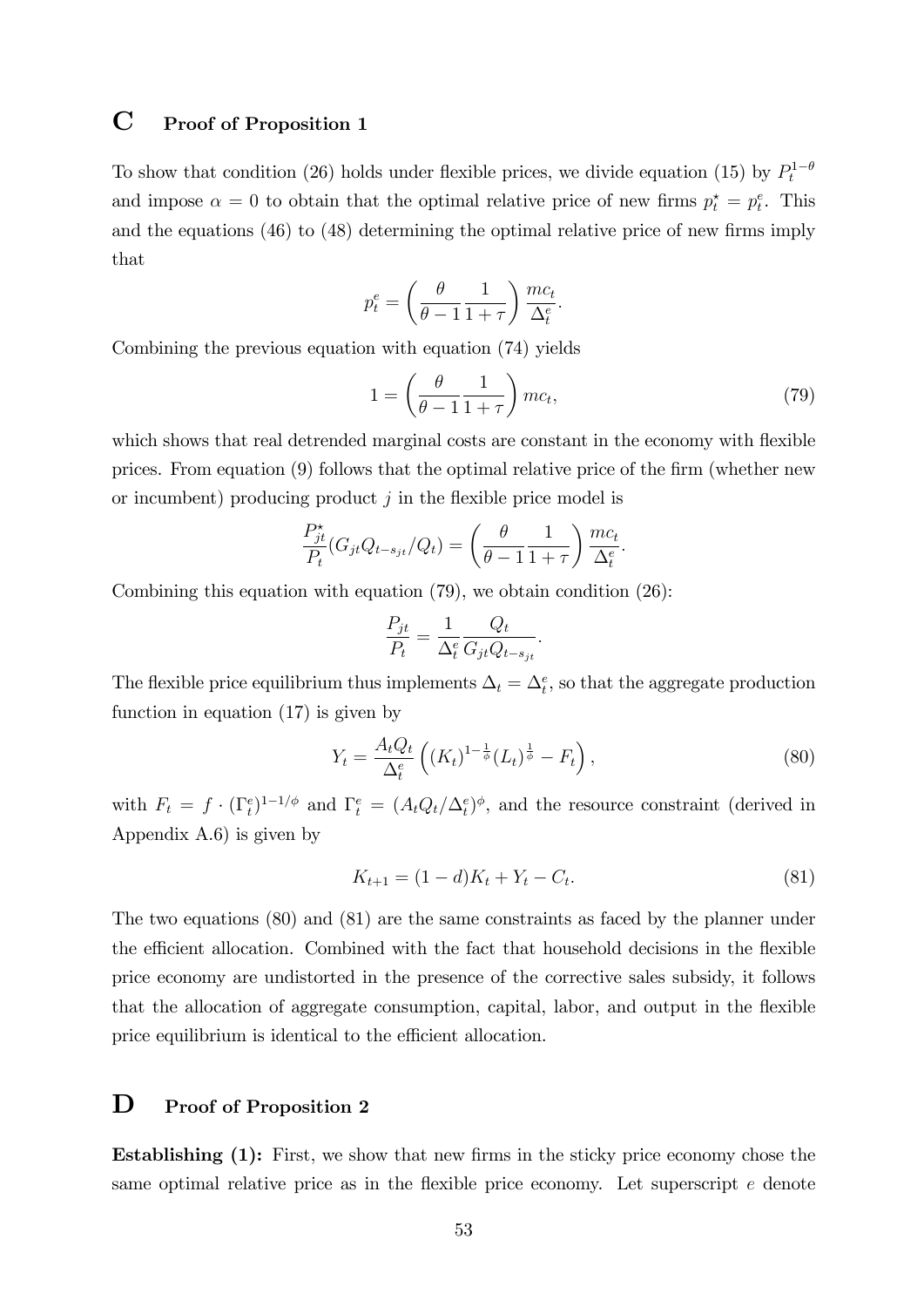### C Proof of Proposition 1

To show that condition (26) holds under flexible prices, we divide equation (15) by  $P_t^{1-\theta}$ and impose  $\alpha = 0$  to obtain that the optimal relative price of new firms  $p_t^* = p_t^e$ . This and the equations  $(46)$  to  $(48)$  determining the optimal relative price of new firms imply that

$$
p_t^e = \left(\frac{\theta}{\theta - 1} \frac{1}{1 + \tau}\right) \frac{mc_t}{\Delta_t^e}.
$$

Combining the previous equation with equation (74) yields

$$
1 = \left(\frac{\theta}{\theta - 1} \frac{1}{1 + \tau}\right)mc_t,\tag{79}
$$

which shows that real detrended marginal costs are constant in the economy with flexible prices. From equation  $(9)$  follows that the optimal relative price of the firm (whether new or incumbent) producing product  $j$  in the flexible price model is

$$
\frac{P_{jt}^{\star}}{P_t}(G_{jt}Q_{t-s_{jt}}/Q_t) = \left(\frac{\theta}{\theta - 1} \frac{1}{1+\tau}\right) \frac{mc_t}{\Delta_t^e}.
$$

Combining this equation with equation (79), we obtain condition (26):

$$
\frac{P_{jt}}{P_t} = \frac{1}{\Delta_t^e} \frac{Q_t}{G_{jt} Q_{t-s_{jt}}}.
$$

The flexible price equilibrium thus implements  $\Delta_t = \Delta_t^e$ , so that the aggregate production function in equation (17) is given by

$$
Y_t = \frac{A_t Q_t}{\Delta_t^e} \left( (K_t)^{1 - \frac{1}{\phi}} (L_t)^{\frac{1}{\phi}} - F_t \right),\tag{80}
$$

with  $F_t = f \cdot (\Gamma_t^e)^{1-1/\phi}$  and  $\Gamma_t^e = (A_t Q_t / \Delta_t^e)^{\phi}$ , and the resource constraint (derived in Appendix A.6) is given by

$$
K_{t+1} = (1 - d)K_t + Y_t - C_t.
$$
\n(81)

The two equations (80) and (81) are the same constraints as faced by the planner under the efficient allocation. Combined with the fact that household decisions in the flexible price economy are undistorted in the presence of the corrective sales subsidy, it follows that the allocation of aggregate consumption, capital, labor, and output in the flexible price equilibrium is identical to the efficient allocation.

### D Proof of Proposition 2

**Establishing (1):** First, we show that new firms in the sticky price economy chose the same optimal relative price as in the flexible price economy. Let superscript  $e$  denote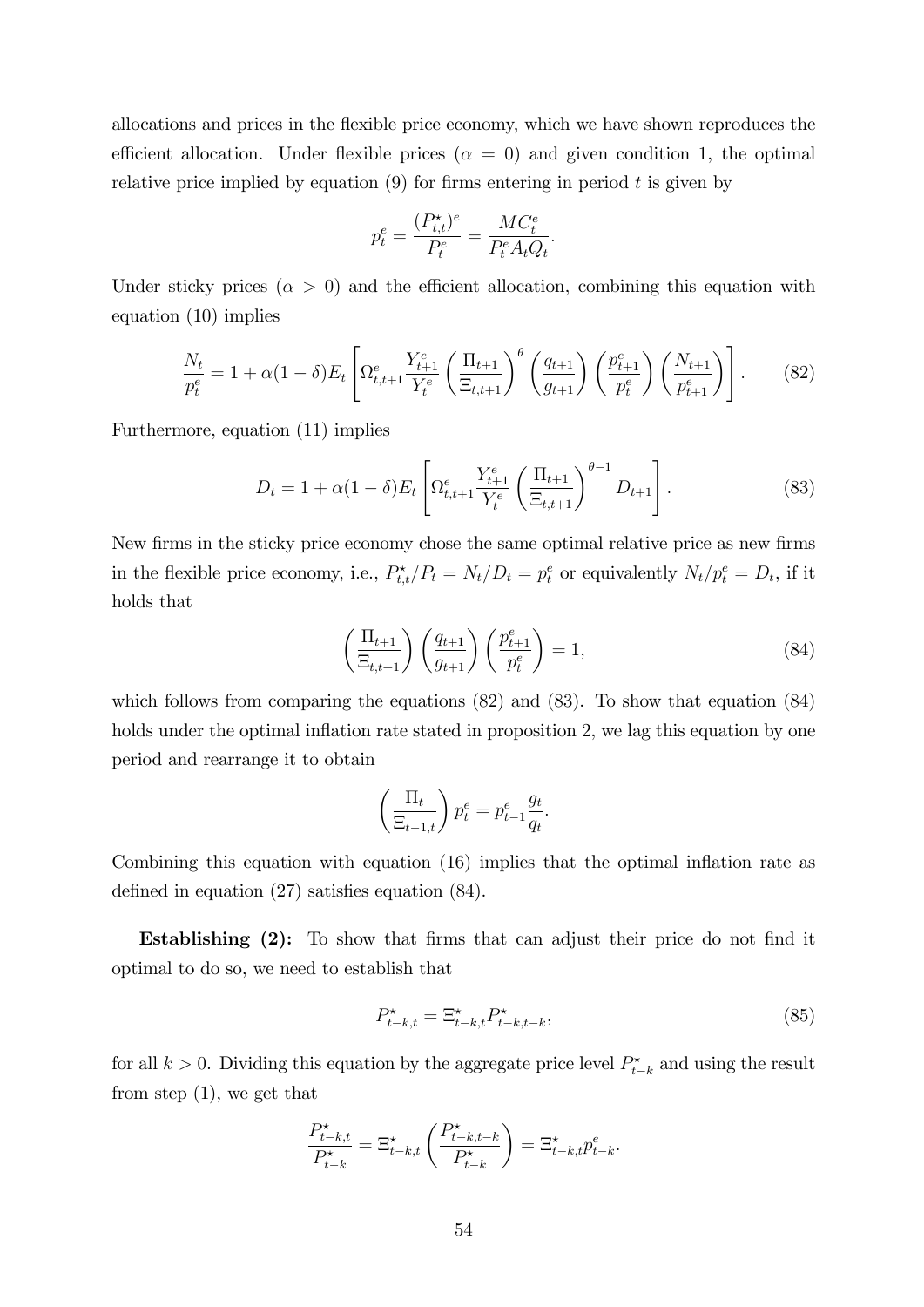allocations and prices in the áexible price economy, which we have shown reproduces the efficient allocation. Under flexible prices ( $\alpha = 0$ ) and given condition 1, the optimal relative price implied by equation  $(9)$  for firms entering in period t is given by

$$
p_t^e = \frac{(P_{t,t}^{\star})^e}{P_t^e} = \frac{MC_t^e}{P_t^e A_t Q_t}
$$

Under sticky prices ( $\alpha > 0$ ) and the efficient allocation, combining this equation with equation (10) implies

$$
\frac{N_t}{p_t^e} = 1 + \alpha (1 - \delta) E_t \left[ \Omega_{t,t+1}^e \frac{Y_{t+1}^e}{Y_t^e} \left( \frac{\Pi_{t+1}}{\Xi_{t,t+1}} \right)^{\theta} \left( \frac{q_{t+1}}{g_{t+1}} \right) \left( \frac{p_{t+1}^e}{p_t^e} \right) \left( \frac{N_{t+1}}{p_{t+1}^e} \right) \right].
$$
 (82)

Furthermore, equation (11) implies

$$
D_t = 1 + \alpha (1 - \delta) E_t \left[ \Omega_{t, t+1}^e \frac{Y_{t+1}^e}{Y_t^e} \left( \frac{\Pi_{t+1}}{\Xi_{t, t+1}} \right)^{\theta - 1} D_{t+1} \right]. \tag{83}
$$

:

New firms in the sticky price economy chose the same optimal relative price as new firms in the flexible price economy, i.e.,  $P_{t,t}^{\star}/P_t = N_t/D_t = p_t^e$  or equivalently  $N_t/p_t^e = D_t$ , if it holds that

$$
\left(\frac{\Pi_{t+1}}{\Xi_{t,t+1}}\right)\left(\frac{q_{t+1}}{g_{t+1}}\right)\left(\frac{p_{t+1}^e}{p_t^e}\right) = 1,\tag{84}
$$

which follows from comparing the equations  $(82)$  and  $(83)$ . To show that equation  $(84)$ holds under the optimal inflation rate stated in proposition 2, we lag this equation by one period and rearrange it to obtain

$$
\left(\frac{\Pi_t}{\Xi_{t-1,t}}\right) p_t^e = p_{t-1}^e \frac{g_t}{q_t}.
$$

Combining this equation with equation  $(16)$  implies that the optimal inflation rate as defined in equation  $(27)$  satisfies equation  $(84)$ .

**Establishing (2):** To show that firms that can adjust their price do not find it optimal to do so, we need to establish that

$$
P_{t-k,t}^* = \Xi_{t-k,t}^* P_{t-k,t-k}^*,\tag{85}
$$

for all  $k > 0$ . Dividing this equation by the aggregate price level  $P_{t-k}^{\star}$  and using the result from step (1), we get that

$$
\frac{P_{t-k,t}^{\star}}{P_{t-k}^{\star}} = \Xi_{t-k,t}^{\star} \left( \frac{P_{t-k,t-k}^{\star}}{P_{t-k}^{\star}} \right) = \Xi_{t-k,t}^{\star} p_{t-k}^e.
$$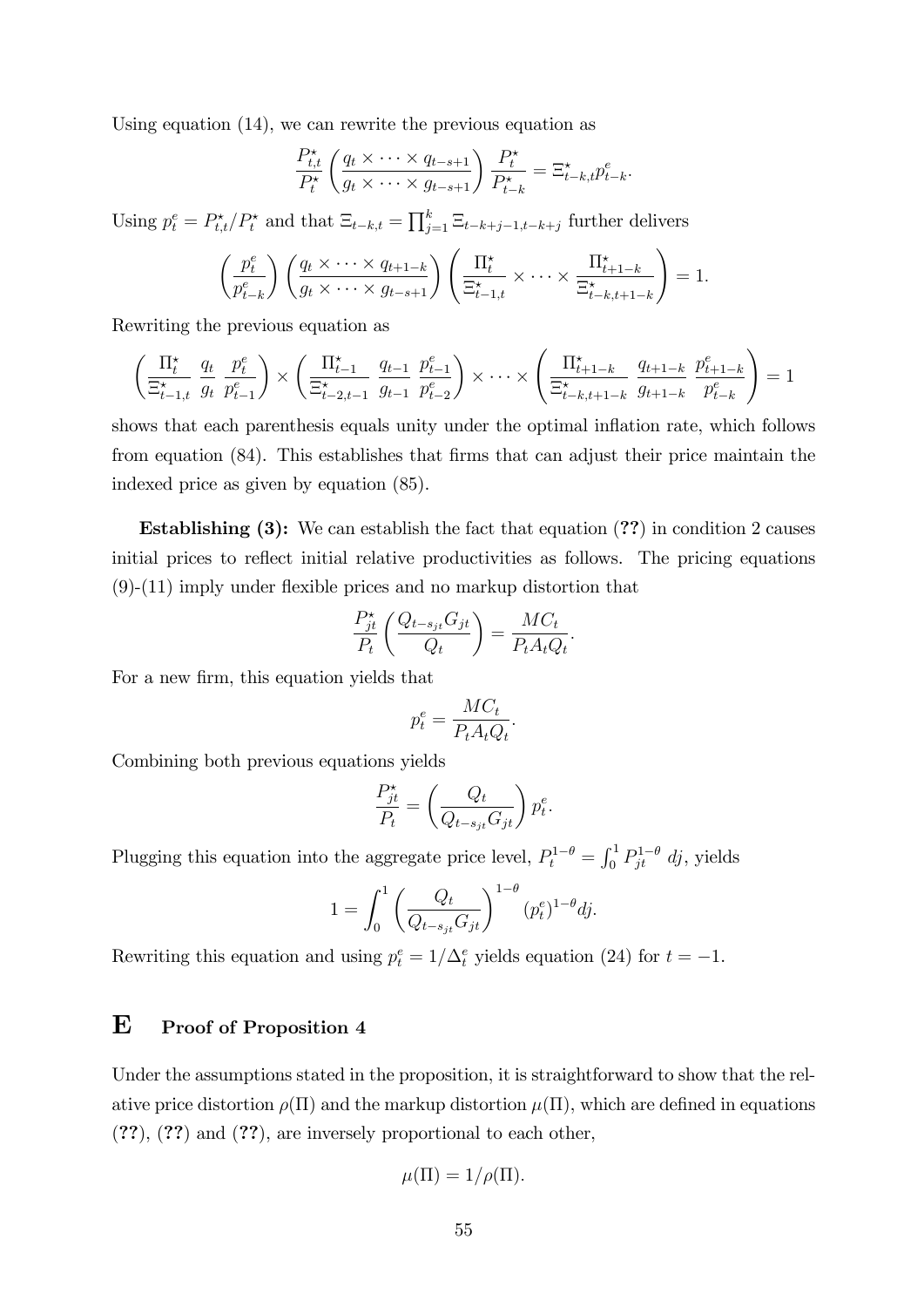Using equation (14), we can rewrite the previous equation as

$$
\frac{P_{t,t}^{\star}}{P_t^{\star}}\left(\frac{q_t \times \cdots \times q_{t-s+1}}{g_t \times \cdots \times g_{t-s+1}}\right) \frac{P_t^{\star}}{P_{t-k}^{\star}} = \Xi_{t-k,t}^{\star} p_{t-k}^e.
$$

Using  $p_t^e = P_{t,t}^{\star}/P_t^{\star}$  and that  $\Xi_{t-k,t} = \prod_{j=1}^k \Xi_{t-k+j-1,t-k+j}$  further delivers

$$
\left(\frac{p_t^e}{p_{t-k}^e}\right)\left(\frac{q_t \times \cdots \times q_{t+1-k}}{g_t \times \cdots \times g_{t-s+1}}\right)\left(\frac{\Pi_t^*}{\Xi_{t-1,t}^*} \times \cdots \times \frac{\Pi_{t+1-k}^*}{\Xi_{t-k,t+1-k}^*}\right) = 1.
$$

Rewriting the previous equation as

$$
\left(\frac{\Pi_t^{\star}}{\Xi_{t-1,t}^{\star}} \frac{q_t}{g_t} \frac{p_t^e}{p_{t-1}^e}\right) \times \left(\frac{\Pi_{t-1}^{\star}}{\Xi_{t-2,t-1}^{\star}} \frac{q_{t-1}}{g_{t-1}} \frac{p_{t-1}^e}{p_{t-2}^e}\right) \times \cdots \times \left(\frac{\Pi_{t+1-k}^{\star}}{\Xi_{t-k,t+1-k}^{\star}} \frac{q_{t+1-k}}{g_{t+1-k}} \frac{p_{t+1-k}^e}{p_{t-k}^e}\right) = 1
$$

shows that each parenthesis equals unity under the optimal inflation rate, which follows from equation (84). This establishes that firms that can adjust their price maintain the indexed price as given by equation (85).

Establishing (3): We can establish the fact that equation (??) in condition 2 causes initial prices to reflect initial relative productivities as follows. The pricing equations  $(9)-(11)$  imply under flexible prices and no markup distortion that

$$
\frac{P_{jt}^{\star}}{P_t} \left( \frac{Q_{t-s_{jt}} G_{jt}}{Q_t} \right) = \frac{M C_t}{P_t A_t Q_t}.
$$

For a new firm, this equation yields that

$$
p_t^e = \frac{MC_t}{P_t A_t Q_t}.
$$

Combining both previous equations yields

$$
\frac{P_{jt}^{\star}}{P_t} = \left(\frac{Q_t}{Q_{t-s_{jt}}G_{jt}}\right)p_t^e.
$$

Plugging this equation into the aggregate price level,  $P_t^{1-\theta} = \int_0^1 P_{jt}^{1-\theta} dj$ , yields

$$
1 = \int_0^1 \left( \frac{Q_t}{Q_{t-s_{jt}} G_{jt}} \right)^{1-\theta} (p_t^e)^{1-\theta} dj.
$$

Rewriting this equation and using  $p_t^e = 1/\Delta_t^e$  yields equation (24) for  $t = -1$ .

### E Proof of Proposition 4

Under the assumptions stated in the proposition, it is straightforward to show that the relative price distortion  $\rho(\Pi)$  and the markup distortion  $\mu(\Pi)$ , which are defined in equations (??), (??) and (??), are inversely proportional to each other,

$$
\mu(\Pi) = 1/\rho(\Pi).
$$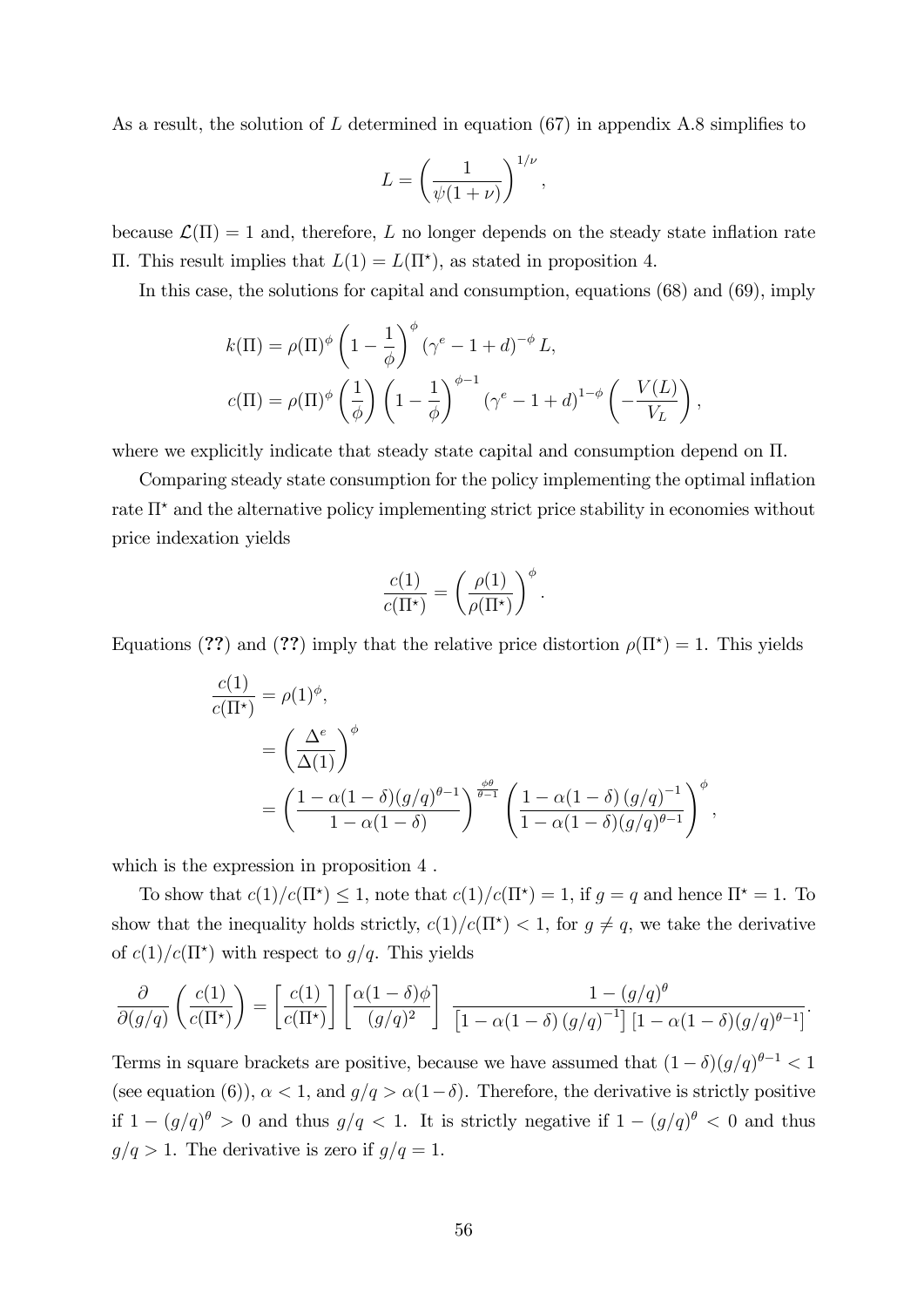As a result, the solution of L determined in equation (67) in appendix A.8 simplifies to

$$
L = \left(\frac{1}{\psi(1+\nu)}\right)^{1/\nu},\,
$$

because  $\mathcal{L}(\Pi) = 1$  and, therefore, L no longer depends on the steady state inflation rate  $\Pi$ . This result implies that  $L(1) = L(\Pi^*)$ , as stated in proposition 4.

In this case, the solutions for capital and consumption, equations (68) and (69), imply

$$
k(\Pi) = \rho(\Pi)^{\phi} \left(1 - \frac{1}{\phi}\right)^{\phi} \left(\gamma^{e} - 1 + d\right)^{-\phi} L,
$$
  

$$
c(\Pi) = \rho(\Pi)^{\phi} \left(\frac{1}{\phi}\right) \left(1 - \frac{1}{\phi}\right)^{\phi - 1} \left(\gamma^{e} - 1 + d\right)^{1 - \phi} \left(-\frac{V(L)}{V_L}\right),
$$

where we explicitly indicate that steady state capital and consumption depend on  $\Pi$ .

Comparing steady state consumption for the policy implementing the optimal inflation rate  $\Pi^*$  and the alternative policy implementing strict price stability in economies without price indexation yields

$$
\frac{c(1)}{c(\Pi^*)} = \left(\frac{\rho(1)}{\rho(\Pi^*)}\right)^{\phi}.
$$

Equations (??) and (??) imply that the relative price distortion  $\rho(\Pi^*) = 1$ . This yields

$$
\frac{c(1)}{c(\Pi^*)} = \rho(1)^{\phi},
$$
  
=  $\left(\frac{\Delta^e}{\Delta(1)}\right)^{\phi}$   
=  $\left(\frac{1 - \alpha(1 - \delta)(g/q)^{\theta - 1}}{1 - \alpha(1 - \delta)}\right)^{\frac{\phi \theta}{\theta - 1}} \left(\frac{1 - \alpha(1 - \delta)(g/q)^{-1}}{1 - \alpha(1 - \delta)(g/q)^{\theta - 1}}\right)^{\phi},$ 

which is the expression in proposition 4.

To show that  $c(1)/c(\Pi^*) \leq 1$ , note that  $c(1)/c(\Pi^*) = 1$ , if  $g = q$  and hence  $\Pi^* = 1$ . To show that the inequality holds strictly,  $c(1)/c(\Pi^*) < 1$ , for  $g \neq q$ , we take the derivative of  $c(1)/c(\Pi^*)$  with respect to  $g/q$ . This yields

$$
\frac{\partial}{\partial(g/q)}\left(\frac{c(1)}{c(\Pi^*)}\right) = \left[\frac{c(1)}{c(\Pi^*)}\right] \left[\frac{\alpha(1-\delta)\phi}{(g/q)^2}\right] \frac{1-(g/q)^{\theta}}{\left[1-\alpha(1-\delta)(g/q)^{-1}\right] \left[1-\alpha(1-\delta)(g/q)^{\theta-1}\right]}.
$$

Terms in square brackets are positive, because we have assumed that  $(1 - \delta)(g/q)^{\theta - 1} < 1$ (see equation (6)),  $\alpha < 1$ , and  $g/q > \alpha(1-\delta)$ . Therefore, the derivative is strictly positive if  $1 - (g/q)^{\theta} > 0$  and thus  $g/q < 1$ . It is strictly negative if  $1 - (g/q)^{\theta} < 0$  and thus  $g/q > 1$ . The derivative is zero if  $g/q = 1$ .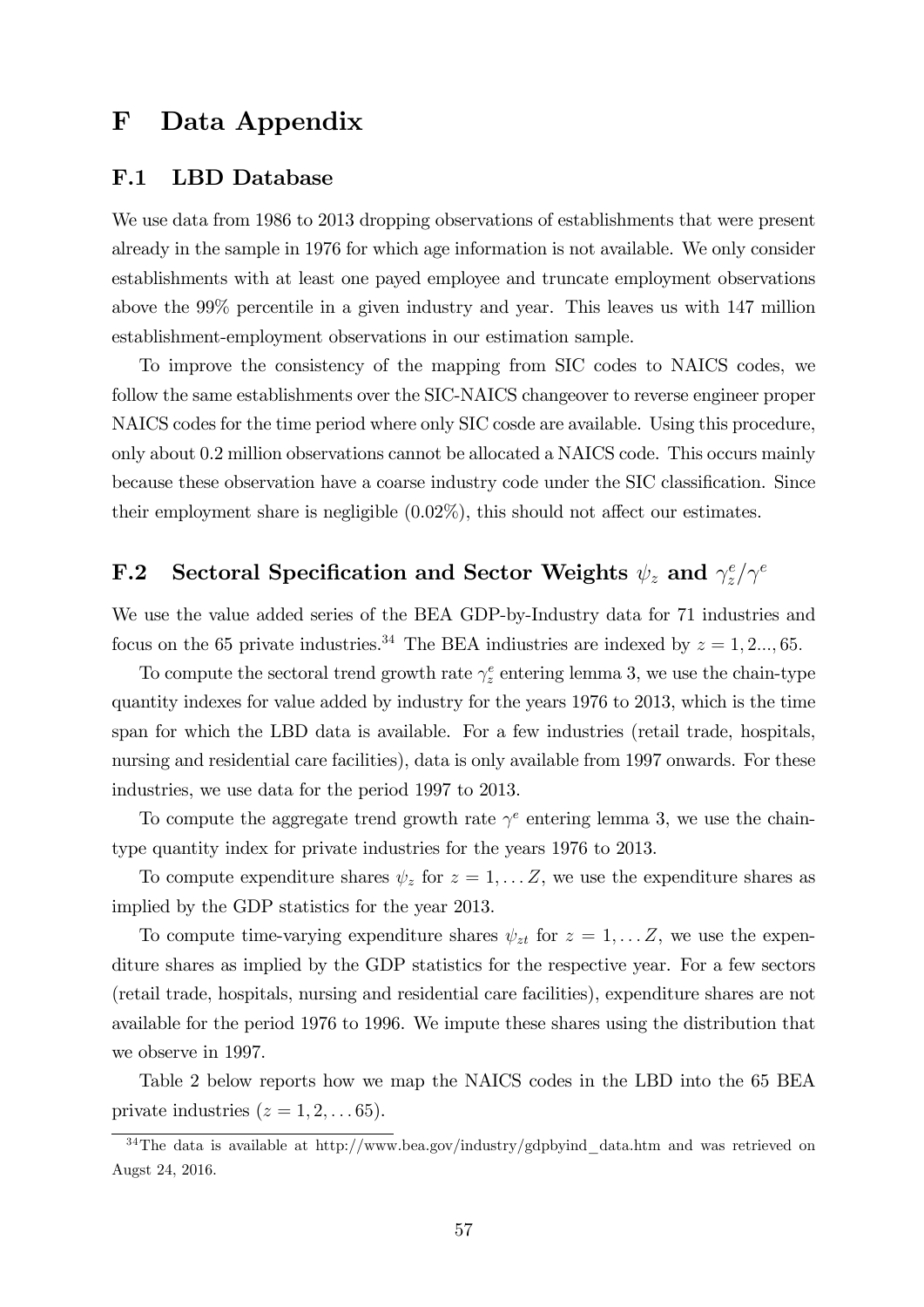### F Data Appendix

#### F.1 LBD Database

We use data from 1986 to 2013 dropping observations of establishments that were present already in the sample in 1976 for which age information is not available. We only consider establishments with at least one payed employee and truncate employment observations above the 99% percentile in a given industry and year. This leaves us with 147 million establishment-employment observations in our estimation sample.

To improve the consistency of the mapping from SIC codes to NAICS codes, we follow the same establishments over the SIC-NAICS changeover to reverse engineer proper NAICS codes for the time period where only SIC cosde are available. Using this procedure, only about 0.2 million observations cannot be allocated a NAICS code. This occurs mainly because these observation have a coarse industry code under the SIC classification. Since their employment share is negligible  $(0.02\%)$ , this should not affect our estimates.

#### F.2 Sectoral Specification and Sector Weights  $\psi_z$  and  $\gamma_z^e$  $\int_z^e/\gamma^e$

We use the value added series of the BEA GDP-by-Industry data for 71 industries and focus on the 65 private industries.<sup>34</sup> The BEA indiustries are indexed by  $z = 1, 2..., 65$ .

To compute the sectoral trend growth rate  $\gamma_z^e$  entering lemma 3, we use the chain-type quantity indexes for value added by industry for the years 1976 to 2013, which is the time span for which the LBD data is available. For a few industries (retail trade, hospitals, nursing and residential care facilities), data is only available from 1997 onwards. For these industries, we use data for the period 1997 to 2013.

To compute the aggregate trend growth rate  $\gamma^e$  entering lemma 3, we use the chaintype quantity index for private industries for the years 1976 to 2013.

To compute expenditure shares  $\psi_z$  for  $z = 1, \dots Z$ , we use the expenditure shares as implied by the GDP statistics for the year 2013.

To compute time-varying expenditure shares  $\psi_{zt}$  for  $z = 1, \ldots Z$ , we use the expenditure shares as implied by the GDP statistics for the respective year. For a few sectors (retail trade, hospitals, nursing and residential care facilities), expenditure shares are not available for the period 1976 to 1996. We impute these shares using the distribution that we observe in 1997.

Table 2 below reports how we map the NAICS codes in the LBD into the 65 BEA private industries  $(z = 1, 2, \ldots 65)$ .

<sup>&</sup>lt;sup>34</sup>The data is available at http://www.bea.gov/industry/gdpbyind data.htm and was retrieved on Augst 24, 2016.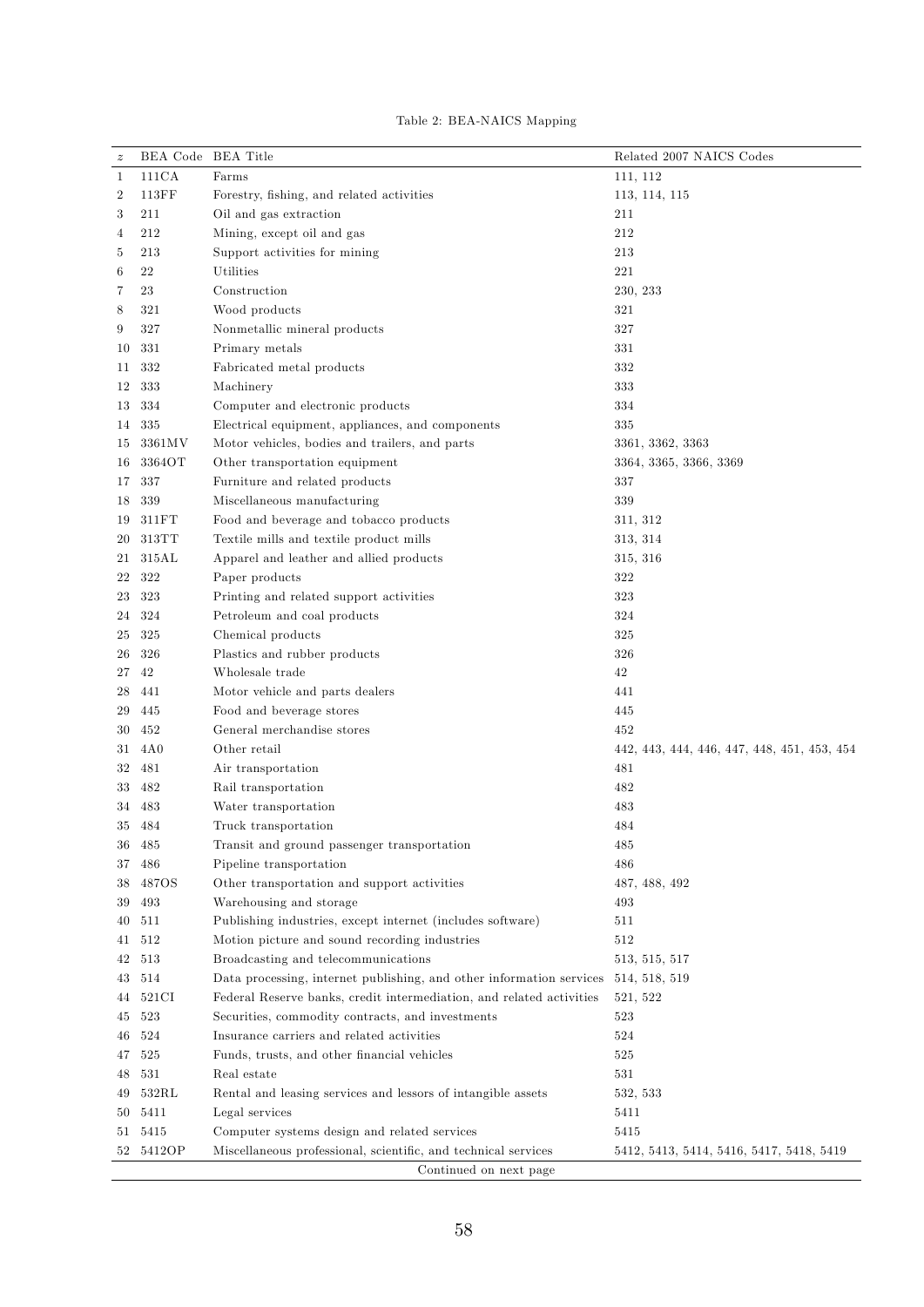|  |  | Table 2: BEA-NAICS Mapping |  |
|--|--|----------------------------|--|
|--|--|----------------------------|--|

| $\boldsymbol{z}$ | BEA Code BEA Title |                                                                      | Related 2007 NAICS Codes                    |
|------------------|--------------------|----------------------------------------------------------------------|---------------------------------------------|
| 1                | 111CA              | Farms                                                                | 111, 112                                    |
| $\boldsymbol{2}$ | 113FF              | Forestry, fishing, and related activities                            | 113, 114, 115                               |
| 3                | 211                | Oil and gas extraction                                               | 211                                         |
| 4                | 212                | Mining, except oil and gas                                           | 212                                         |
| 5                | 213                | Support activities for mining                                        | 213                                         |
| 6                | 22                 | Utilities                                                            | 221                                         |
| 7                | 23                 | Construction                                                         | 230, 233                                    |
| 8                | 321                | Wood products                                                        | 321                                         |
| 9                | 327                | Nonmetallic mineral products                                         | 327                                         |
| 10               | 331                | Primary metals                                                       | 331                                         |
| 11               | 332                | Fabricated metal products                                            | 332                                         |
| 12               | 333                | Machinery                                                            | 333                                         |
| 13               | 334                | Computer and electronic products                                     | 334                                         |
| 14               | 335                | Electrical equipment, appliances, and components                     | 335                                         |
| 15               | 3361MV             | Motor vehicles, bodies and trailers, and parts                       | 3361, 3362, 3363                            |
| 16               | 3364OT             | Other transportation equipment                                       | 3364, 3365, 3366, 3369                      |
| 17               | 337                | Furniture and related products                                       | 337                                         |
| 18               | 339                | Miscellaneous manufacturing                                          | 339                                         |
|                  | 311FT              | Food and beverage and tobacco products                               | 311, 312                                    |
| 19               | 313TT              |                                                                      |                                             |
| 20               | 315AL              | Textile mills and textile product mills                              | 313, 314                                    |
| 21               |                    | Apparel and leather and allied products                              | 315, 316                                    |
| 22               | 322                | Paper products                                                       | 322                                         |
| 23               | 323                | Printing and related support activities                              | 323                                         |
| 24               | 324                | Petroleum and coal products                                          | 324                                         |
| 25               | 325                | Chemical products                                                    | 325                                         |
| 26               | 326                | Plastics and rubber products                                         | 326                                         |
| 27               | 42                 | Wholesale trade                                                      | 42                                          |
| 28               | 441                | Motor vehicle and parts dealers                                      | 441                                         |
| 29               | 445                | Food and beverage stores                                             | 445                                         |
| 30               | 452                | General merchandise stores                                           | 452                                         |
| 31               | 4A0                | Other retail                                                         | 442, 443, 444, 446, 447, 448, 451, 453, 454 |
| 32               | 481                | Air transportation                                                   | 481                                         |
| 33               | 482                | Rail transportation                                                  | 482                                         |
| 34               | 483                | Water transportation                                                 | 483                                         |
|                  | 35 484             | Truck transportation                                                 | 484                                         |
| 36               | 485                | Transit and ground passenger transportation                          | 485                                         |
| 37               | 486                | Pipeline transportation                                              | 486                                         |
| 38               | 487OS              | Other transportation and support activities                          | 487, 488, 492                               |
| 39               | 493                | Warehousing and storage                                              | 493                                         |
| 40               | 511                | Publishing industries, except internet (includes software)           | 511                                         |
| 41               | 512                | Motion picture and sound recording industries                        | 512                                         |
| 42               | 513                | Broadcasting and telecommunications                                  | 513, 515, 517                               |
| 43               | 514                | Data processing, internet publishing, and other information services | 514, 518, 519                               |
| 44               | 521CI              | Federal Reserve banks, credit intermediation, and related activities | 521, 522                                    |
| 45               | 523                | Securities, commodity contracts, and investments                     | 523                                         |
| 46               | 524                | Insurance carriers and related activities                            | 524                                         |
| 47               | 525                | Funds, trusts, and other financial vehicles                          | 525                                         |
| 48               | 531                | Real estate                                                          | 531                                         |
| 49               | 532RL              | Rental and leasing services and lessors of intangible assets         | 532, 533                                    |
| 50               | 5411               | Legal services                                                       | 5411                                        |
| 51               | 5415               | Computer systems design and related services                         | 5415                                        |
|                  | 52 5412OP          | Miscellaneous professional, scientific, and technical services       | 5412, 5413, 5414, 5416, 5417, 5418, 5419    |
|                  |                    | Continued on next page                                               |                                             |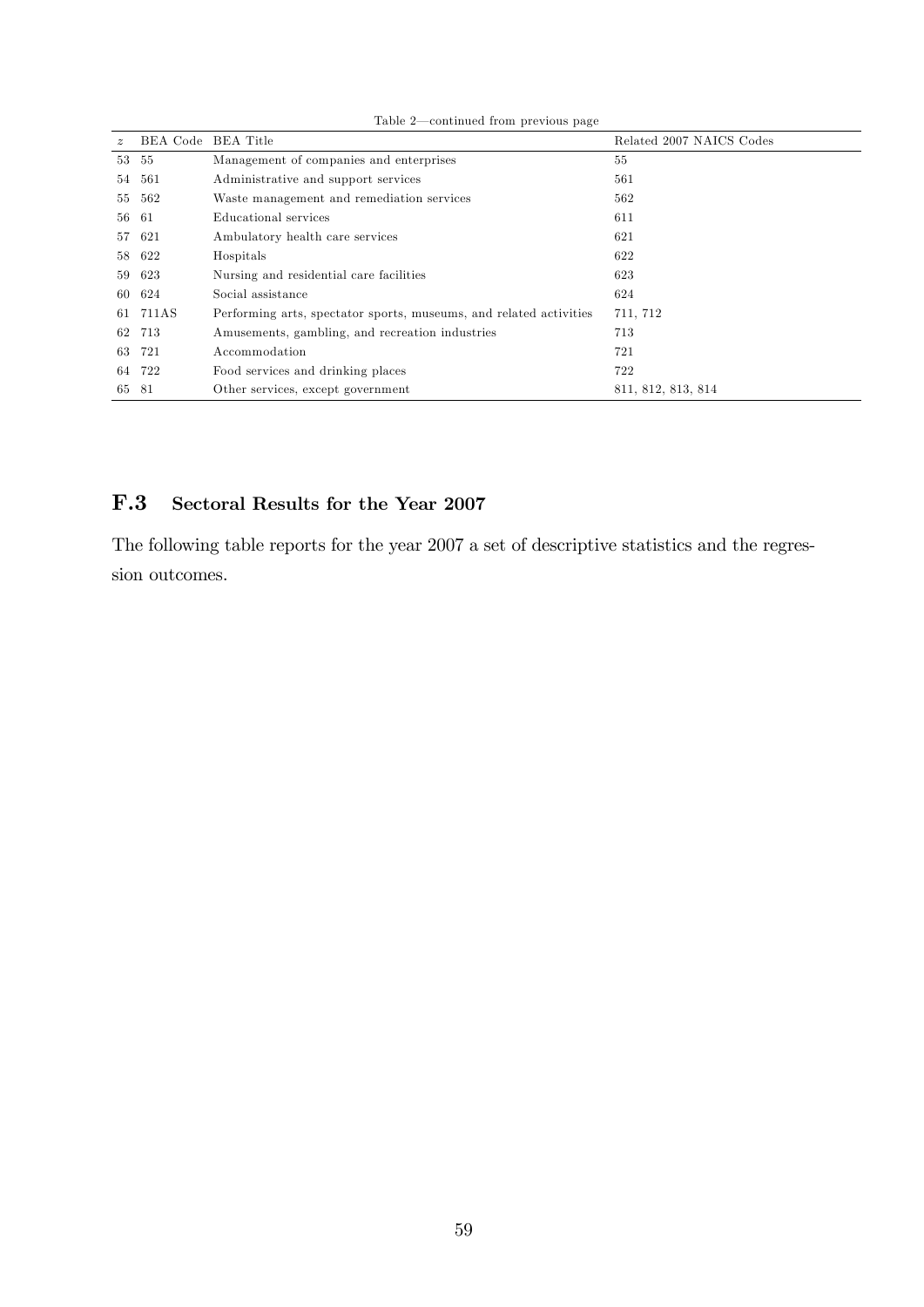|             |                    | comentation in one procedure page                                  |                          |
|-------------|--------------------|--------------------------------------------------------------------|--------------------------|
| $\tilde{z}$ | BEA Code BEA Title |                                                                    | Related 2007 NAICS Codes |
|             | 53 55              | Management of companies and enterprises                            | 55                       |
| 54          | 561                | Administrative and support services                                | 561                      |
| 55          | 562                | Waste management and remediation services                          | 562                      |
|             | 56 61              | Educational services                                               | 611                      |
| 57          | -621               | Ambulatory health care services                                    | 621                      |
|             | 58 622             | Hospitals                                                          | 622                      |
| 59          | 623                | Nursing and residential care facilities                            | 623                      |
| 60          | 624                | Social assistance                                                  | 624                      |
|             | 61 711AS           | Performing arts, spectator sports, museums, and related activities | 711, 712                 |
| 62          | 713                | Amusements, gambling, and recreation industries                    | 713                      |
| 63          | 721                | Accommodation                                                      | 721                      |
|             | 64 722             | Food services and drinking places                                  | 722                      |
|             | 65 81              | Other services, except government                                  | 811, 812, 813, 814       |

Table  $2$ —continued from previous page

### F.3 Sectoral Results for the Year 2007

The following table reports for the year 2007 a set of descriptive statistics and the regression outcomes.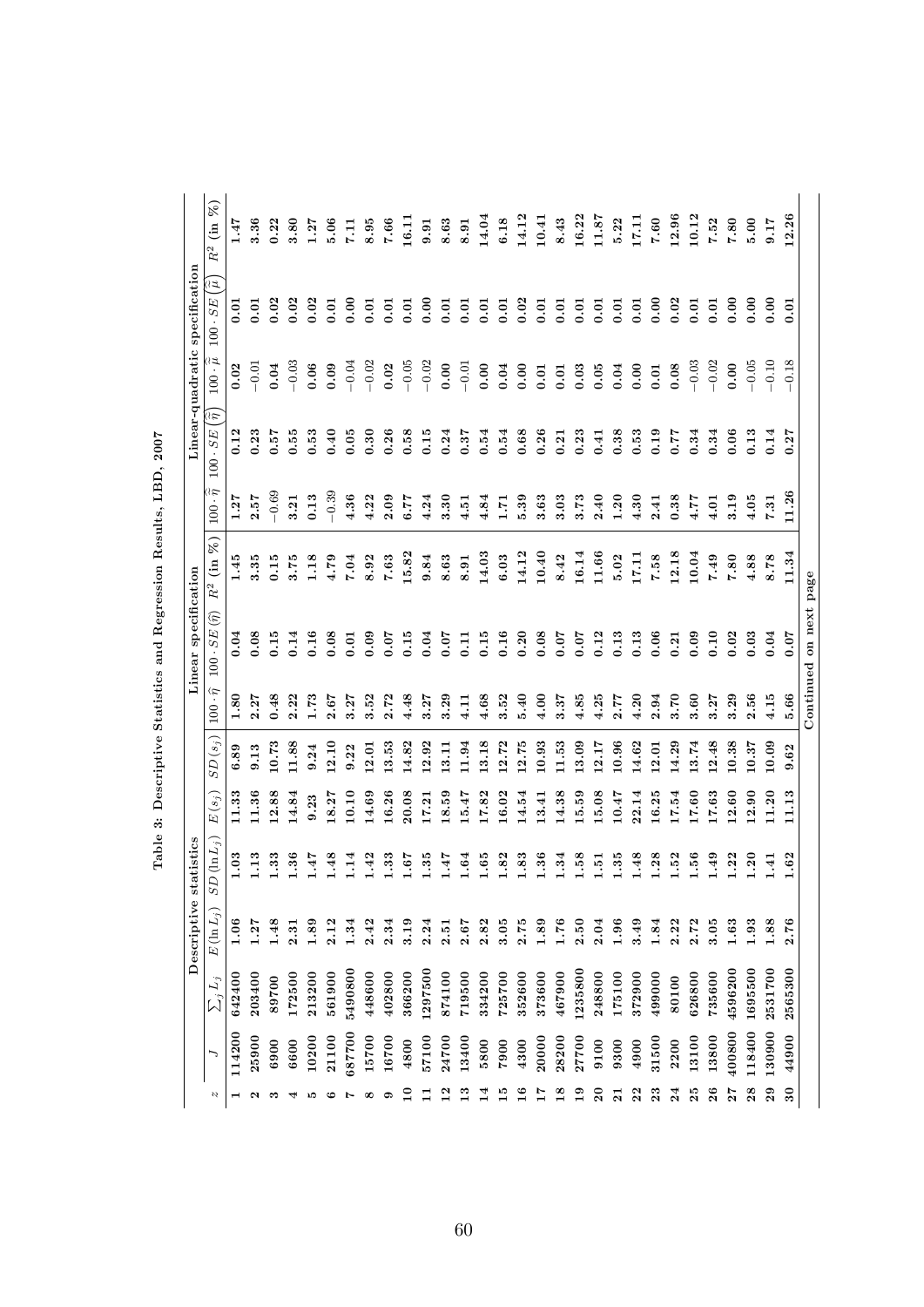|                 |        |              | Descriptive  | tatistics<br>S             |          |           |                    | Linear specification           |                 |                                | Linear-quadratic     |                                 | specification         |                                                           |
|-----------------|--------|--------------|--------------|----------------------------|----------|-----------|--------------------|--------------------------------|-----------------|--------------------------------|----------------------|---------------------------------|-----------------------|-----------------------------------------------------------|
| Ŋ               | ╮      | $\sum_j L_j$ | $E(\ln L_j)$ | $D\left( \ln L_{j}\right)$ | $E(s_j)$ | $SD(s_j)$ | $100\cdot\hat\eta$ | $100 \cdot SE(\widehat{\eta})$ | (in %)<br>$R^2$ | $100 \cdot \hat{\tilde{\eta}}$ | ä٤<br>$100 \cdot SE$ | $100 \cdot \tilde{\tilde{\mu}}$ | ্যি<br>$100 \cdot SE$ | $\widetilde{\mathcal{E}}$<br>$\lim$<br>$\ensuremath{R}^2$ |
| ⊣               | 114200 | 642400       | 1.06         | 1.03                       | 11.33    | 6.89      | $\frac{80}{1}$     | 0.04                           | 1.45            | 1.27                           | 0.12                 | 0.02                            | 0.01                  | 1.47                                                      |
| N               | 25900  | 203400       | 1.27         | 1.13                       | 11.36    | 9.13      | 2.27               | 0.08                           | 3.35            | 2.57                           | 0.23                 | $-0.01$                         | 0.01                  | 3.36                                                      |
| ∾               | 6900   | 89700        | 1.48         | 1.33                       | 12.88    | 10.73     | 0.48               | 0.15                           | 0.15            | $-0.69$                        | 0.57                 | 0.04                            | 0.02                  | 0.22                                                      |
| 4               | 6600   | 172500       | 2.31         | $\frac{36}{ }$             | 14.84    | 11.88     | 2.22               | 0.14                           | 3.75            | 3.21                           | 0.55                 | $-0.03$                         | 0.02                  | 3.80                                                      |
| ю               | 10200  | 213200       | 1.89         | 4F.                        | 9.23     | 9.24      | 1.73               | 0.16                           | 1.18            | 0.13                           | 0.53                 | 0.06                            | 0.02                  | 1.27                                                      |
| అ               | 21100  | 561900       | 2.12         | 1.48                       | 18.27    | 12.10     | 2.67               | 0.08                           | 4.79            | $-0.39$                        | 0.40                 | 0.09                            | 0.01                  | 5.06                                                      |
| Ļ               | 687700 | 5490800      | 1.34         | 1.14                       | 10.10    | 9.22      | 3.27               | 0.01                           | 7.04            | 4.36                           | 0.05                 | $-0.04$                         | 0.00                  | 7.11                                                      |
| œ               | 15700  | 448600       | 2.42         | 1.42                       | 14.69    | 12.01     | 3.52               | 0.09                           | 8.92            | 4.22                           | 0.30                 | $-0.02$                         | 0.01                  | 8.95                                                      |
| ຶ               | 16700  | 402800       | 2.34         | 1.33                       | 16.26    | 13.53     | 2.72               | 0.07                           | 7.63            | 2.09                           | 0.26                 | 0.02                            | 0.01                  | $\bf 7.66$                                                |
| ≘               | 4800   | 366200       | 3.19         | 7.9.1                      | 20.08    | 14.82     | 4.48               | 0.15                           | 15.82           | 5.77                           | 0.58                 | $-0.05$                         | 0.01                  | 16.11                                                     |
|                 | 57100  | 1297500      | 2.24         | 1.35                       | 17.21    | 12.92     | 3.27               | 0.04                           | 9.84            | 4.24                           | 0.15                 | $-0.02$                         | 0.00                  | 9.91                                                      |
| $\mathbf{r}$    | 24700  | 874100       | 2.51         | 4F.                        | 18.59    | 13.11     | 3.29               | 0.07                           | 8.63            | 3.30                           | 0.24                 | 0.00                            | 0.01                  | 8.63                                                      |
| $\frac{3}{1}$   | 13400  | 719500       | 2.67         | 1.64                       | 5.47     | 11.94     | 4.11               | 0.11                           | 8.91            | 4.51                           | 0.37                 | $-0.01$                         | 0.01                  | 8.91                                                      |
| 그               | 5800   | 334200       | 2.82         | 0.65                       | 17.82    | 13.18     | 4.68               | 0.15                           | 14.03           | 4.84                           | 0.54                 | 0.00                            | 0.01                  | 14.04                                                     |
| $\frac{10}{10}$ | 7900   | 725700       | 3.05         | 1.82                       | 16.02    | 12.72     | 3.52               | 0.16                           | 6.03            | 1.71                           | 0.54                 | 0.04                            | 0.01                  | 6.18                                                      |
| $\frac{6}{1}$   | 4300   | 352600       | 2.75         | 1.83                       | 14.54    | 12.75     | 5.40               | 0.20                           | 14.12           | 5.39                           | 0.68                 | 0.00                            | 0.02                  | 14.12                                                     |
| 7T              | 20000  | 373600       | 1.89         | 1.36                       | 3.41     | 10.93     | 4.00               | 0.08                           | 10.40           | 3.63                           | 0.26                 | 0.01                            | 0.01                  | 10.41                                                     |
| $\frac{8}{1}$   | 28200  | 467900       | 1.76         | $\ddot{34}$                | 14.38    | 11.53     | 3.37               | 0.07                           | 8.42            | 3.03                           | 0.21                 | 0.01                            | 0.01                  | 8.43                                                      |
| ≘               | 27700  | 1235800      | 2.50         | $\ddot{5}$                 | 15.59    | 13.09     | 4.85               | 0.07                           | 16.14           | 3.73                           | 0.23                 | 0.03                            | 0.01                  | 16.22                                                     |
| $\overline{20}$ | 9100   | 248800       | 2.04         | 1.51                       | 5.08     | 12.17     | 4.25               | 0.12                           | 11.66           | 2.40                           | 0.41                 | 0.05                            | 0.01                  | 11.87                                                     |
| $\overline{a}$  | 9300   | 175100       | 1.96         | $\ddot{35}$                | 10.47    | 10.96     | 2.77               | 0.13                           | 5.02            | 1.20                           | 0.38                 | 0.04                            | 0.01                  | 5.22                                                      |
| $\overline{2}$  | 4900   | 372900       | 3.49         | 1.48                       | 2.14     | 14.62     | 4.20               | 0.13                           | 17.11           | 4.30                           | 0.53                 | 0.00                            | 0.01                  | 17.11                                                     |
| $\mathbf{r}_2$  | 31500  | 499000       | 1.84         | 1.28                       | 16.25    | 2.01      | 2.94               | 0.06                           | 7.58            | 2.41                           | 0.19                 | 0.01                            | 0.00                  | 7.60                                                      |
| $\overline{24}$ | 2200   | 80100        | 2.22         | 1.52                       | 17.54    | 14.29     | 3.70               | 0.21                           | 12.18           | 0.38                           | 77.0                 | 0.08                            | 0.02                  | 12.96                                                     |
| 25              | 13100  | 626800       | 2.72         | 1.56                       | 17.60    | 3.74      | 3.60               | 0.09                           | 10.04           | 1.77                           | 0.34                 | $-0.03$                         | 0.01                  | 10.12                                                     |
| $^{26}$         | 13800  | 735600       | 3.05         | 04.1                       | 17.63    | 2.48      | 3.27               | 0.10                           | 7.49            | 4.01                           | 0.34                 | $-0.02$                         | 0.01                  | 7.52                                                      |
| 27              | 400800 | 4596200      | 1.63         | .22                        | .2.60    | 10.38     | 3.29               | 0.02                           | 7.80            | 3.19                           | 0.06                 | 0.00                            | 0.00                  | 7.80                                                      |
| 28              | 118400 | 1695500      | $\bf 1.93$   | 1.20                       | 12.90    | 10.37     | 2.56               | 0.03                           | 4.88            | 4.05                           | 0.13                 | $-0.05$                         | 0.00                  | 5.00                                                      |
| 29              | 130900 | 2531700      | 1.88         | 14.1                       | 11.20    | 10.09     | 4.15               | 0.04                           | 8.78            | 7.31                           | 0.14                 | $-0.10$                         | 0.00                  | 9.17                                                      |
| $\overline{30}$ | 44900  | 2565300      | 2.76         | 1.62                       | 11.13    | 9.62      | 5.66               | 0.07                           | 11.34           | 11.26                          | 0.27                 | $-0.18$                         | 0.01                  | 12.26                                                     |
|                 |        |              |              |                            |          |           |                    | Continued on next page         |                 |                                |                      |                                 |                       |                                                           |

Table 3: Descriptive Statistics and Regression Results, LBD, 2007 Table 3: Descriptive Statistics and Regression Results, LBD, 2007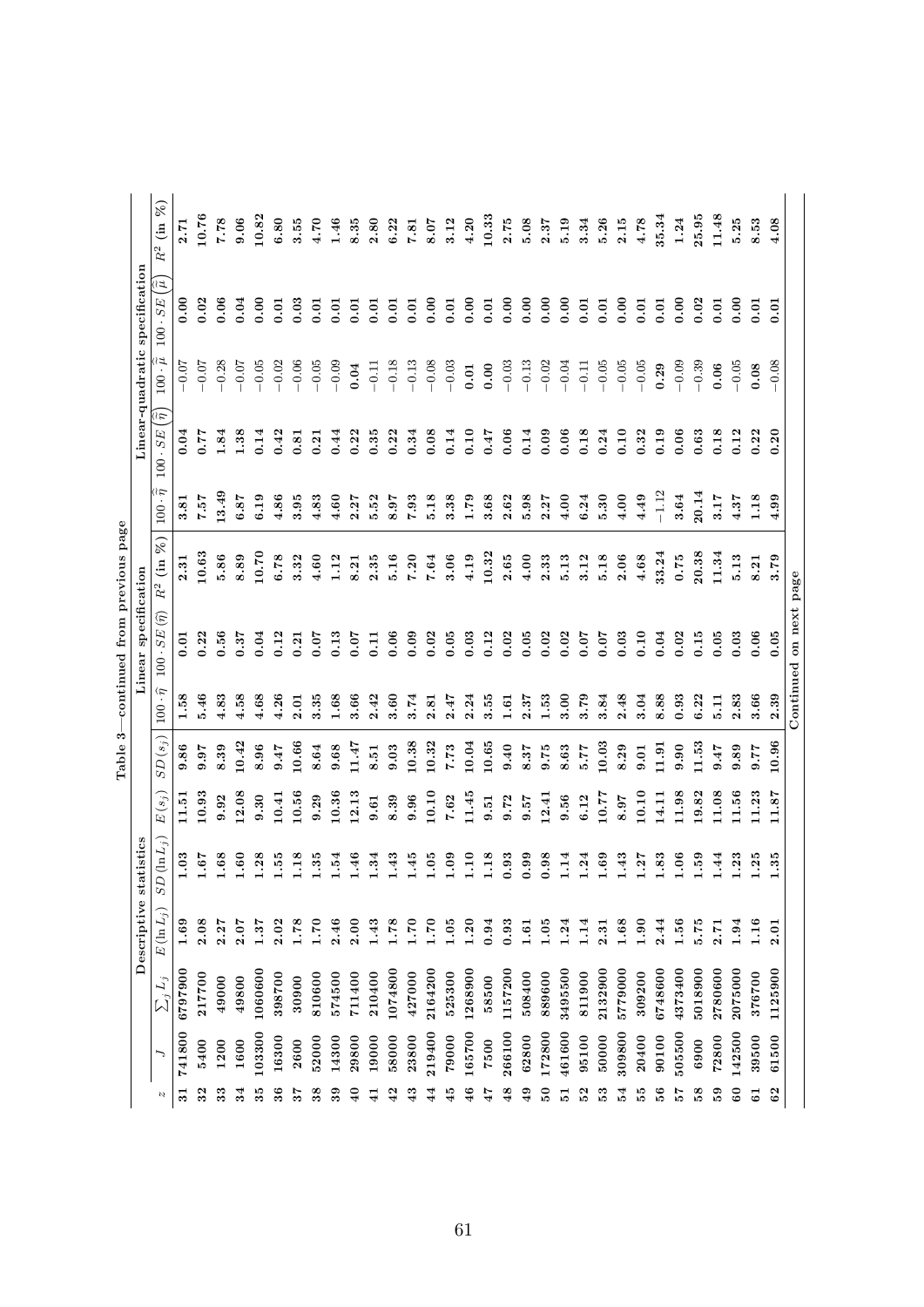|                 |        |              |              |                                 |                        | S<br>Table |                  | continued from previous page   |                             |                                          |                                    |                             |                                |                                               |
|-----------------|--------|--------------|--------------|---------------------------------|------------------------|------------|------------------|--------------------------------|-----------------------------|------------------------------------------|------------------------------------|-----------------------------|--------------------------------|-----------------------------------------------|
|                 |        |              | Descriptive  | atistics<br>$\ddot{\mathbf{s}}$ |                        |            |                  | Linear specification           |                             |                                          |                                    |                             | Linear-quadratic specification |                                               |
| N               |        | $\sum_j L_j$ | $E(\ln L_i)$ | $D(\ln L_j)$<br>S               | $E\left( s_{j}\right)$ | $SD(s_j)$  | $\hat{r}$<br>100 | $100 \cdot SE(\widehat{\eta})$ | 8 <sup>o</sup><br>$R^2$ (in | $100 \cdot \widetilde{\widetilde{\eta}}$ | $100 \cdot SE(\hat{\tilde{\eta}})$ | $100 \cdot \widetilde{\mu}$ | િટ<br>$100 \cdot SE$           | $\mathcal{E}$<br>$\lim$<br>$\ensuremath{R^2}$ |
| $\overline{31}$ | 741800 | 6797900      | 1.69         | 1.03                            | 11.51                  | 9.86       | 1.58             | 0.01                           | 2.31                        | 3.81                                     | 0.04                               | $-0.07$                     | 0.00                           | 7.7                                           |
| 32              | 5400   | 217700       | 2.08         | 1.67                            | 10.93                  | 9.97       | 5.46             | 0.22                           | 10.63                       | 7.57                                     | 0.77                               | $-0.07$                     | 0.02                           | 10.76                                         |
| 33              | 1200   | 49000        | 2.27         | 1.68                            | 9.92                   | 8.39       | 4.83             | 0.56                           | 5.86                        | 13.49                                    | 1.84                               | $-0.28$                     | 0.06                           | 7.78                                          |
| 34              | 1600   | 49800        | 2.07         | 1.60                            | 12.08                  | 10.42      | 4.58             | 0.37                           | 8.89                        | 6.87                                     | 1.38                               | $-0.07$                     | 0.04                           | 0.06                                          |
| 35              | 103300 | 1060600      | 1.37         | 1.28                            | 9.30                   | 8.96       | 4.68             | 0.04                           | 10.70                       | 6.19                                     | 0.14                               | $-0.05$                     | 0.00                           | 10.82                                         |
| $36\,$          | 16300  | 398700       | 2.02         | 1.55                            | 10.41                  | 9.47       | 4.26             | 0.12                           | 6.78                        | 4.86                                     | 0.42                               | $-0.02$                     | 0.01                           | 6.80                                          |
| 57              | 2600   | 30900        | 1.78         | 1.18                            | 10.56                  | 10.66      | 2.01             | 0.21                           | 3.32                        | 3.95                                     | 0.81                               | $-0.06$                     | 0.03                           | 3.55                                          |
| 38              | 52000  | 810600       | 1.70         | 1.35                            | 0.29                   | 8.64       | 3.35             | 0.07                           | $4.60$                      | 4.83                                     | 0.21                               | $-0.05$                     | 0.01                           | 4.70                                          |
| 39              | 14300  | 574500       | 2.46         | 1.54                            | 10.36                  | 9.68       | 1.68             | 0.13                           | 1.12                        | 4.60                                     | 0.44                               | $-0.09$                     | 0.01                           | 1.46                                          |
| $\theta$        | 29800  | 711400       | 2.00         | 1.46                            | 12.13                  | 11.47      | 3.66             | 0.07                           | 8.21                        | 2.27                                     | 0.22                               | 0.04                        | 0.01                           | 8.35                                          |
| $\frac{1}{4}$   | 19000  | 210400       | 1.43         | 1.34                            | 9.61                   | 8.51       | 2.42             | 0.11                           | 2.35                        | 5.52                                     | 0.35                               | $-0.11$                     | 0.01                           | 2.80                                          |
| 42              | 58000  | 1074800      | 1.78         | 1.43                            | 8.39                   | 9.03       | 3.60             | 0.06                           | 5.16                        | 8.97                                     | 0.22                               | $-0.18$                     | 0.01                           | 6.22                                          |
| 43              | 23800  | 427000       | 1.70         | 1.45                            | 0.96                   | 10.38      | 3.74             | 0.09                           | 7.20                        | 7.93                                     | 0.34                               | $-0.13$                     | 0.01                           | 7.81                                          |
| $\vec{4}$       | 219400 | 2164200      | 1.70         | 1.05                            | 10.10                  | 10.32      | 2.81             | 0.02                           | 7.64                        | 5.18                                     | 0.08                               | $-0.08$                     | 0.00                           | 8.07                                          |
| 45              | 79000  | 525300       | 1.05         | 1.09                            | 7.62                   | 7.73       | 2.47             | 0.05                           | 3.06                        | 3.38                                     | 0.14                               | $-0.03$                     | 0.01                           | 3.12                                          |
| 46              | 165700 | 1268900      | 1.20         | 1.10                            | 11.45                  | 10.04      | 2.24             | 0.03                           | 4.19                        | 1.79                                     | 0.10                               | $\!0.01$                    | 0.00                           | 4.20                                          |
| 47              | 7500   | 58500        | $\bf{0.94}$  | 1.18                            | 9.51                   | 10.65      | 3.55             | 0.12                           | 10.32                       | 3.68                                     | 7.47                               | 0.00                        | 0.01                           | 10.33                                         |
| $\frac{8}{4}$   | 266100 | 1157200      | 0.93         | 0.93                            | 9.72                   | 0.40       | 1.61             | 0.02                           | 2.65                        | 2.62                                     | 0.06                               | $-0.03$                     | 0.00                           | 2.75                                          |
| $\frac{49}{5}$  | 62800  | 508400       | 1.61         | 0.99                            | 7.6, 6                 | 8.37       | 2.37             | 0.05                           | 4.00                        | 5.98                                     | 0.14                               | $-0.13$                     | 0.00                           | 5.08                                          |
| $\overline{50}$ | 172800 | 889600       | 1.05         | 0.98                            | 12.41                  | 9.75       | 1.53             | 0.02                           | 2.33                        | 2.27                                     | 0.09                               | $-0.02$                     | 0.00                           | 2.37                                          |
| 5               | 461600 | 3495500      | 1.24         | 1.14                            | 0.56                   | 8.63       | 3.00             | 0.02                           | 5.13                        | $4.00$                                   | 0.06                               | $-0.04$                     | 0.00                           | 5.19                                          |
| 52              | 95100  | 811900       | 1.14         | 1.24                            | 6.12                   | 77.7       | 3.79             | 0.07                           | 3.12                        | 6.24                                     | 0.18                               | $-0.11$                     | 0.01                           | 3.34                                          |
| 53              | 50000  | 2132900      | 2.31         | 1.69                            | 10.77                  | 10.03      | 3.84             | 0.07                           | 5.18                        | 5.30                                     | 0.24                               | $-0.05$                     | 0.01                           | 5.26                                          |
| 54              | 309800 | 5779000      | 1.68         | 1.43                            | 8.97                   | 8.29       | 2.48             | 0.03                           | 2.06                        | 4.00                                     | 0.10                               | $-0.05$                     | 0.00                           | 2.15                                          |
| 55              | 20400  | 309200       | 1.90         | 1.27                            | 10.10                  | 0.01       | 3.04             | 0.10                           | 4.68                        | 4.49                                     | 0.32                               | $-0.05$                     | 0.01                           | 4.78                                          |
| 56              | 90100  | 6748600      | 2.44         | 1.83                            | 14.11                  | 11.91      | 8.88             | 0.04                           | 33.24                       | $-1.12$                                  | 0.19                               | 0.29                        | 0.01                           | 35.34                                         |
| 29              | 505500 | 4373400      | 1.56         | 1.06                            | 11.98                  | 9.90       | 0.93             | 0.02                           | 0.75                        | 3.64                                     | 0.06                               | $-0.09$                     | 0.00                           | 1.24                                          |
| 58              | 6900   | 5018900      | 5.75         | 1.59                            | 9.82                   | 11.53      | 6.22             | 0.15                           | 20.38                       | 20.14                                    | 0.63                               | $-0.39$                     | 0.02                           | 25.95                                         |
| 59              | 72800  | 2780600      | 2.71         | 1.44                            | 11.08                  | 7.47       | 5.11             | 0.05                           | 11.34                       | 3.17                                     | 0.18                               | 0.06                        | 0.01                           | 11.48                                         |
| 8               | 142500 | 2075000      | 1.94         | .3 <sub>3</sub>                 | 11.56                  | 9.89       | 2.83             | 0.03                           | 5.13                        | 4.37                                     | 0.12                               | $-0.05$                     | 0.00                           | 5.25                                          |
| 5               | 39500  | 376700       | 1.16         | 1.25                            | 11.23                  | 77.6       | 3.66             | 0.06                           | 8.21                        | 1.18                                     | 0.22                               | 0.08                        | $\overline{0}$ .               | 8.53                                          |
| 62              | 61500  | 1125900      | 2.01         | 1.35                            | 11.87                  | 10.96      | 2.39             | 0.05                           | 3.79                        | 4.99                                     | 0.20                               | $-0.08$                     | 0.01                           | 4.08                                          |
|                 |        |              |              |                                 |                        |            |                  | Continued on next page         |                             |                                          |                                    |                             |                                |                                               |